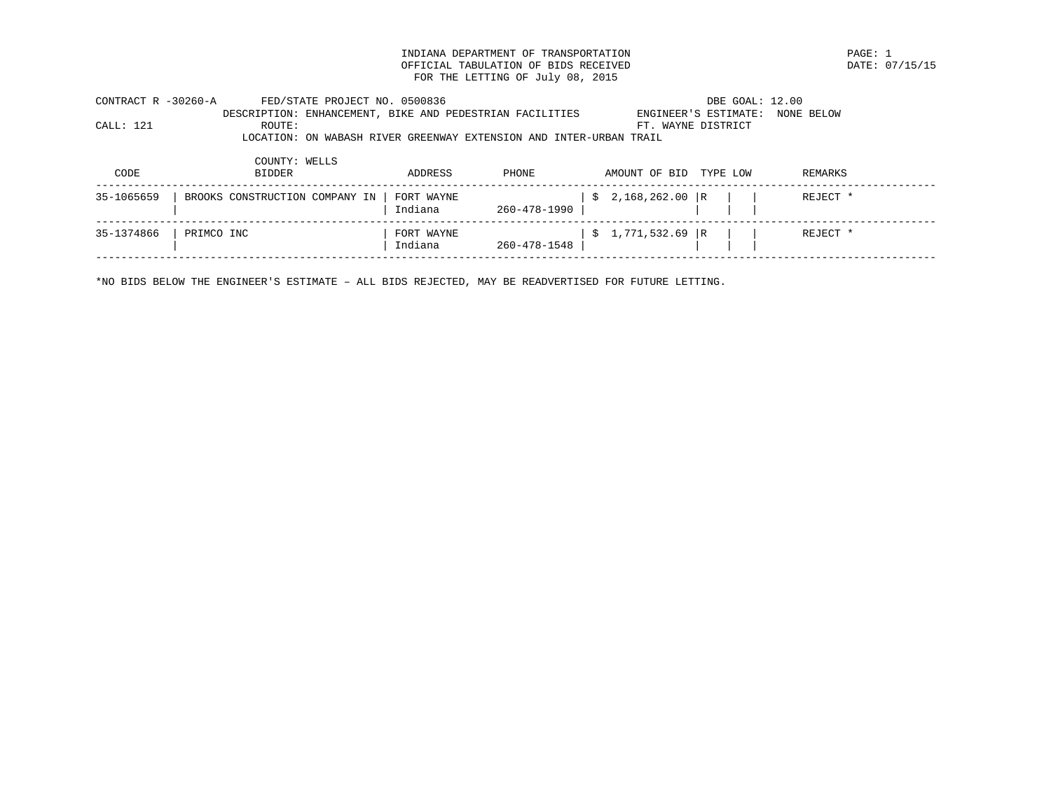INDIANA DEPARTMENT OF TRANSPORTATION<br>
OFFICIAL TABULATION OF BIDS RECEIVED

PAGE: 07/15/15 OFFICIAL TABULATION OF BIDS RECEIVED FOR THE LETTING OF July 08, 2015

| CONTRACT R -30260-A | FED/STATE PROJECT NO. 0500836  |                                                                    | DBE GOAL: 12.00           |            |
|---------------------|--------------------------------|--------------------------------------------------------------------|---------------------------|------------|
|                     |                                | DESCRIPTION: ENHANCEMENT, BIKE AND PEDESTRIAN FACILITIES           | ENGINEER'S ESTIMATE:      | NONE BELOW |
| CALL: 121           | ROUTE:                         |                                                                    | FT. WAYNE DISTRICT        |            |
|                     |                                | LOCATION: ON WABASH RIVER GREENWAY EXTENSION AND INTER-URBAN TRAIL |                           |            |
|                     | COUNTY: WELLS                  |                                                                    |                           |            |
| CODE                | <b>BIDDER</b>                  | ADDRESS<br><b>PHONE</b>                                            | TYPE LOW<br>AMOUNT OF BID | REMARKS    |
| 35-1065659          | BROOKS CONSTRUCTION COMPANY IN | FORT WAYNE<br>Indiana<br>260-478-1990                              | $$2,168,262.00$ R         | REJECT *   |
| 35-1374866          | PRIMCO INC                     | FORT WAYNE<br>Indiana<br>260-478-1548                              | $$1,771,532.69$ R         | REJECT *   |
|                     |                                |                                                                    |                           |            |

\*NO BIDS BELOW THE ENGINEER'S ESTIMATE – ALL BIDS REJECTED, MAY BE READVERTISED FOR FUTURE LETTING.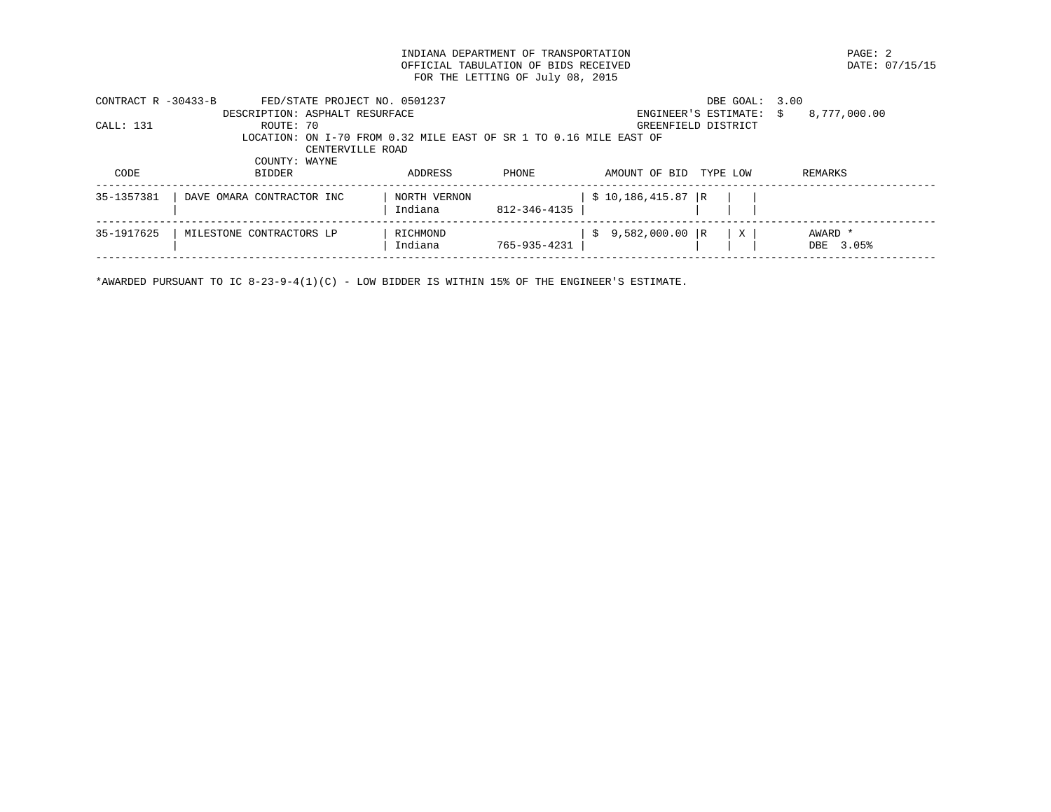INDIANA DEPARTMENT OF TRANSPORTATION **EXAMPLE ASSESSED ASSESSED ASSESSED ASSESSED** DATE: 07/15/15 OFFICIAL TABULATION OF BIDS RECEIVED FOR THE LETTING OF July 08, 2015

| CONTRACT $R - 30433 - B$ | FED/STATE PROJECT NO. 0501237                                      |              |              |                     | DBE GOAL:               | 3.00         |
|--------------------------|--------------------------------------------------------------------|--------------|--------------|---------------------|-------------------------|--------------|
|                          | DESCRIPTION: ASPHALT RESURFACE                                     |              |              |                     | ENGINEER'S ESTIMATE: \$ | 8,777,000.00 |
| CALL: 131                | ROUTE: 70                                                          |              |              | GREENFIELD DISTRICT |                         |              |
|                          | LOCATION: ON I-70 FROM 0.32 MILE EAST OF SR 1 TO 0.16 MILE EAST OF |              |              |                     |                         |              |
|                          |                                                                    |              |              |                     |                         |              |
|                          | COUNTY: WAYNE                                                      |              |              |                     |                         |              |
| CODE                     | <b>BIDDER</b>                                                      | ADDRESS      | PHONE        | AMOUNT OF BID       | TYPE LOW                | REMARKS      |
|                          |                                                                    |              |              |                     |                         |              |
| 35-1357381               | DAVE OMARA CONTRACTOR INC                                          | NORTH VERNON |              | $$10,186,415.87$ R  |                         |              |
|                          |                                                                    | Indiana      | 812-346-4135 |                     |                         |              |
|                          |                                                                    |              |              |                     |                         |              |
| 35-1917625               | MILESTONE CONTRACTORS LP                                           | RICHMOND     |              | $$9,582,000.00$ R   | X                       | AWARD *      |
|                          |                                                                    | Indiana      | 765-935-4231 |                     |                         | DBE 3.05%    |
|                          |                                                                    |              |              |                     |                         |              |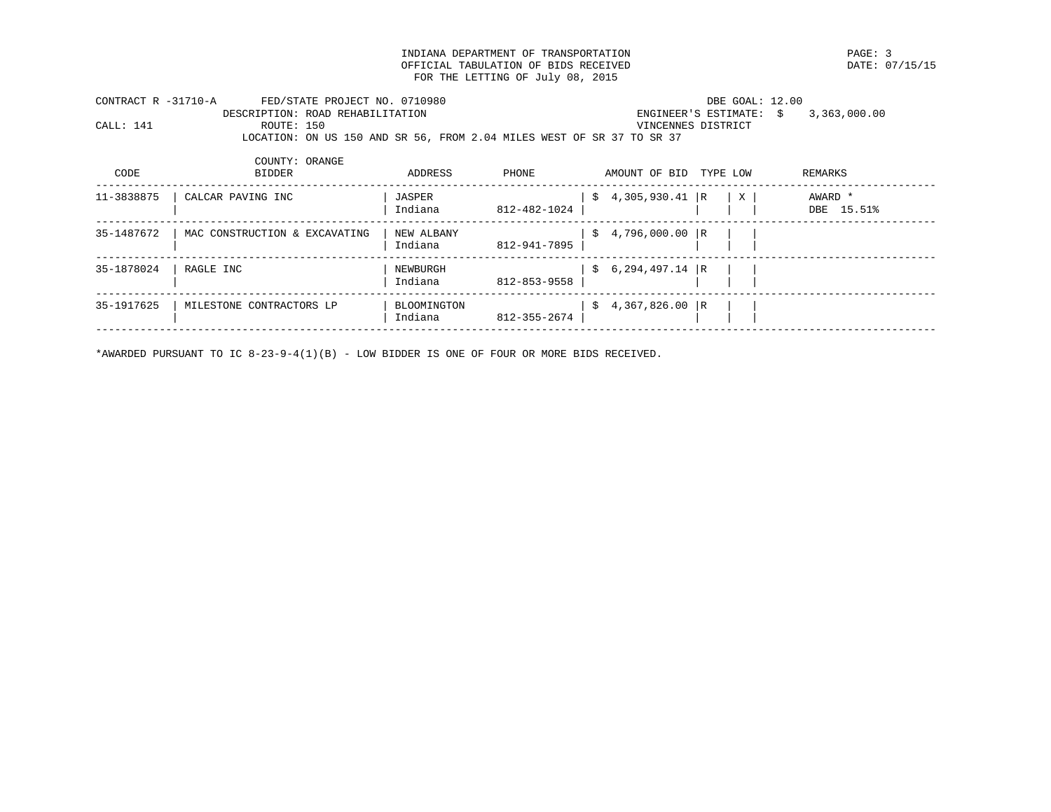INDIANA DEPARTMENT OF TRANSPORTATION PAGE: 3 OFFICIAL TABULATION OF BIDS RECEIVED FOR THE LETTING OF July 08, 2015

|           | CONTRACT R -31710-A | FED/STATE PROJECT NO. 0710980    |                                                                       | DBE GOAL: 12.00                      |  |
|-----------|---------------------|----------------------------------|-----------------------------------------------------------------------|--------------------------------------|--|
|           |                     | DESCRIPTION: ROAD REHABILITATION |                                                                       | ENGINEER'S ESTIMATE: $$3,363,000.00$ |  |
| CALL: 141 | ROUTE: 150          |                                  |                                                                       | VINCENNES DISTRICT                   |  |
|           |                     |                                  | LOCATION: ON US 150 AND SR 56, FROM 2.04 MILES WEST OF SR 37 TO SR 37 |                                      |  |
|           |                     |                                  |                                                                       |                                      |  |

| CODE       | COUNTY: ORANGE<br>BIDDER      | ADDRESS                | PHONE        | AMOUNT OF BID     | TYPE LOW |   | REMARKS               |
|------------|-------------------------------|------------------------|--------------|-------------------|----------|---|-----------------------|
| 11-3838875 | CALCAR PAVING INC             | JASPER<br>Indiana      | 812-482-1024 | $$4,305,930.41$ R |          | X | AWARD *<br>DBE 15.51% |
| 35-1487672 | MAC CONSTRUCTION & EXCAVATING | NEW ALBANY<br>Indiana  | 812-941-7895 | $$4,796,000.00$ R |          |   |                       |
| 35-1878024 | RAGLE INC                     | NEWBURGH<br>Indiana    | 812-853-9558 | $$6,294,497.14$ R |          |   |                       |
| 35-1917625 | MILESTONE CONTRACTORS LP      | BLOOMINGTON<br>Indiana | 812-355-2674 | $$4,367,826.00$ R |          |   |                       |

\*AWARDED PURSUANT TO IC 8-23-9-4(1)(B) - LOW BIDDER IS ONE OF FOUR OR MORE BIDS RECEIVED.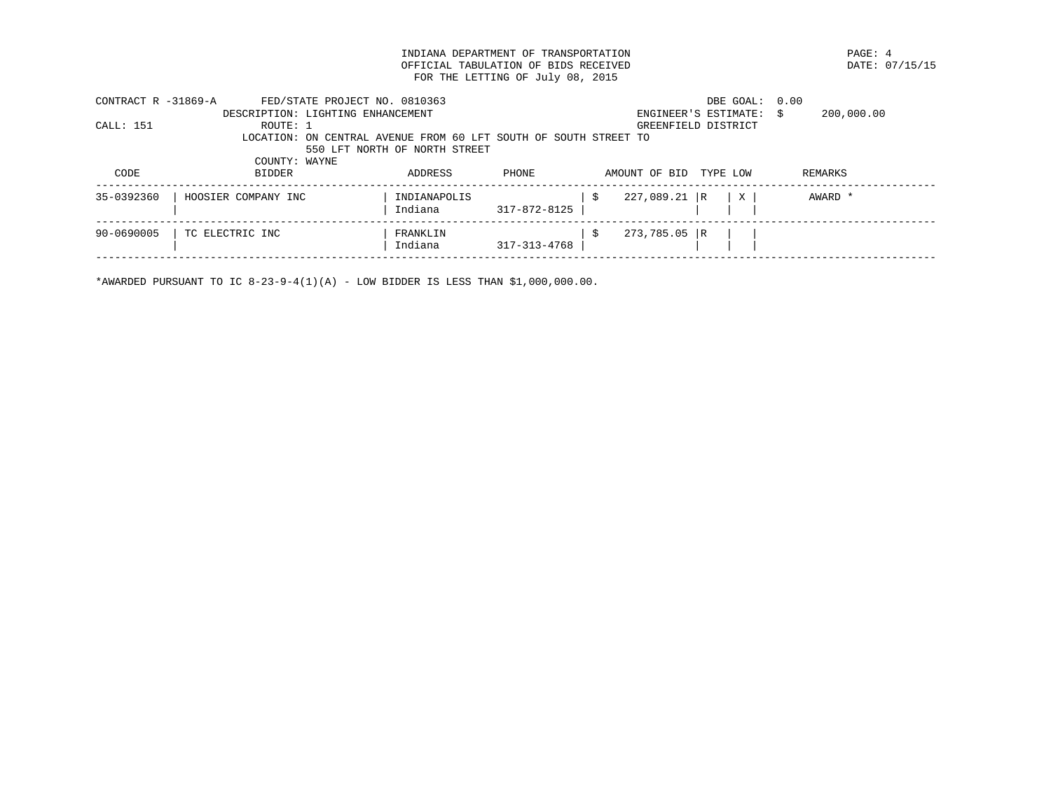INDIANA DEPARTMENT OF TRANSPORTATION PAGE: 4 OFFICIAL TABULATION OF BIDS RECEIVED FOR THE LETTING OF July 08, 2015

| CONTRACT R -31869-A | FED/STATE PROJECT NO. 0810363                                    |                               |              |    |                | DBE GOAL:               | 0.00       |  |
|---------------------|------------------------------------------------------------------|-------------------------------|--------------|----|----------------|-------------------------|------------|--|
|                     | DESCRIPTION: LIGHTING ENHANCEMENT                                |                               |              |    |                | ENGINEER'S ESTIMATE: \$ | 200,000.00 |  |
| CALL: 151           | ROUTE: 1                                                         |                               |              |    |                | GREENFIELD DISTRICT     |            |  |
|                     | LOCATION: ON CENTRAL AVENUE FROM 60 LFT SOUTH OF SOUTH STREET TO |                               |              |    |                |                         |            |  |
|                     |                                                                  | 550 LFT NORTH OF NORTH STREET |              |    |                |                         |            |  |
|                     | COUNTY: WAYNE                                                    |                               |              |    |                |                         |            |  |
| CODE                | <b>BIDDER</b>                                                    | ADDRESS                       | PHONE        |    | AMOUNT OF BID  | TYPE LOW                | REMARKS    |  |
|                     |                                                                  |                               |              |    |                |                         |            |  |
| 35-0392360          | HOOSIER COMPANY INC                                              | INDIANAPOLIS                  |              | -S | 227,089.21 R   | X                       | AWARD *    |  |
|                     |                                                                  | Indiana                       | 317-872-8125 |    |                |                         |            |  |
|                     |                                                                  |                               |              |    |                |                         |            |  |
| 90-0690005          | TC ELECTRIC INC                                                  | FRANKLIN                      |              | -S | $273,785.05$ R |                         |            |  |
|                     |                                                                  | Indiana                       | 317-313-4768 |    |                |                         |            |  |
|                     |                                                                  |                               |              |    |                |                         |            |  |

\*AWARDED PURSUANT TO IC  $8-23-9-4(1)(A)$  - LOW BIDDER IS LESS THAN \$1,000,000.00.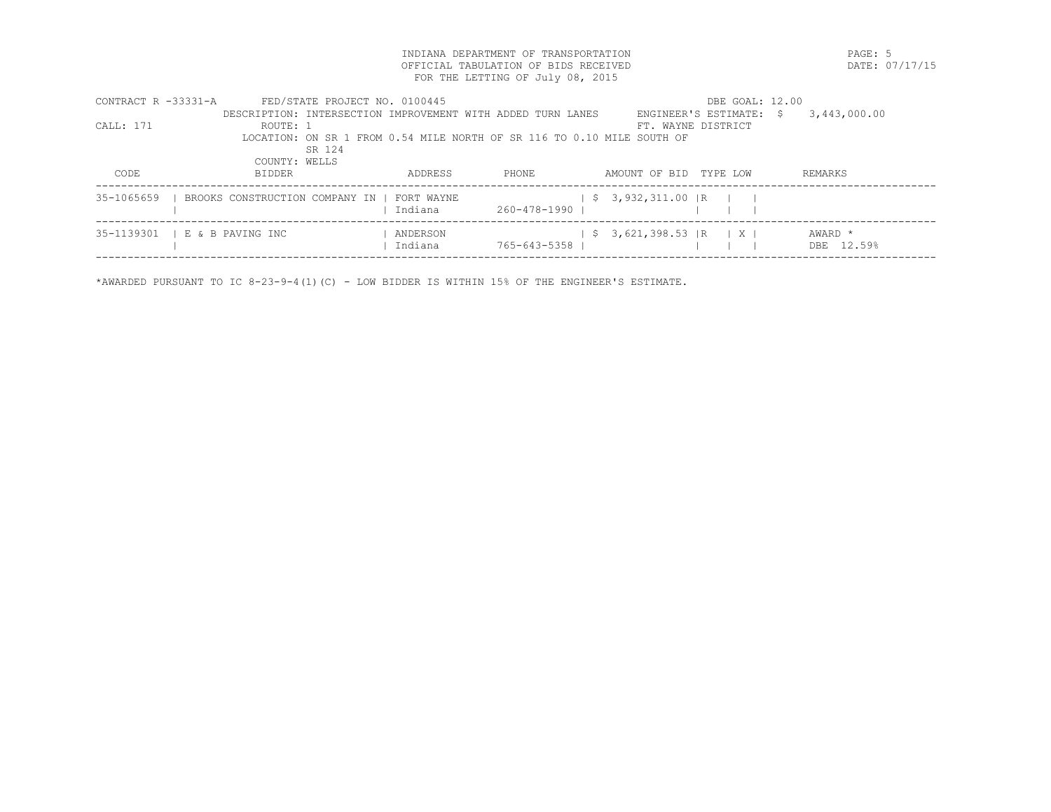INDIANA DEPARTMENT OF TRANSPORTATION PAGE: 5 OFFICIAL TABULATION OF BIDS RECEIVED FOR THE LETTING OF July 08, 2015

| CONTRACT $R$ -33331-A | FED/STATE PROJECT NO. 0100445                                          |          |              | DBE GOAL: 12.00                                |              |
|-----------------------|------------------------------------------------------------------------|----------|--------------|------------------------------------------------|--------------|
|                       | DESCRIPTION: INTERSECTION IMPROVEMENT WITH ADDED TURN LANES            |          |              | ENGINEER'S ESTIMATE: \$                        | 3,443,000.00 |
| CALL: 171             | ROUTE: 1                                                               |          |              | FT. WAYNE DISTRICT                             |              |
|                       | LOCATION: ON SR 1 FROM 0.54 MILE NORTH OF SR 116 TO 0.10 MILE SOUTH OF |          |              |                                                |              |
|                       | SR 124                                                                 |          |              |                                                |              |
|                       | COUNTY: WELLS                                                          |          |              |                                                |              |
| CODE                  | <b>BIDDER</b>                                                          | ADDRESS  | PHONE        | AMOUNT OF BID TYPE LOW                         | REMARKS      |
|                       |                                                                        |          |              |                                                |              |
| 35-1065659            | BROOKS CONSTRUCTION COMPANY IN   FORT WAYNE                            |          |              | $\frac{1}{5}$ 3,932,311.00 R                   |              |
|                       |                                                                        | Indiana  | 260-478-1990 |                                                |              |
|                       |                                                                        |          |              |                                                |              |
|                       | 35-1139301   E & B PAVING INC                                          | ANDERSON |              | $\frac{1}{5}$ 3,621,398.53 R $\frac{1}{1}$ X I | AWARD *      |
|                       |                                                                        | Indiana  | 765-643-5358 |                                                | DBE 12.59%   |
|                       |                                                                        |          |              |                                                |              |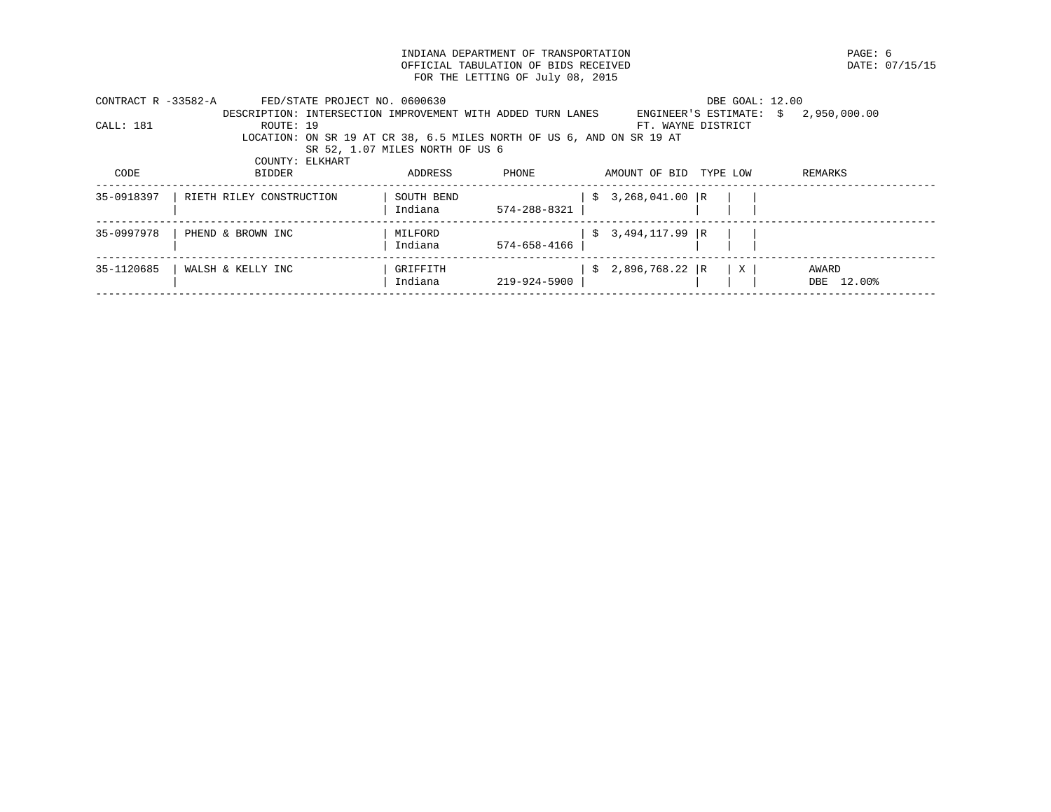INDIANA DEPARTMENT OF TRANSPORTATION **EXAMPLE SERVICES ASSESSED ASSESSED ASSESSED** DATE: 07/15/15 OFFICIAL TABULATION OF BIDS RECEIVED FOR THE LETTING OF July 08, 2015

| CONTRACT R -33582-A | FED/STATE PROJECT NO. 0600630                                         |                                 |              |                      | DBE GOAL: 12.00    |                                      |
|---------------------|-----------------------------------------------------------------------|---------------------------------|--------------|----------------------|--------------------|--------------------------------------|
|                     | DESCRIPTION: INTERSECTION IMPROVEMENT WITH ADDED TURN LANES           |                                 |              |                      |                    | ENGINEER'S ESTIMATE: $$2,950,000.00$ |
| CALL: 181           | ROUTE: 19                                                             |                                 |              |                      | FT. WAYNE DISTRICT |                                      |
|                     | LOCATION: ON SR 19 AT CR 38, 6.5 MILES NORTH OF US 6, AND ON SR 19 AT |                                 |              |                      |                    |                                      |
|                     |                                                                       | SR 52, 1.07 MILES NORTH OF US 6 |              |                      |                    |                                      |
|                     | COUNTY: ELKHART                                                       |                                 |              |                      |                    |                                      |
| CODE                | BIDDER                                                                | ADDRESS                         | PHONE        | AMOUNT OF BID        | TYPE LOW           | REMARKS                              |
|                     |                                                                       |                                 |              |                      |                    |                                      |
| 35-0918397          | RIETH RILEY CONSTRUCTION                                              | SOUTH BEND                      |              | 3,268,041.00 R<br>S. |                    |                                      |
|                     |                                                                       | Indiana                         | 574-288-8321 |                      |                    |                                      |
| 35-0997978          | PHEND & BROWN INC                                                     | MILFORD                         |              | $$3,494,117.99$ R    |                    |                                      |
|                     |                                                                       | Indiana                         | 574-658-4166 |                      |                    |                                      |
|                     |                                                                       |                                 |              |                      |                    |                                      |
| 35-1120685          | WALSH & KELLY INC                                                     | GRIFFITH                        |              | $$2,896,768.22$ R    | $\mathbf{X}$       | AWARD                                |
|                     |                                                                       | Indiana                         | 219-924-5900 |                      |                    | DBE 12.00%                           |
|                     |                                                                       |                                 |              |                      |                    |                                      |
|                     |                                                                       |                                 |              |                      |                    |                                      |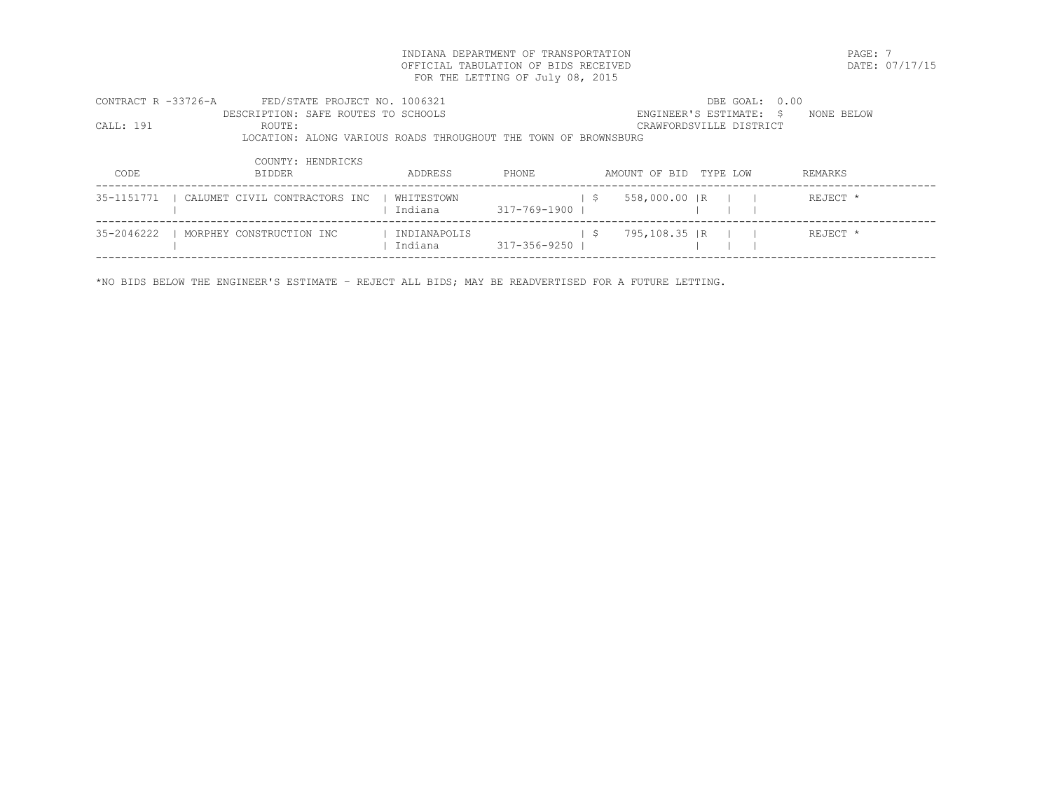INDIANA DEPARTMENT OF TRANSPORTATION PAGE: 7 OFFICIAL TABULATION OF BIDS RECEIVED FOR THE LETTING OF July 08, 2015

| CONTRACT R -33726-A | FED/STATE PROJECT NO. 1006321                                   |              |              |     |                         |          | DBE GOAL: 0.00 |            |  |
|---------------------|-----------------------------------------------------------------|--------------|--------------|-----|-------------------------|----------|----------------|------------|--|
|                     | DESCRIPTION: SAFE ROUTES TO SCHOOLS                             |              |              |     | ENGINEER'S ESTIMATE: \$ |          |                | NONE BELOW |  |
| CALL: 191           | ROUTE:                                                          |              |              |     | CRAWFORDSVILLE DISTRICT |          |                |            |  |
|                     | LOCATION: ALONG VARIOUS ROADS THROUGHOUT THE TOWN OF BROWNSBURG |              |              |     |                         |          |                |            |  |
|                     |                                                                 |              |              |     |                         |          |                |            |  |
|                     | COUNTY: HENDRICKS                                               |              |              |     |                         |          |                |            |  |
| CODE                | <b>BIDDER</b>                                                   | ADDRESS      | PHONE        |     | AMOUNT OF BID           | TYPE LOW |                | REMARKS    |  |
| 35-1151771          | CALUMET CIVIL CONTRACTORS INC                                   | WHITESTOWN   |              | - S | 558,000.00 IR           |          |                | REJECT *   |  |
|                     |                                                                 | Indiana      | 317-769-1900 |     |                         |          |                |            |  |
|                     |                                                                 |              |              |     |                         |          |                |            |  |
| 35-2046222          | MORPHEY CONSTRUCTION INC                                        | INDIANAPOLIS |              | - S | 795,108.35   R          |          |                | REJECT *   |  |
|                     |                                                                 | Indiana      | 317-356-9250 |     |                         |          |                |            |  |
|                     |                                                                 |              |              |     |                         |          |                |            |  |

\*NO BIDS BELOW THE ENGINEER'S ESTIMATE – REJECT ALL BIDS; MAY BE READVERTISED FOR A FUTURE LETTING.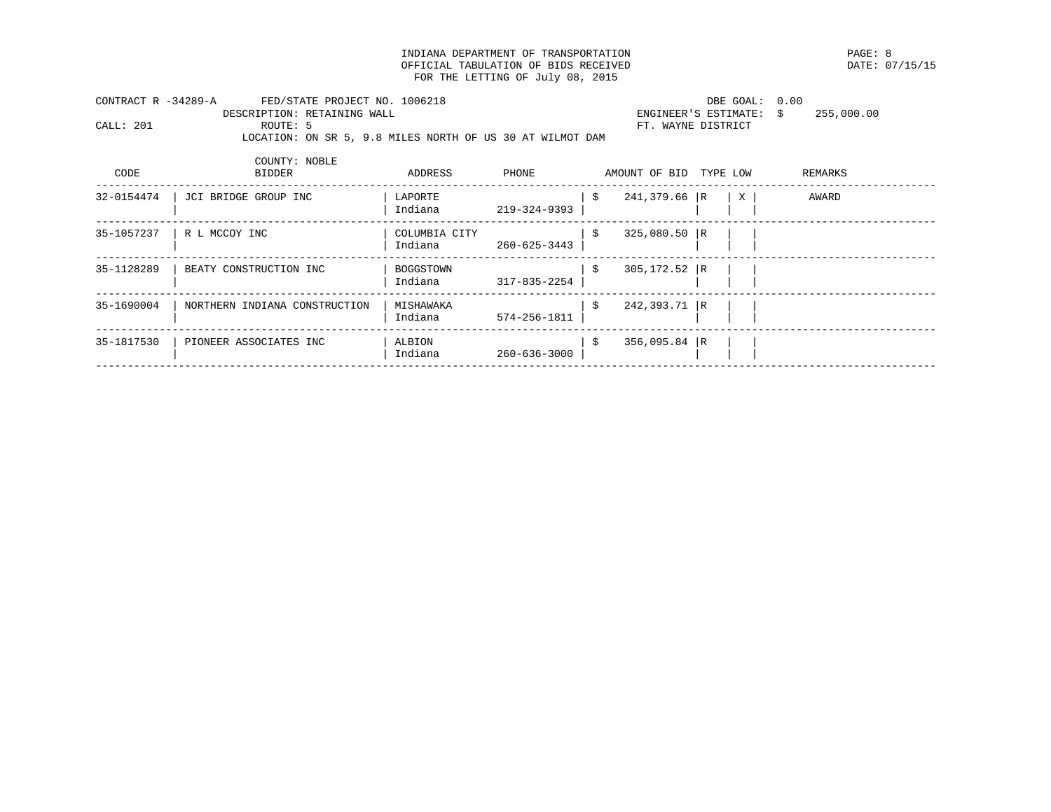INDIANA DEPARTMENT OF TRANSPORTATION PAGE: 8 OFFICIAL TABULATION OF BIDS RECEIVED FOR THE LETTING OF July 08, 2015

| CONTRACT R -34289-A |          | FED/STATE PROJECT NO. 1006218                             | DBE GOAL: 0.00                        |  |
|---------------------|----------|-----------------------------------------------------------|---------------------------------------|--|
|                     |          | DESCRIPTION: RETAINING WALL                               | 255,000.00<br>ENGINEER'S ESTIMATE: \$ |  |
| CALL: 201           | ROUTE: 5 |                                                           | FT. WAYNE DISTRICT                    |  |
|                     |          | LOCATION: ON SR 5, 9.8 MILES NORTH OF US 30 AT WILMOT DAM |                                       |  |

| CODE       | COUNTY: NOBLE<br><b>BIDDER</b> | ADDRESS                  | PHONE        | AMOUNT OF BID         | TYPE LOW |   | REMARKS |
|------------|--------------------------------|--------------------------|--------------|-----------------------|----------|---|---------|
| 32-0154474 | JCI BRIDGE GROUP INC           | LAPORTE<br>Indiana       | 219-324-9393 | \$<br>241,379.66 R    |          | X | AWARD   |
| 35-1057237 | R L MCCOY INC                  | COLUMBIA CITY<br>Indiana | 260-625-3443 | \$<br>$325,080.50$ R  |          |   |         |
| 35-1128289 | BEATY CONSTRUCTION INC         | BOGGSTOWN<br>Indiana     | 317-835-2254 | \$<br>$305, 172.52$ R |          |   |         |
| 35-1690004 | NORTHERN INDIANA CONSTRUCTION  | MISHAWAKA<br>Indiana     | 574-256-1811 | \$<br>242,393.71 R    |          |   |         |
| 35-1817530 | PIONEER ASSOCIATES INC         | ALBION<br>Indiana        | 260-636-3000 | \$<br>$356,095.84$ R  |          |   |         |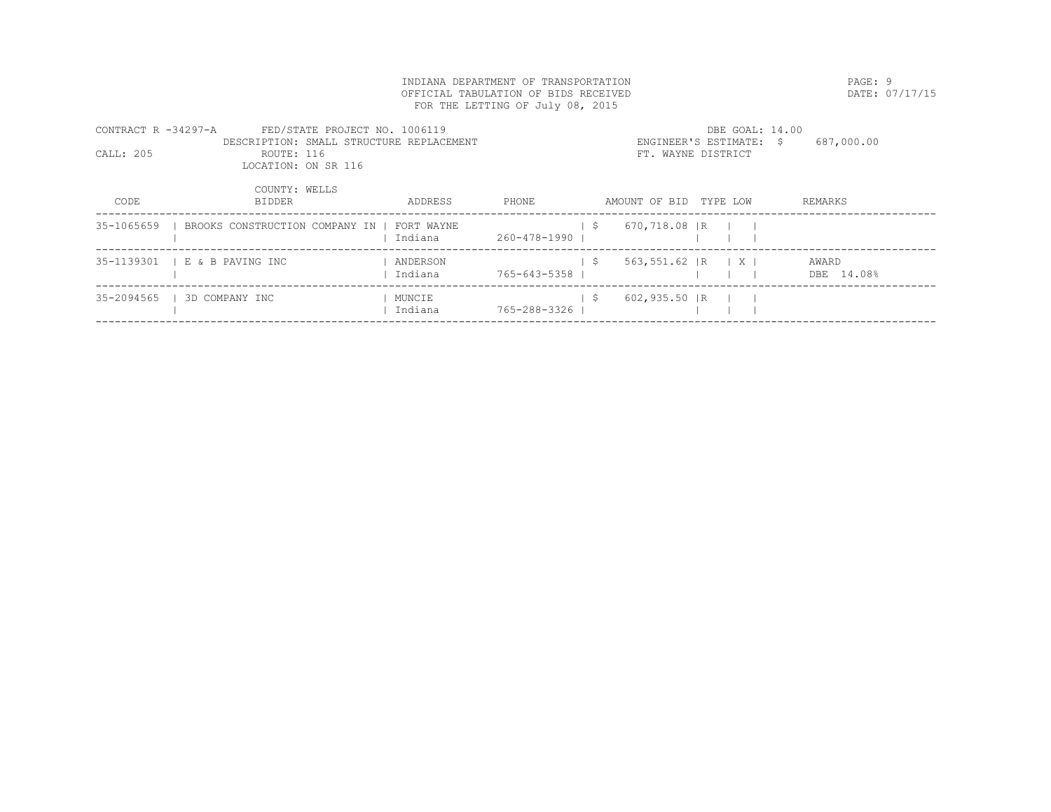|                     | INDIANA DEPARTMENT OF TRANSPORTATION     |            |                                      |  |                        |                         |                |  |
|---------------------|------------------------------------------|------------|--------------------------------------|--|------------------------|-------------------------|----------------|--|
|                     |                                          |            | OFFICIAL TABULATION OF BIDS RECEIVED |  |                        |                         | DATE: 07/17/15 |  |
|                     |                                          |            | FOR THE LETTING OF July 08, 2015     |  |                        |                         |                |  |
| CONTRACT R -34297-A | FED/STATE PROJECT NO. 1006119            |            |                                      |  |                        | DBE GOAL: 14.00         |                |  |
|                     | DESCRIPTION: SMALL STRUCTURE REPLACEMENT |            |                                      |  |                        | ENGINEER'S ESTIMATE: \$ | 687,000.00     |  |
| CALL: 205           | ROUTE: 116                               |            |                                      |  | FT. WAYNE DISTRICT     |                         |                |  |
|                     | LOCATION: ON SR 116                      |            |                                      |  |                        |                         |                |  |
|                     | COUNTY: WELLS                            |            |                                      |  |                        |                         |                |  |
| CODE                | BIDDER                                   | ADDRESS    | PHONE                                |  | AMOUNT OF BID TYPE LOW |                         | REMARKS        |  |
|                     |                                          |            |                                      |  |                        |                         |                |  |
| 35-1065659          | BROOKS CONSTRUCTION COMPANY IN           | FORT WAYNE |                                      |  | \$670,718.08   R       |                         |                |  |
|                     |                                          | Indiana    | 260-478-1990                         |  |                        |                         |                |  |
|                     | 35-1139301   E & B PAVING INC            | ANDERSON   |                                      |  | \$563,551.62   R   X   |                         | AWARD          |  |
|                     |                                          | Indiana    | 765-643-5358                         |  |                        |                         | DBE 14.08%     |  |
|                     |                                          |            |                                      |  |                        |                         |                |  |
| 35-2094565          | 3D COMPANY INC                           | MUNCIE     |                                      |  | \$602,935.50   R       |                         |                |  |
|                     |                                          | Indiana    | 765-288-3326                         |  |                        |                         |                |  |
|                     |                                          |            |                                      |  |                        |                         |                |  |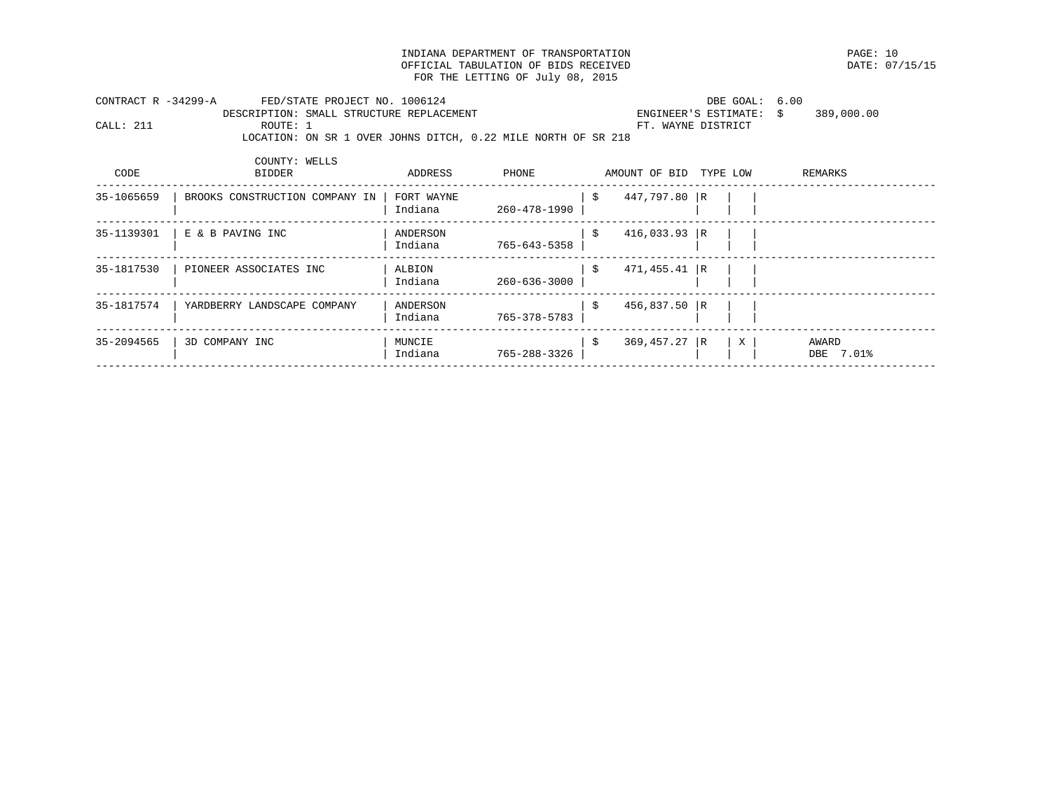INDIANA DEPARTMENT OF TRANSPORTATION PAGE: 10 OFFICIAL TABULATION OF BIDS RECEIVED FOR THE LETTING OF July 08, 2015

| CONTRACT R -34299-A |               | FED/STATE PROJECT NO. 1006124                                 | DBE GOAL: 6.00          |            |  |
|---------------------|---------------|---------------------------------------------------------------|-------------------------|------------|--|
|                     |               | DESCRIPTION: SMALL STRUCTURE REPLACEMENT                      | ENGINEER'S ESTIMATE: \$ | 389,000.00 |  |
| CALL: 211           | ROUTE: 1      |                                                               | FT. WAYNE DISTRICT      |            |  |
|                     |               | LOCATION: ON SR 1 OVER JOHNS DITCH, 0.22 MILE NORTH OF SR 218 |                         |            |  |
|                     |               |                                                               |                         |            |  |
|                     | COUNTY: WELLS |                                                               |                         |            |  |

| CODE       | <b>BIDDER</b>                  | ADDRESS               | PHONE        | AMOUNT OF BID         | TYPE LOW |   | REMARKS            |
|------------|--------------------------------|-----------------------|--------------|-----------------------|----------|---|--------------------|
| 35-1065659 | BROOKS CONSTRUCTION COMPANY IN | FORT WAYNE<br>Indiana | 260-478-1990 | \$<br>447,797.80 R    |          |   |                    |
| 35-1139301 | E & B PAVING INC               | ANDERSON<br>Indiana   | 765-643-5358 | \$<br>$416,033.93$ R  |          |   |                    |
| 35-1817530 | PIONEER ASSOCIATES INC         | ALBION<br>Indiana     | 260-636-3000 | \$<br>$471, 455.41$ R |          |   |                    |
| 35-1817574 | YARDBERRY LANDSCAPE COMPANY    | ANDERSON<br>Indiana   | 765-378-5783 | \$<br>$456,837.50$ R  |          |   |                    |
| 35-2094565 | 3D COMPANY INC                 | MUNCIE<br>Indiana     | 765-288-3326 | \$<br>$369, 457.27$ R |          | X | AWARD<br>DBE 7.01% |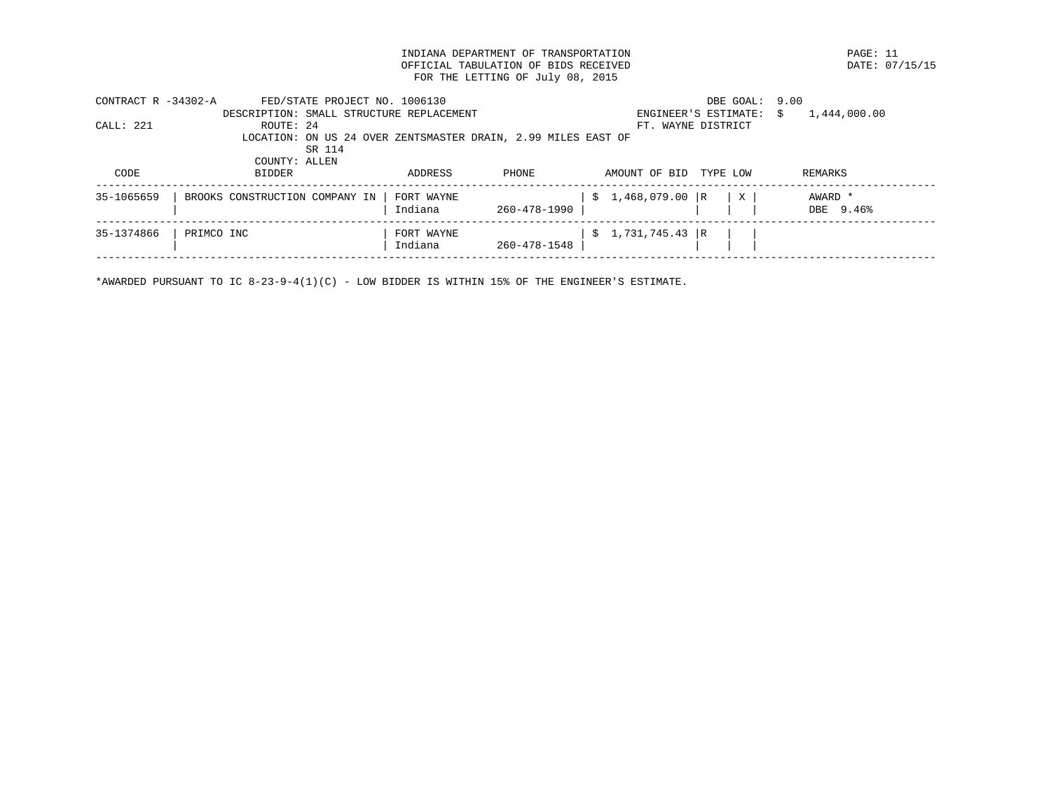INDIANA DEPARTMENT OF TRANSPORTATION PAGE: 11 OFFICIAL TABULATION OF BIDS RECEIVED FOR THE LETTING OF July 08, 2015

| CONTRACT $R - 34302 - A$ | FED/STATE PROJECT NO. 1006130                                 |            |              | DBE GOAL:                 | 9.00               |
|--------------------------|---------------------------------------------------------------|------------|--------------|---------------------------|--------------------|
|                          | DESCRIPTION: SMALL STRUCTURE REPLACEMENT                      |            |              | ENGINEER'S ESTIMATE:      | 1,444,000.00<br>S. |
| CALL: 221                | ROUTE: 24                                                     |            |              | FT. WAYNE DISTRICT        |                    |
|                          | LOCATION: ON US 24 OVER ZENTSMASTER DRAIN, 2.99 MILES EAST OF |            |              |                           |                    |
|                          | SR 114                                                        |            |              |                           |                    |
|                          | COUNTY: ALLEN                                                 |            |              |                           |                    |
| CODE                     | <b>BIDDER</b>                                                 | ADDRESS    | <b>PHONE</b> | AMOUNT OF BID<br>TYPE LOW | REMARKS            |
|                          |                                                               |            |              |                           |                    |
| 35-1065659               | BROOKS CONSTRUCTION COMPANY IN                                | FORT WAYNE |              | $$1,468,079.00$ R<br>X    | AWARD *            |
|                          |                                                               | Indiana    | 260-478-1990 |                           | DBE 9.46%          |
|                          |                                                               |            |              |                           |                    |
| 35-1374866               | PRIMCO INC                                                    | FORT WAYNE |              | $$1,731,745.43$ R         |                    |
|                          |                                                               | Indiana    | 260-478-1548 |                           |                    |
|                          |                                                               |            |              |                           |                    |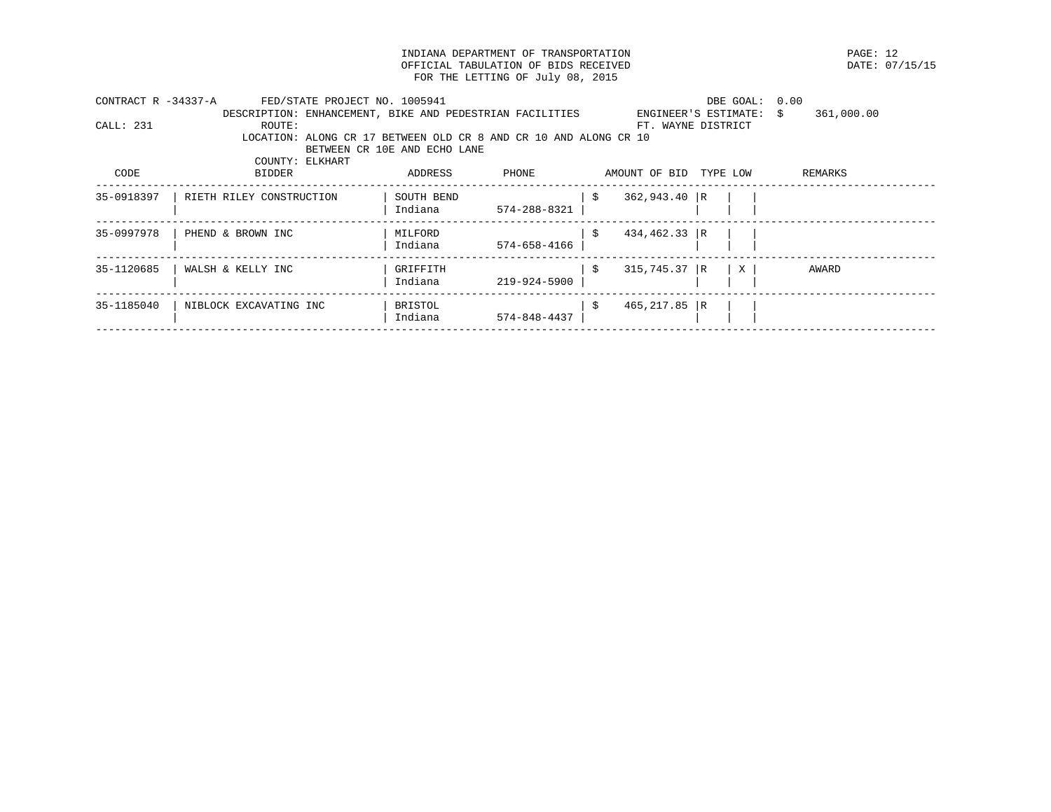INDIANA DEPARTMENT OF TRANSPORTATION **EXAMPLE SERVICES ASSESSED ASSESSED ASSESSED** DATE: 07/15/15 OFFICIAL TABULATION OF BIDS RECEIVED FOR THE LETTING OF July 08, 2015

| CONTRACT R -34337-A | FED/STATE PROJECT NO. 1005941                                    |                              |                    |                       | DBE GOAL:               | 0.00       |  |
|---------------------|------------------------------------------------------------------|------------------------------|--------------------|-----------------------|-------------------------|------------|--|
|                     | DESCRIPTION: ENHANCEMENT, BIKE AND PEDESTRIAN FACILITIES         |                              |                    |                       | ENGINEER'S ESTIMATE: \$ | 361,000.00 |  |
| CALI: 231           | ROUTE:                                                           |                              |                    |                       | FT. WAYNE DISTRICT      |            |  |
|                     | LOCATION: ALONG CR 17 BETWEEN OLD CR 8 AND CR 10 AND ALONG CR 10 |                              |                    |                       |                         |            |  |
|                     |                                                                  | BETWEEN CR 10E AND ECHO LANE |                    |                       |                         |            |  |
|                     | COUNTY: ELKHART                                                  |                              |                    |                       |                         |            |  |
| CODE                | <b>BIDDER</b>                                                    | ADDRESS                      | PHONE              | AMOUNT OF BID         | TYPE LOW                | REMARKS    |  |
| 35-0918397          | RIETH RILEY CONSTRUCTION                                         | SOUTH BEND                   |                    | $362,943.40$ R<br>S   |                         |            |  |
|                     |                                                                  | Indiana                      | 574-288-8321       |                       |                         |            |  |
| 35-0997978          | PHEND & BROWN INC                                                | MILFORD                      |                    | $434, 462.33$ R<br>-S |                         |            |  |
|                     |                                                                  | Indiana                      | 574-658-4166       |                       |                         |            |  |
| 35-1120685          | WALSH & KELLY INC                                                | GRIFFITH                     |                    | $315,745.37$ R<br>\$  | $\mathbf{X}$            | AWARD      |  |
|                     |                                                                  | Indiana                      | 219-924-5900       |                       |                         |            |  |
|                     |                                                                  |                              |                    |                       |                         |            |  |
| 35-1185040          | NIBLOCK EXCAVATING INC                                           | BRISTOL                      |                    | $465, 217.85$ R<br>-S |                         |            |  |
|                     |                                                                  | Indiana                      | $574 - 848 - 4437$ |                       |                         |            |  |
|                     |                                                                  |                              |                    |                       |                         |            |  |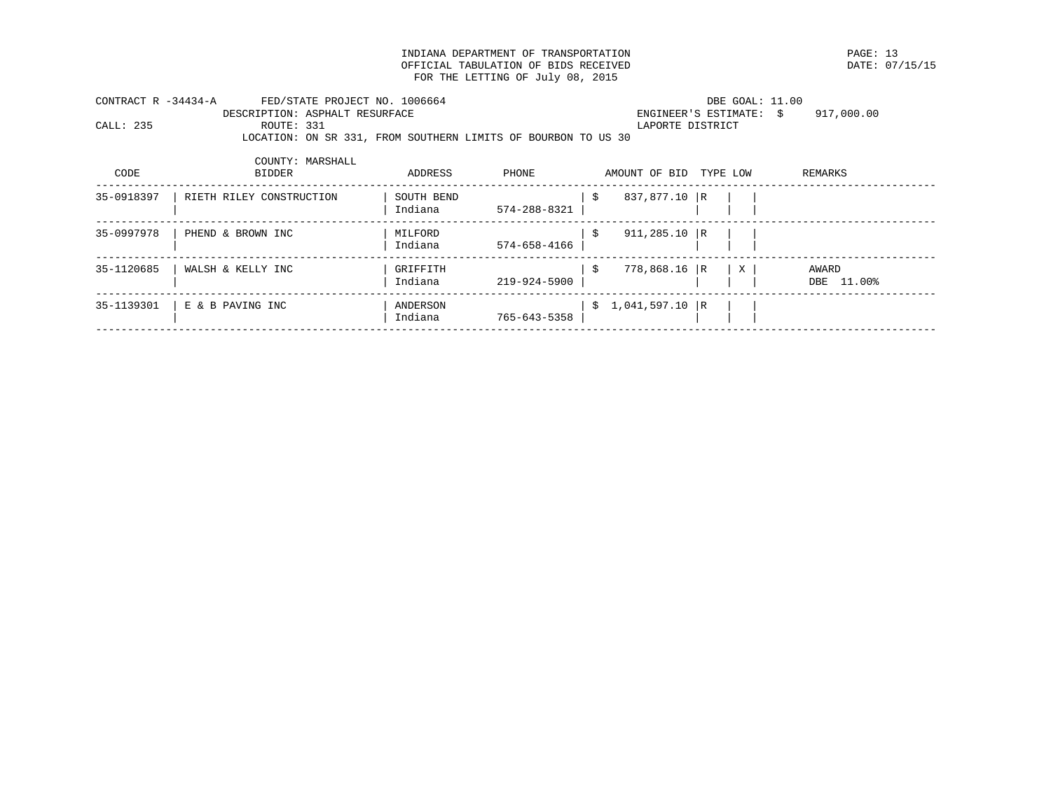INDIANA DEPARTMENT OF TRANSPORTATION PAGE: 13 OFFICIAL TABULATION OF BIDS RECEIVED FOR THE LETTING OF July 08, 2015

| CONTRACT R -34434-A |                                | FED/STATE PROJECT NO. 1006664                                 |  | DBE GOAL: 11.00         |            |
|---------------------|--------------------------------|---------------------------------------------------------------|--|-------------------------|------------|
|                     | DESCRIPTION: ASPHALT RESURFACE |                                                               |  | ENGINEER'S ESTIMATE: \$ | 917,000.00 |
| CALL: 235           | ROUTE: 331                     |                                                               |  | LAPORTE DISTRICT        |            |
|                     |                                | LOCATION: ON SR 331, FROM SOUTHERN LIMITS OF BOURBON TO US 30 |  |                         |            |

| CODE       | COUNTY: MARSHALL<br><b>BIDDER</b> | ADDRESS               | PHONE        |     | AMOUNT OF BID     | TYPE LOW |   | REMARKS                |
|------------|-----------------------------------|-----------------------|--------------|-----|-------------------|----------|---|------------------------|
| 35-0918397 | RIETH RILEY CONSTRUCTION          | SOUTH BEND<br>Indiana | 574-288-8321 | -S  | 837,877.10 R      |          |   |                        |
| 35-0997978 | PHEND & BROWN INC                 | MILFORD<br>Indiana    | 574-658-4166 | -S  | $911,285.10$ R    |          |   |                        |
| 35-1120685 | WALSH & KELLY INC                 | GRIFFITH<br>Indiana   | 219-924-5900 | -\$ | $778,868.16$ R    |          | X | AWARD<br>11.00%<br>DBE |
| 35-1139301 | E & B PAVING INC                  | ANDERSON<br>Indiana   | 765-643-5358 |     | $$1,041,597.10$ R |          |   |                        |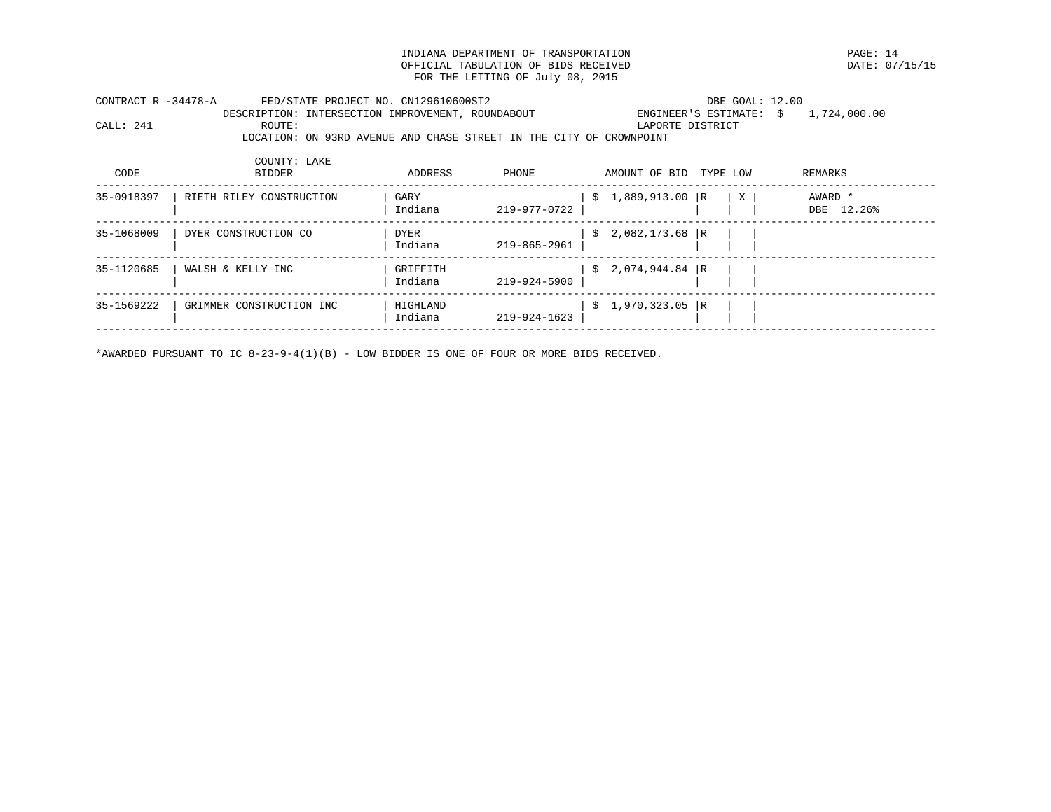INDIANA DEPARTMENT OF TRANSPORTATION PAGE: 14 OFFICIAL TABULATION OF BIDS RECEIVED FOR THE LETTING OF July 08, 2015

| CONTRACT R -34478-A |                                                   | FED/STATE PROJECT NO. CN129610600ST2 |                                                                     |  |  | DBE GOAL: 12.00 |                                          |  |  |  |  |
|---------------------|---------------------------------------------------|--------------------------------------|---------------------------------------------------------------------|--|--|-----------------|------------------------------------------|--|--|--|--|
|                     | DESCRIPTION: INTERSECTION IMPROVEMENT, ROUNDABOUT |                                      |                                                                     |  |  |                 | ENGINEER'S ESTIMATE: $\sin 1.724.000.00$ |  |  |  |  |
| CALL: 241           | ROUTE:                                            |                                      |                                                                     |  |  |                 | LAPORTE DISTRICT                         |  |  |  |  |
|                     |                                                   |                                      | LOCATION: ON 93RD AVENUE AND CHASE STREET IN THE CITY OF CROWNPOINT |  |  |                 |                                          |  |  |  |  |

| CODE       | COUNTY: LAKE<br>BIDDER   | ADDRESS                | PHONE              | AMOUNT OF BID     | TYPE LOW | REMARKS               |
|------------|--------------------------|------------------------|--------------------|-------------------|----------|-----------------------|
| 35-0918397 | RIETH RILEY CONSTRUCTION | GARY<br>Indiana        | S.<br>219-977-0722 | 1,889,913.00 R    | X        | AWARD *<br>DBE 12.26% |
| 35-1068009 | DYER CONSTRUCTION CO     | <b>DYER</b><br>Indiana | S.<br>219-865-2961 | 2,082,173.68 R    |          |                       |
| 35-1120685 | WALSH & KELLY INC        | GRIFFITH<br>Indiana    | 219-924-5900       | $$2,074,944.84$ R |          |                       |
| 35-1569222 | GRIMMER CONSTRUCTION INC | HIGHLAND<br>Indiana    | S.<br>219-924-1623 | 1,970,323.05 R    |          |                       |

\*AWARDED PURSUANT TO IC 8-23-9-4(1)(B) - LOW BIDDER IS ONE OF FOUR OR MORE BIDS RECEIVED.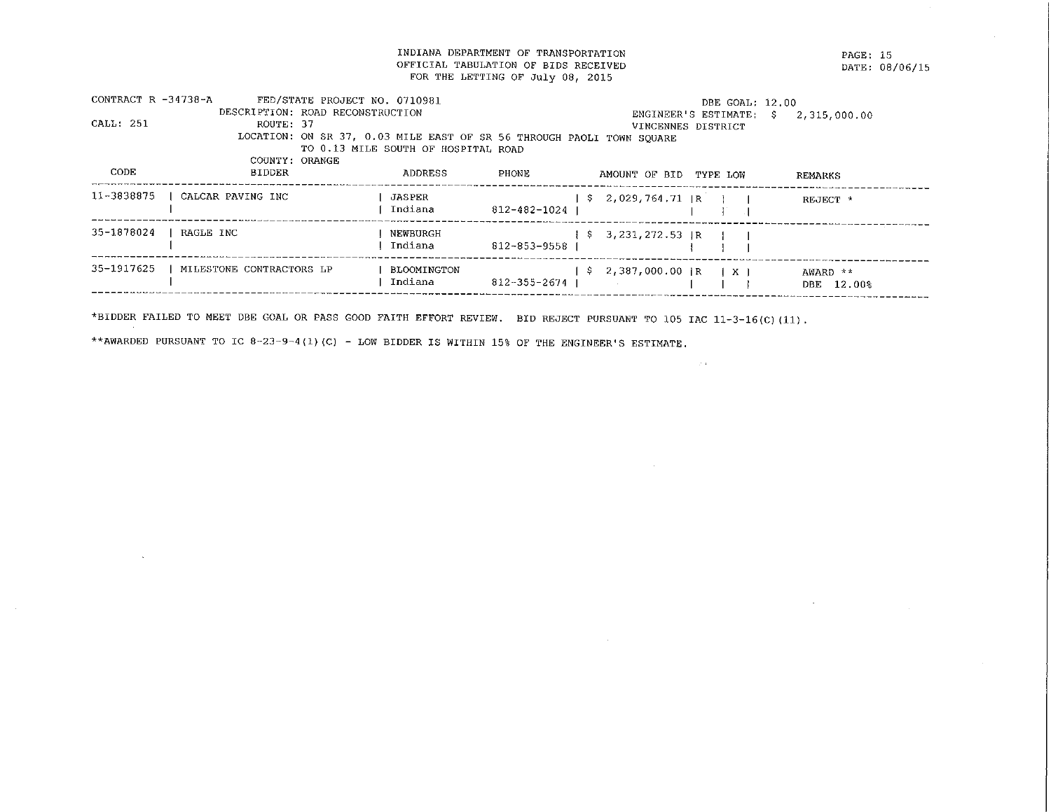INDIANA DEPARTMENT OF TRANSPORTATION OFFICIAL TABULATION OF BIDS RECEIVED FOR THE LETTING OF July 08, 2015

PAGE: 15 DATE: 08/06/15

| CONTRACT R -34738-A |                          | FED/STATE PROJECT NO. 0710981    |                                                                       |              |                                  |               | DBE GOAL: 12.00 |              |  |
|---------------------|--------------------------|----------------------------------|-----------------------------------------------------------------------|--------------|----------------------------------|---------------|-----------------|--------------|--|
|                     |                          | DESCRIPTION: ROAD RECONSTRUCTION |                                                                       |              | ENGINEER'S ESTIMATE: \$          |               |                 | 2,315,000.00 |  |
| CALL: 251           | ROUTE: 37                |                                  |                                                                       |              | VINCENNES DISTRICT               |               |                 |              |  |
|                     |                          |                                  | LOCATION: ON SR 37, 0.03 MILE EAST OF SR 56 THROUGH PAOLI TOWN SOUARE |              |                                  |               |                 |              |  |
|                     |                          |                                  | TO 0.13 MILE SOUTH OF HOSPITAL ROAD                                   |              |                                  |               |                 |              |  |
|                     | COUNTY: ORANGE           |                                  |                                                                       |              |                                  |               |                 |              |  |
| CODE                | <b>BIDDER</b>            |                                  | ADDRESS                                                               | PHONE        | AMOUNT OF BID TYPE LOW           |               |                 | REMARKS      |  |
| 11-3838875          | CALCAR PAVING INC        |                                  | JASPER                                                                |              | $$2,029,764,71$ $R$ $1$          |               |                 | REJECT *     |  |
|                     |                          |                                  | Indiana                                                               | 812-482-1024 |                                  |               |                 |              |  |
| 35-1878024          | RAGLE INC                |                                  | NEWBURGH                                                              |              | $\frac{1}{2}$ \$ 3,231,272.53 IR |               |                 |              |  |
|                     |                          |                                  | Indiana                                                               | 812-853-9558 |                                  |               |                 |              |  |
| 35-1917625          | MILESTONE CONTRACTORS LP |                                  | BLOOMINGTON                                                           |              | \$2,387,000.00 iR                | $\pm$ X $\pm$ |                 | AWARD **     |  |
|                     |                          |                                  | Indiana                                                               | 812-355-2674 |                                  |               |                 | DBE 12.00%   |  |
|                     |                          |                                  |                                                                       |              |                                  |               |                 |              |  |

 $\sim 200$ 

 $\sim$ 

\*BIDDER FAILED TO MEET DBE GOAL OR PASS GOOD FAITH EFFORT REVIEW. BID REJECT PURSUANT TO 105 IAC 11-3-16(C)(11).

\*\* AWARDED PURSUANT TO IC 8-23-9-4(1)(C) - LOW BIDDER IS WITHIN 15% OF THE ENGINEER'S ESTIMATE.

 $\sim$ 

 $\sim 10^6$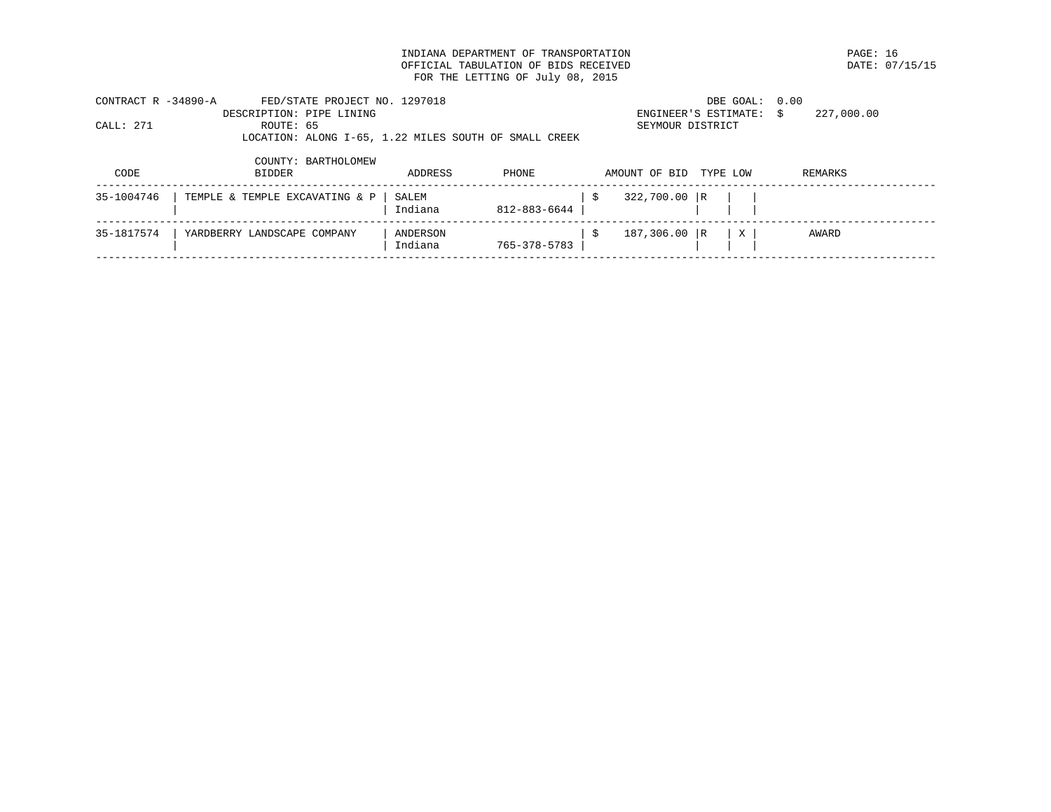INDIANA DEPARTMENT OF TRANSPORTATION PAGE: 16 OFFICIAL TABULATION OF BIDS RECEIVED FOR THE LETTING OF July 08, 2015

| CONTRACT R -34890-A |                          | FED/STATE PROJECT NO. 1297018                         |         |              |                        | DBE GOAL: 0.00          |            |  |
|---------------------|--------------------------|-------------------------------------------------------|---------|--------------|------------------------|-------------------------|------------|--|
|                     | DESCRIPTION: PIPE LINING |                                                       |         |              |                        | ENGINEER'S ESTIMATE: \$ | 227,000.00 |  |
| CALL: 271           | ROUTE: 65                |                                                       |         |              | SEYMOUR DISTRICT       |                         |            |  |
|                     |                          | LOCATION: ALONG I-65, 1.22 MILES SOUTH OF SMALL CREEK |         |              |                        |                         |            |  |
|                     |                          | COUNTY: BARTHOLOMEW                                   |         |              |                        |                         |            |  |
| CODE                | <b>BIDDER</b>            |                                                       | ADDRESS | <b>PHONE</b> | AMOUNT OF BID TYPE LOW |                         | REMARKS    |  |

| 35-1004746 | TEMPLE & TEMPLE EXCAVATING & P   SALEM | Indiana             | $812 - 883 - 6644$ | 322,700.00 R |                |       |  |
|------------|----------------------------------------|---------------------|--------------------|--------------|----------------|-------|--|
| 35-1817574 | YARDBERRY LANDSCAPE COMPANY            | ANDERSON<br>Indiana | 765-378-5783       | 187,306.00 R | $ ~\mathrm{x}$ | AWARD |  |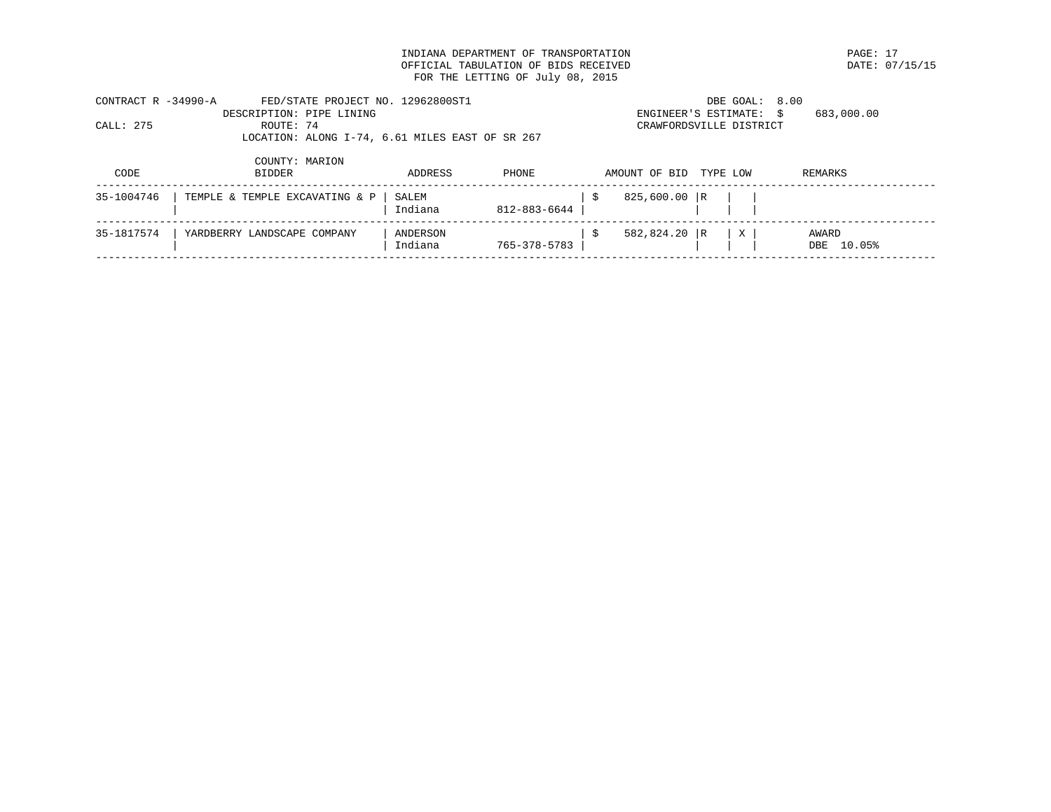INDIANA DEPARTMENT OF TRANSPORTATION **EXAMPLE SERVICE SERVICE SERVICE SERVICE SERVICE SERVICE SERVICE SERVICE S**<br>OFFICIAL TABULATION OF BIDS RECEIVED **PARTICULE SERVICE SERVICE SERVICE SERVICE SERVICE SERVICE SERVICE SERVI** OFFICIAL TABULATION OF BIDS RECEIVED FOR THE LETTING OF July 08, 2015

| CONTRACT R -34990-A |                          | FED/STATE PROJECT NO. 12962800ST1               | DBE GOAL: 8.00          |            |
|---------------------|--------------------------|-------------------------------------------------|-------------------------|------------|
|                     | DESCRIPTION: PIPE LINING |                                                 | ENGINEER'S ESTIMATE: \$ | 683,000.00 |
| CALL: 275           | ROUTE: 74                |                                                 | CRAWFORDSVILLE DISTRICT |            |
|                     |                          | LOCATION: ALONG I-74, 6.61 MILES EAST OF SR 267 |                         |            |
|                     |                          |                                                 |                         |            |
|                     | COUNTY: MARION           |                                                 |                         |            |

| CODE       | BIDDER                         | ADDRESS             | PHONE        | AMOUNT OF BID | TYPE LOW |   | REMARKS             |  |
|------------|--------------------------------|---------------------|--------------|---------------|----------|---|---------------------|--|
| 35-1004746 | TEMPLE & TEMPLE EXCAVATING & P | SALEM<br>Indiana    | 812-883-6644 | 825,600.00 R  |          |   |                     |  |
| 35-1817574 | YARDBERRY LANDSCAPE COMPANY    | ANDERSON<br>Indiana | 765-378-5783 | 582,824.20 R  |          | X | AWARD<br>DBE 10.05% |  |
|            |                                |                     |              |               |          |   |                     |  |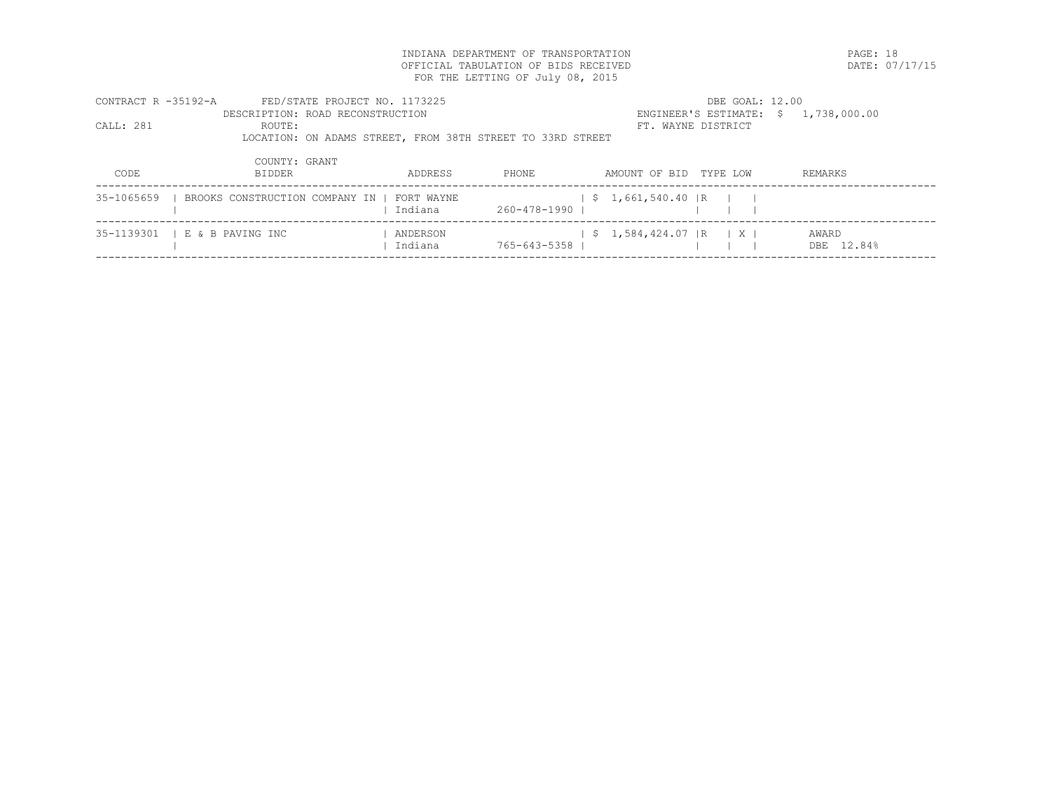INDIANA DEPARTMENT OF TRANSPORTATION PAGE: 18 OFFICIAL TABULATION OF BIDS RECEIVED FOR THE LETTING OF July 08, 2015

| CONTRACT R -35192-A | FED/STATE PROJECT NO. 1173225                              |          |                |                                | DBE GOAL: 12.00                      |            |
|---------------------|------------------------------------------------------------|----------|----------------|--------------------------------|--------------------------------------|------------|
|                     | DESCRIPTION: ROAD RECONSTRUCTION                           |          |                |                                | ENGINEER'S ESTIMATE: \$ 1,738,000.00 |            |
| CALL: 281           | ROUTE:                                                     |          |                | FT. WAYNE DISTRICT             |                                      |            |
|                     | LOCATION: ON ADAMS STREET, FROM 38TH STREET TO 33RD STREET |          |                |                                |                                      |            |
|                     |                                                            |          |                |                                |                                      |            |
|                     | COUNTY: GRANT                                              |          |                |                                |                                      |            |
| CODE                | <b>BIDDER</b>                                              | ADDRESS  | PHONE          | AMOUNT OF BID TYPE LOW         |                                      | REMARKS    |
|                     |                                                            |          |                |                                |                                      |            |
|                     | 35-1065659   BROOKS CONSTRUCTION COMPANY IN   FORT WAYNE   |          |                | $\frac{1}{5}$ , 1,661,540.40 R |                                      |            |
|                     |                                                            | Indiana  | 260-478-1990   |                                |                                      |            |
|                     | 35-1139301   E & B PAVING INC                              | ANDERSON |                | $\frac{1}{5}$ 1,584,424.07 R X |                                      | AWARD      |
|                     |                                                            | Indiana  | 765-643-5358 1 |                                |                                      | DBE 12.84% |
|                     |                                                            |          |                |                                |                                      |            |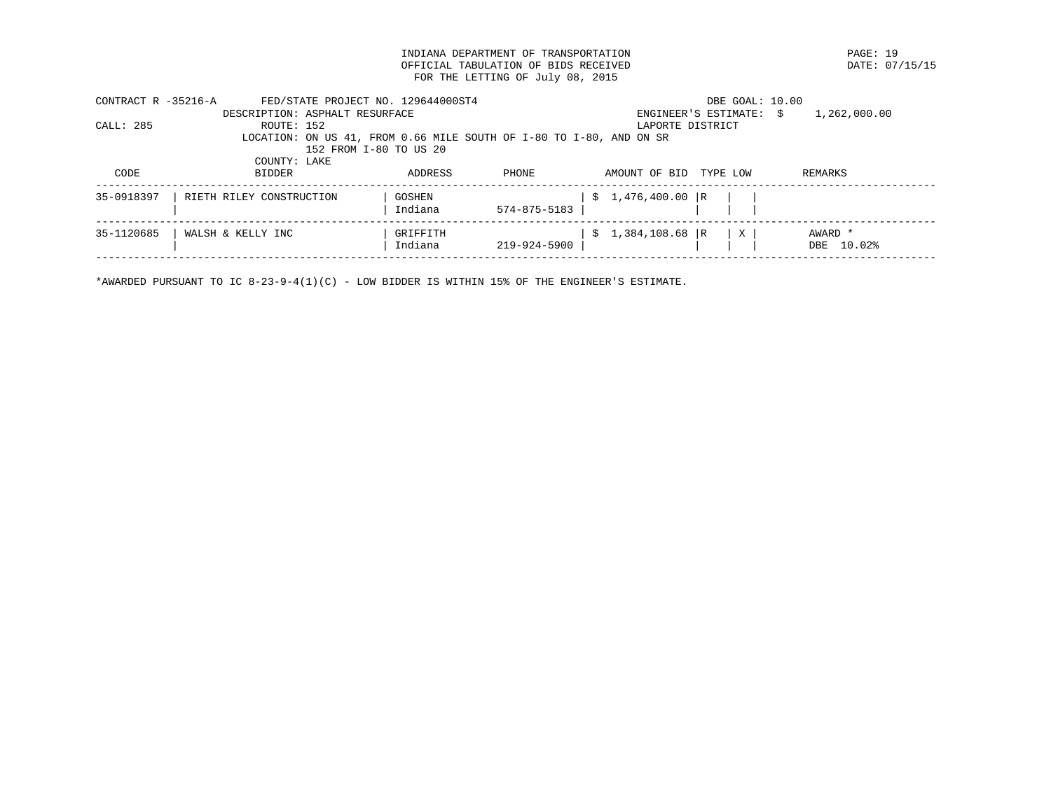INDIANA DEPARTMENT OF TRANSPORTATION PAGE: 19 OFFICIAL TABULATION OF BIDS RECEIVED FOR THE LETTING OF July 08, 2015

| CONTRACT R -35216-A | FED/STATE PROJECT NO. 129644000ST4                                  |                        |              |                   | DBE GOAL: 10.00         |              |
|---------------------|---------------------------------------------------------------------|------------------------|--------------|-------------------|-------------------------|--------------|
|                     | DESCRIPTION: ASPHALT RESURFACE                                      |                        |              |                   | ENGINEER'S ESTIMATE: \$ | 1,262,000.00 |
| CALL: 285           | ROUTE: 152                                                          |                        |              |                   | LAPORTE DISTRICT        |              |
|                     | LOCATION: ON US 41, FROM 0.66 MILE SOUTH OF I-80 TO I-80, AND ON SR |                        |              |                   |                         |              |
|                     |                                                                     | 152 FROM I-80 TO US 20 |              |                   |                         |              |
|                     | COUNTY: LAKE                                                        |                        |              |                   |                         |              |
| CODE                | <b>BIDDER</b>                                                       | ADDRESS                | <b>PHONE</b> | AMOUNT OF BID     | TYPE LOW                | REMARKS      |
|                     |                                                                     |                        |              |                   |                         |              |
| 35-0918397          | RIETH RILEY CONSTRUCTION                                            | GOSHEN                 |              | $$1,476,400.00$ R |                         |              |
|                     |                                                                     | Indiana                | 574-875-5183 |                   |                         |              |
|                     |                                                                     |                        |              |                   |                         |              |
| 35-1120685          | WALSH & KELLY INC                                                   | GRIFFITH               |              | $$1,384,108.68$ R | X                       | AWARD *      |
|                     |                                                                     | Indiana                | 219-924-5900 |                   |                         | DBE 10.02%   |
|                     |                                                                     |                        |              |                   |                         |              |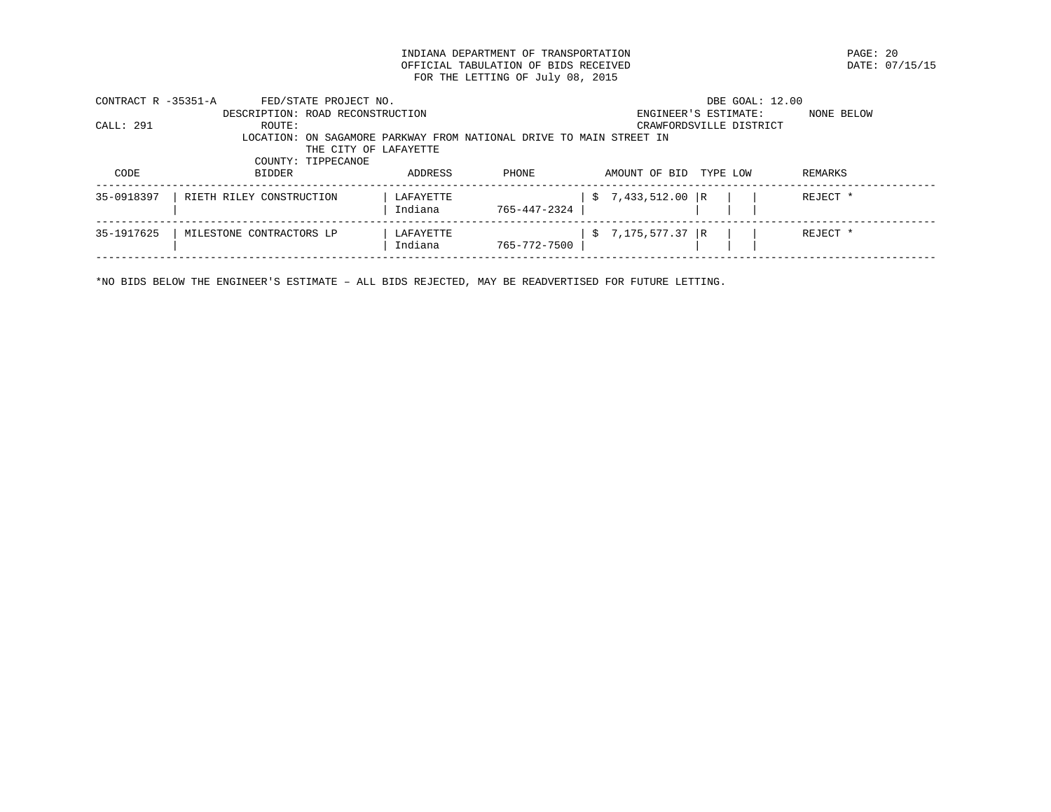INDIANA DEPARTMENT OF TRANSPORTATION **EXAMPLE ASSESSED ASSESSED ASSESSED ASSESSED** DATE: 07/15/15 OFFICIAL TABULATION OF BIDS RECEIVED FOR THE LETTING OF July 08, 2015

| CONTRACT R -35351-A | FED/STATE PROJECT NO.                                               |           |              |                   | DBE GOAL: 12.00         |            |
|---------------------|---------------------------------------------------------------------|-----------|--------------|-------------------|-------------------------|------------|
|                     | DESCRIPTION: ROAD RECONSTRUCTION                                    |           |              |                   | ENGINEER'S ESTIMATE:    | NONE BELOW |
| CALL: 291           | ROUTE:                                                              |           |              |                   | CRAWFORDSVILLE DISTRICT |            |
|                     | LOCATION: ON SAGAMORE PARKWAY FROM NATIONAL DRIVE TO MAIN STREET IN |           |              |                   |                         |            |
|                     | THE CITY OF LAFAYETTE                                               |           |              |                   |                         |            |
|                     | COUNTY: TIPPECANOE                                                  |           |              |                   |                         |            |
| CODE                | <b>BIDDER</b>                                                       | ADDRESS   | <b>PHONE</b> | AMOUNT OF BID     | TYPE LOW                | REMARKS    |
|                     |                                                                     |           |              |                   |                         |            |
| 35-0918397          | RIETH RILEY CONSTRUCTION                                            | LAFAYETTE |              | $$7,433,512.00$ R |                         | REJECT *   |
|                     |                                                                     | Indiana   | 765-447-2324 |                   |                         |            |
|                     |                                                                     |           |              |                   |                         |            |
| 35-1917625          | MILESTONE CONTRACTORS LP                                            | LAFAYETTE |              | $$7,175,577.37$ R |                         | REJECT *   |
|                     |                                                                     | Indiana   | 765-772-7500 |                   |                         |            |
|                     |                                                                     |           |              |                   |                         |            |

\*NO BIDS BELOW THE ENGINEER'S ESTIMATE – ALL BIDS REJECTED, MAY BE READVERTISED FOR FUTURE LETTING.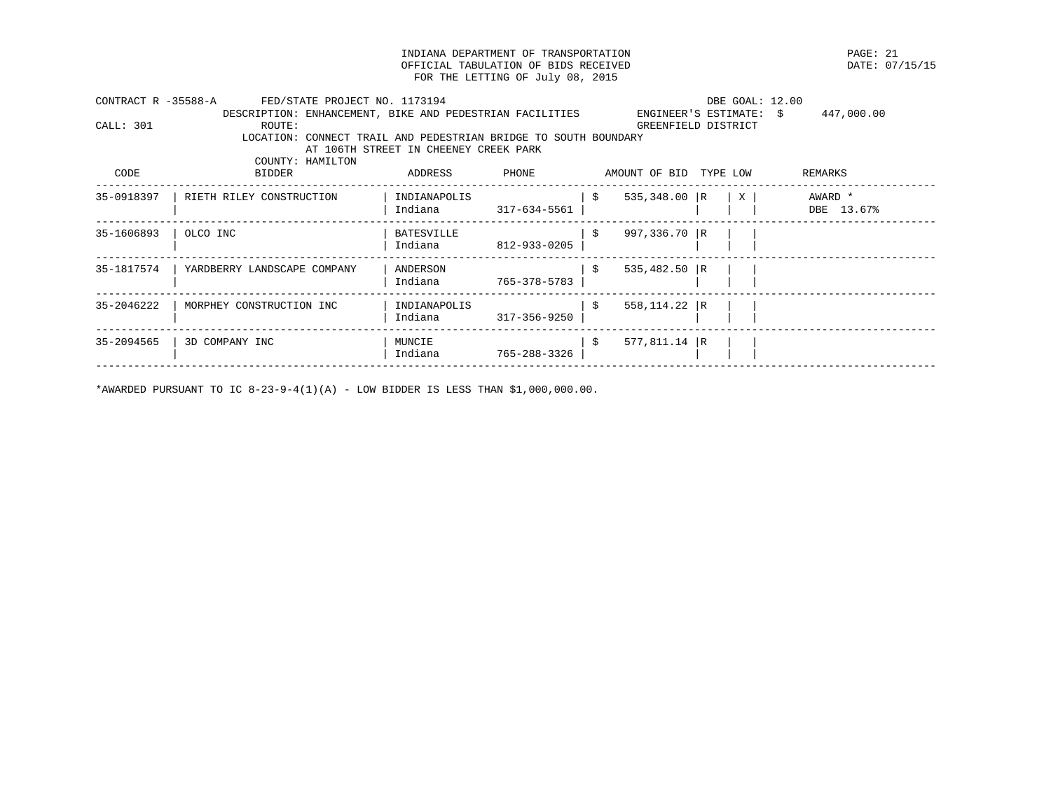INDIANA DEPARTMENT OF TRANSPORTATION PAGE: 21 OFFICIAL TABULATION OF BIDS RECEIVED FOR THE LETTING OF July 08, 2015

| CONTRACT R -35588-A | FED/STATE PROJECT NO. 1173194                                   |                                       |              |    |                         |                           | DBE GOAL: 12.00 |  |
|---------------------|-----------------------------------------------------------------|---------------------------------------|--------------|----|-------------------------|---------------------------|-----------------|--|
|                     | DESCRIPTION: ENHANCEMENT, BIKE AND PEDESTRIAN FACILITIES        |                                       |              |    | ENGINEER'S ESTIMATE: \$ |                           | 447,000.00      |  |
| CALL: 301           | ROUTE:                                                          |                                       |              |    | GREENFIELD DISTRICT     |                           |                 |  |
|                     | LOCATION: CONNECT TRAIL AND PEDESTRIAN BRIDGE TO SOUTH BOUNDARY |                                       |              |    |                         |                           |                 |  |
|                     |                                                                 | AT 106TH STREET IN CHEENEY CREEK PARK |              |    |                         |                           |                 |  |
|                     | COUNTY: HAMILTON                                                |                                       |              |    |                         |                           |                 |  |
| CODE                | BIDDER                                                          | ADDRESS                               | PHONE        |    | AMOUNT OF BID TYPE LOW  |                           | REMARKS         |  |
| 35-0918397          | RIETH RILEY CONSTRUCTION                                        | INDIANAPOLIS                          |              | -S | $535,348.00$ R          | $\boldsymbol{\mathrm{X}}$ | AWARD *         |  |
|                     |                                                                 | Indiana                               | 317-634-5561 |    |                         |                           | DBE 13.67%      |  |
| 35-1606893          | OLCO INC                                                        | BATESVILLE                            |              | -S | 997,336.70 R            |                           |                 |  |
|                     |                                                                 | Indiana                               | 812-933-0205 |    |                         |                           |                 |  |
| 35-1817574          | YARDBERRY LANDSCAPE COMPANY                                     | ANDERSON                              |              | S. | $535,482.50$ R          |                           |                 |  |
|                     |                                                                 | Indiana                               | 765-378-5783 |    |                         |                           |                 |  |
| 35-2046222          | MORPHEY CONSTRUCTION INC                                        | INDIANAPOLIS                          |              | S. | $558, 114.22$ R         |                           |                 |  |
|                     |                                                                 | Indiana                               | 317-356-9250 |    |                         |                           |                 |  |
| 35-2094565          | 3D COMPANY INC                                                  | MUNCIE                                |              | Ŝ. | 577,811.14   R          |                           |                 |  |
|                     |                                                                 | Indiana                               | 765-288-3326 |    |                         |                           |                 |  |
|                     |                                                                 |                                       |              |    |                         |                           |                 |  |

\*AWARDED PURSUANT TO IC  $8-23-9-4(1)(A)$  - LOW BIDDER IS LESS THAN \$1,000,000.00.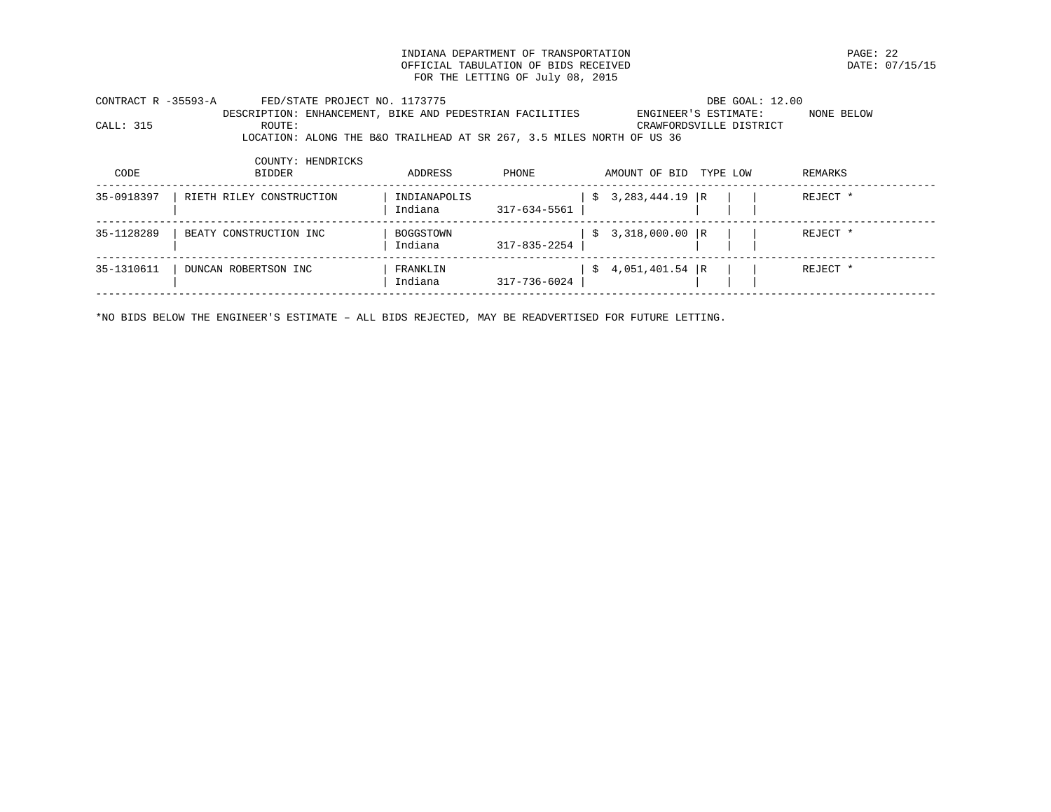INDIANA DEPARTMENT OF TRANSPORTATION PAGE: 22 OFFICIAL TABULATION OF BIDS RECEIVED FOR THE LETTING OF July 08, 2015

| CONTRACT R -35593-A |        | FED/STATE PROJECT NO. 1173775                            |  |                                                                       | DBE GOAL: 12.00         |            |
|---------------------|--------|----------------------------------------------------------|--|-----------------------------------------------------------------------|-------------------------|------------|
|                     |        | DESCRIPTION: ENHANCEMENT, BIKE AND PEDESTRIAN FACILITIES |  | ENGINEER'S ESTIMATE:                                                  |                         | NONE BELOW |
| CALL: 315           | ROUTE: |                                                          |  |                                                                       | CRAWFORDSVILLE DISTRICT |            |
|                     |        |                                                          |  | LOCATION: ALONG THE B&O TRAILHEAD AT SR 267, 3.5 MILES NORTH OF US 36 |                         |            |
|                     |        |                                                          |  |                                                                       |                         |            |

| CODE       | COUNTY: HENDRICKS<br>BIDDER | ADDRESS                 | PHONE        |   | AMOUNT OF BID     | TYPE LOW | REMARKS  |
|------------|-----------------------------|-------------------------|--------------|---|-------------------|----------|----------|
| 35-0918397 | RIETH RILEY CONSTRUCTION    | INDIANAPOLIS<br>Indiana | 317-634-5561 | S | $3,283,444.19$ R  |          | REJECT * |
| 35-1128289 | BEATY CONSTRUCTION INC      | BOGGSTOWN<br>Indiana    | 317-835-2254 |   | $$3,318,000.00$ R |          | REJECT * |
| 35-1310611 | DUNCAN ROBERTSON INC        | FRANKLIN<br>Indiana     | 317-736-6024 |   | $$4,051,401.54$ R |          | REJECT * |

\*NO BIDS BELOW THE ENGINEER'S ESTIMATE – ALL BIDS REJECTED, MAY BE READVERTISED FOR FUTURE LETTING.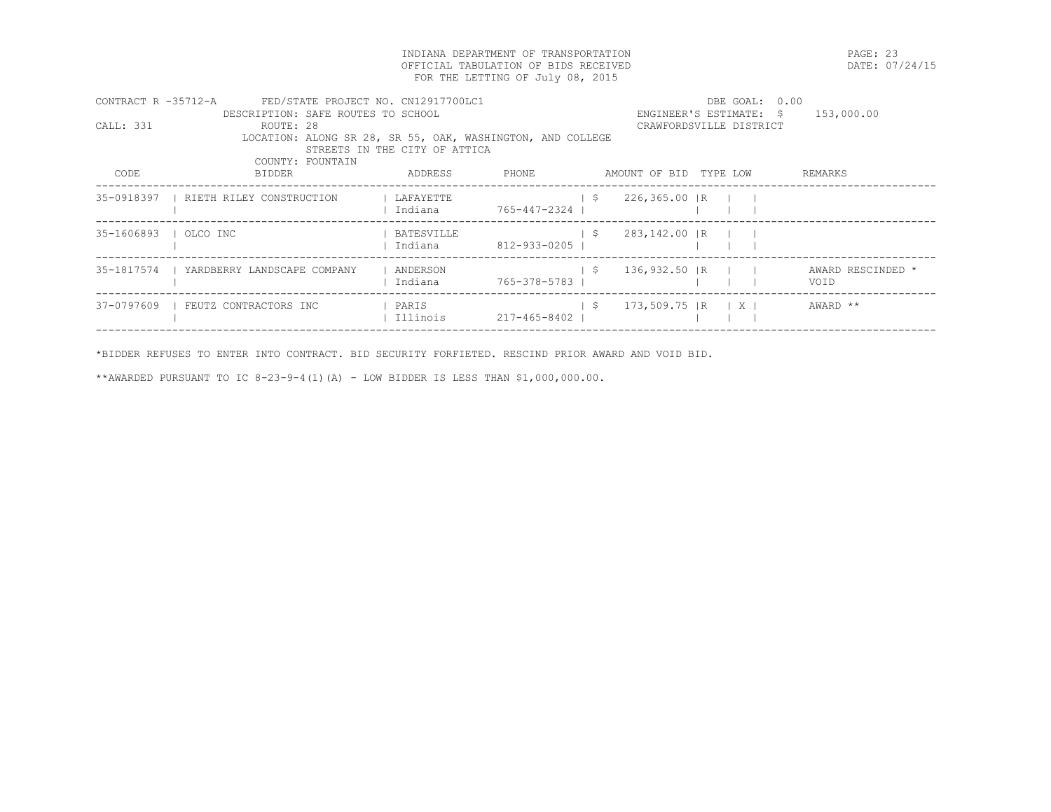INDIANA DEPARTMENT OF TRANSPORTATION PAGE: 23 OFFICIAL TABULATION OF BIDS RECEIVED FOR THE LETTING OF July 08, 2015

| CONTRACT R -35712-A |                                          | FED/STATE PROJECT NO. CN12917700LC1                        |                |                                | DBE GOAL: 0.00          |                   |
|---------------------|------------------------------------------|------------------------------------------------------------|----------------|--------------------------------|-------------------------|-------------------|
|                     | DESCRIPTION: SAFE ROUTES TO SCHOOL       |                                                            |                |                                | ENGINEER'S ESTIMATE: \$ | 153,000.00        |
| CALL: 331           | ROUTE: 28                                |                                                            |                |                                | CRAWFORDSVILLE DISTRICT |                   |
|                     |                                          | LOCATION: ALONG SR 28, SR 55, OAK, WASHINGTON, AND COLLEGE |                |                                |                         |                   |
|                     |                                          | STREETS IN THE CITY OF ATTICA                              |                |                                |                         |                   |
|                     | COUNTY: FOUNTAIN                         |                                                            |                |                                |                         |                   |
| CODE                | BIDDER                                   | ADDRESS                                                    | PHONE          | AMOUNT OF BID TYPE LOW         |                         | REMARKS           |
|                     | 35-0918397   RIETH RILEY CONSTRUCTION    | LAFAYETTE                                                  |                | $\frac{1}{5}$ 226,365.00 R     |                         |                   |
|                     |                                          | Indiana                                                    | 765-447-2324 1 |                                |                         |                   |
|                     |                                          |                                                            |                |                                |                         |                   |
|                     | 35-1606893   OLCO INC                    | BATESVILLE                                                 |                | $\vert$ \$<br>283,142.00 R     |                         |                   |
|                     |                                          | Indiana                                                    | 812-933-0205   |                                |                         |                   |
|                     |                                          |                                                            |                |                                |                         |                   |
|                     | 35-1817574   YARDBERRY LANDSCAPE COMPANY | ANDERSON                                                   |                | $\frac{1}{5}$ 136,932.50 R     |                         | AWARD RESCINDED * |
|                     |                                          | Indiana                                                    | 765-378-5783 1 |                                |                         | VOID              |
|                     |                                          |                                                            |                |                                |                         |                   |
| 37-0797609          | FEUTZ CONTRACTORS INC                    | PARIS                                                      |                | $\frac{1}{5}$ 173,509.75 R   X |                         | AWARD **          |
|                     |                                          | Illinois                                                   | 217-465-8402   |                                |                         |                   |
|                     |                                          |                                                            |                |                                |                         |                   |

\*BIDDER REFUSES TO ENTER INTO CONTRACT. BID SECURITY FORFIETED. RESCIND PRIOR AWARD AND VOID BID.

\*\*AWARDED PURSUANT TO IC 8-23-9-4(1)(A) - LOW BIDDER IS LESS THAN \$1,000,000.00.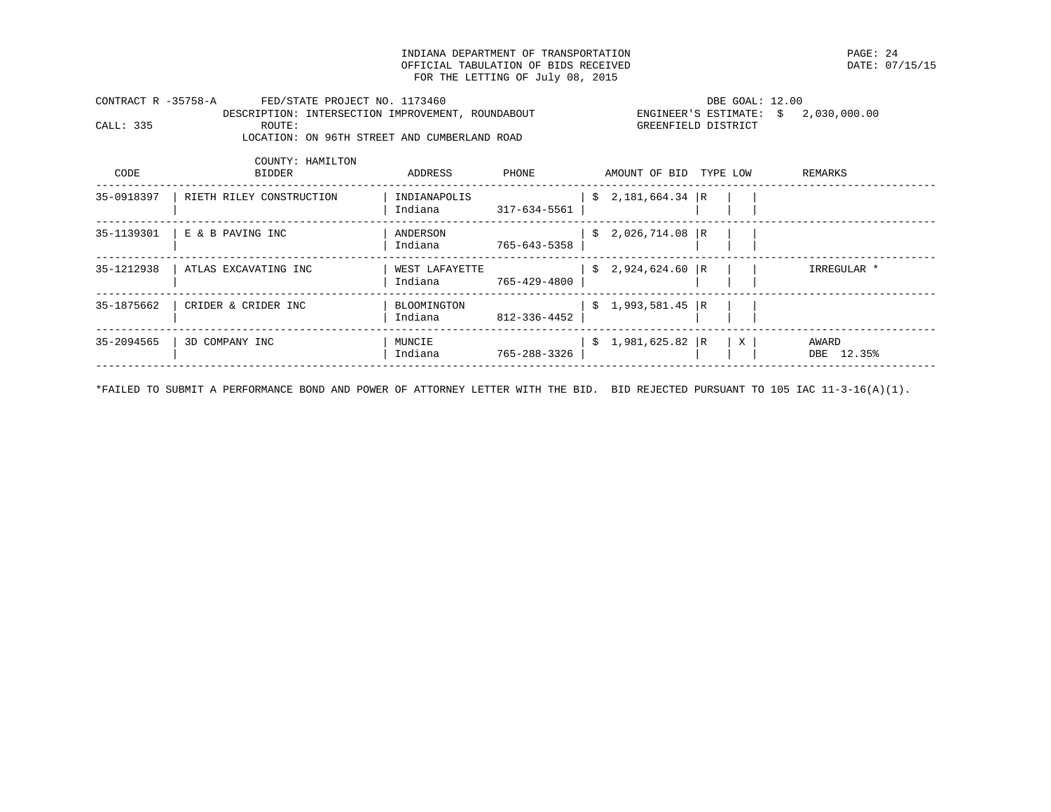INDIANA DEPARTMENT OF TRANSPORTATION PAGE: 24 OFFICIAL TABULATION OF BIDS RECEIVED FOR THE LETTING OF July 08, 2015

CONTRACT R -35758-A FED/STATE PROJECT NO. 1173460 DBE GOAL: 12.00 DESCRIPTION: INTERSECTION IMPROVEMENT, ROUNDABOUT ENGINEER'S ESTIMATE: \$ 2,030,000.00<br>CALL: 335 ROUTE: ROUTE: GREENFIELD DISTRICT LOCATION: ON 96TH STREET AND CUMBERLAND ROAD

| CODE       | COUNTY: HAMILTON<br><b>BIDDER</b> | ADDRESS                   | PHONE        |    | AMOUNT OF BID     | TYPE LOW |   | REMARKS             |
|------------|-----------------------------------|---------------------------|--------------|----|-------------------|----------|---|---------------------|
| 35-0918397 | RIETH RILEY CONSTRUCTION          | INDIANAPOLIS<br>Indiana   | 317-634-5561 | S. | 2,181,664.34      | - I R    |   |                     |
| 35-1139301 | E & B PAVING INC                  | ANDERSON<br>Indiana       | 765-643-5358 | S. | 2,026,714.08 R    |          |   |                     |
| 35-1212938 | ATLAS EXCAVATING INC              | WEST LAFAYETTE<br>Indiana | 765-429-4800 |    | $$2,924,624.60$ R |          |   | IRREGULAR *         |
| 35-1875662 | CRIDER & CRIDER INC               | BLOOMINGTON<br>Indiana    | 812-336-4452 | Ŝ. | 1,993,581.45 R    |          |   |                     |
| 35-2094565 | 3D COMPANY INC                    | MUNCIE<br>Indiana         | 765-288-3326 | S. | 1,981,625.82 R    |          | X | AWARD<br>DBE 12.35% |

\*FAILED TO SUBMIT A PERFORMANCE BOND AND POWER OF ATTORNEY LETTER WITH THE BID. BID REJECTED PURSUANT TO 105 IAC 11-3-16(A)(1).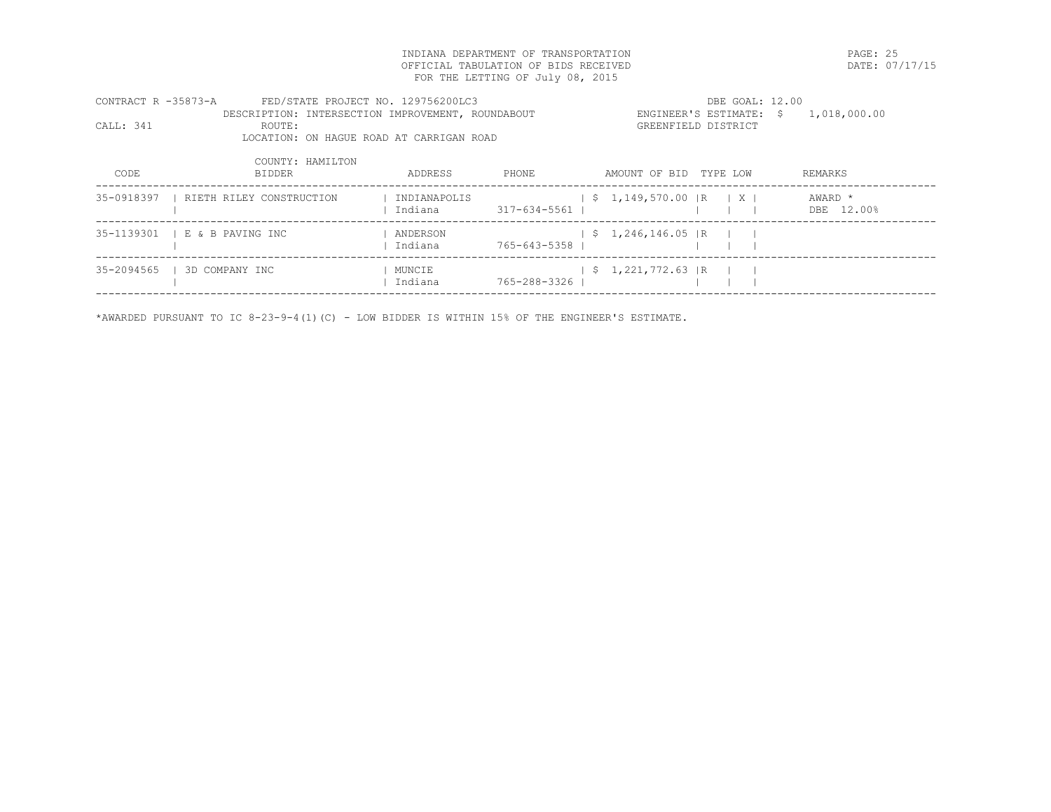INDIANA DEPARTMENT OF TRANSPORTATION PAGE: 25 OFFICIAL TABULATION OF BIDS RECEIVED FOR THE LETTING OF July 08, 2015

| CONTRACT R -35873-A |         | FED/STATE PROJECT NO. 129756200LC3                | DBE GOAL: 12.00     |  |                                       |
|---------------------|---------|---------------------------------------------------|---------------------|--|---------------------------------------|
| CALL: 341           | ROUTE : | DESCRIPTION: INTERSECTION IMPROVEMENT, ROUNDABOUT | GREENFIELD DISTRICT |  | ENGINEER'S ESTIMATE: $$ 1,018,000.00$ |
|                     |         | LOCATION: ON HAGUE ROAD AT CARRIGAN ROAD          |                     |  |                                       |
|                     |         | COUNTY: HAMILTON                                  |                     |  |                                       |

| CODE       | <b>BIDDER</b>                 | ADDRESS                 | PHONE          | AMOUNT OF BID TYPE LOW                              |  | REMARKS               |
|------------|-------------------------------|-------------------------|----------------|-----------------------------------------------------|--|-----------------------|
| 35-0918397 | RIETH RILEY CONSTRUCTION      | INDIANAPOLIS<br>Indiana | 317-634-5561   | $\vert$ \$ 1,149,570.00 $\vert$ R $\vert$ X $\vert$ |  | AWARD *<br>DBE 12.00% |
|            | 35-1139301   E & B PAVING INC | ANDERSON<br>Indiana     | 765-643-5358   | $\frac{1}{2}$ \$ 1,246,146.05 R                     |  |                       |
| 35-2094565 | 1 3D COMPANY INC              | MUNCIE<br>Indiana       | 765-288-3326 1 | $\frac{1}{2}$ \$ 1,221,772.63 R                     |  |                       |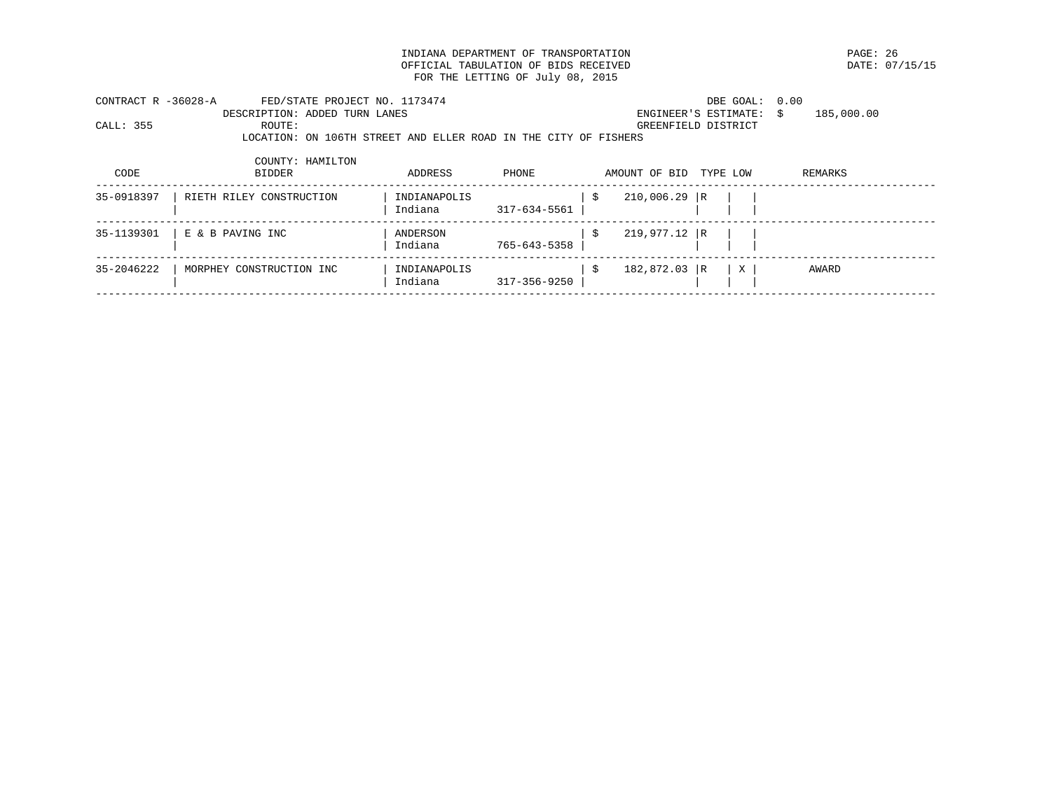INDIANA DEPARTMENT OF TRANSPORTATION **EXAMPLE 1999** PAGE: 26 PAGE: 26 PAGE: 26 PAGE: 26 PAGE: 07/15/15 OFFICIAL TABULATION OF BIDS RECEIVED FOR THE LETTING OF July 08, 2015

| CONTRACT R -36028-A<br>CALL: 355 | FED/STATE PROJECT NO. 1173474<br>DESCRIPTION: ADDED TURN LANES<br>ROUTE: |                         |              |    |                | DBE GOAL: 0.00<br>ENGINEER'S ESTIMATE:<br>GREENFIELD DISTRICT | 185,000.00<br>S. |
|----------------------------------|--------------------------------------------------------------------------|-------------------------|--------------|----|----------------|---------------------------------------------------------------|------------------|
|                                  | LOCATION: ON 106TH STREET AND ELLER ROAD IN THE CITY OF FISHERS          |                         |              |    |                |                                                               |                  |
|                                  | COUNTY: HAMILTON                                                         |                         |              |    |                |                                                               |                  |
| CODE                             | <b>BIDDER</b>                                                            | ADDRESS                 | PHONE        |    | AMOUNT OF BID  | TYPE LOW                                                      | REMARKS          |
| 35-0918397                       | RIETH RILEY CONSTRUCTION                                                 | INDIANAPOLIS<br>Indiana | 317-634-5561 | -S | $210,006.29$ R |                                                               |                  |
|                                  |                                                                          |                         |              |    |                |                                                               |                  |
| 35-1139301                       | E & B PAVING INC                                                         | ANDERSON                |              | Ŝ. | $219,977.12$ R |                                                               |                  |
|                                  |                                                                          | Indiana                 | 765-643-5358 |    |                |                                                               |                  |
| 35-2046222                       | MORPHEY CONSTRUCTION INC                                                 | INDIANAPOLIS<br>Indiana | 317-356-9250 | -S | 182,872.03 R   | X                                                             | AWARD            |
|                                  |                                                                          |                         |              |    |                |                                                               |                  |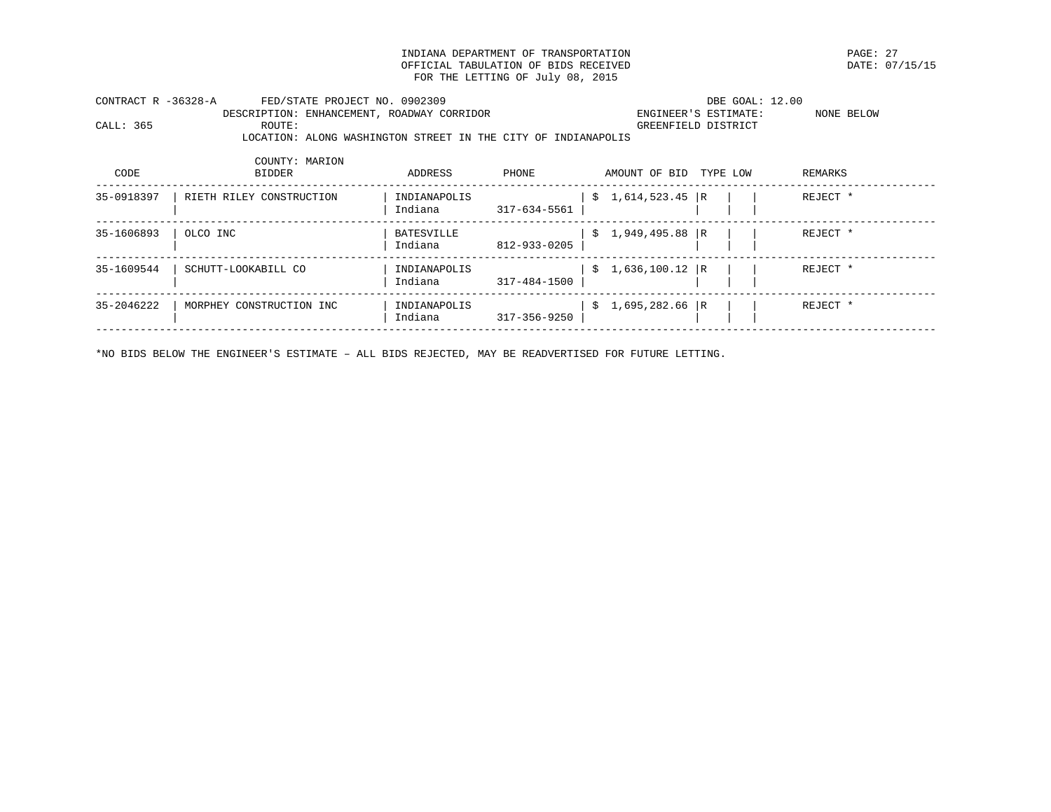INDIANA DEPARTMENT OF TRANSPORTATION PAGE: 27 OFFICIAL TABULATION OF BIDS RECEIVED FOR THE LETTING OF July 08, 2015

| SE CO10307          | BIRDHI BILIMI GOMARDHARIAMI |                                                               | T1T1T1T1T1T0TT1T |       | $A \cap A$ radio $A \cap A$ |                      | $mm + mm +$ |            |  |
|---------------------|-----------------------------|---------------------------------------------------------------|------------------|-------|-----------------------------|----------------------|-------------|------------|--|
| CODE                | COUNTY: MARION<br>BIDDER    |                                                               | ADDRESS          | PHONE | AMOUNT OF BID TYPE LOW      |                      | REMARKS     |            |  |
|                     |                             | LOCATION: ALONG WASHINGTON STREET IN THE CITY OF INDIANAPOLIS |                  |       |                             |                      |             |            |  |
| CALL: 365           | ROUTE:                      |                                                               |                  |       | GREENFIELD DISTRICT         |                      |             |            |  |
|                     |                             | DESCRIPTION: ENHANCEMENT, ROADWAY CORRIDOR                    |                  |       |                             | ENGINEER'S ESTIMATE: |             | NONE BELOW |  |
| CONTRACT R -36328-A |                             | FED/STATE PROJECT NO. 0902309                                 |                  |       |                             | DBE GOAL: 12.00      |             |            |  |

| 35-0918397 | RIETH RILEY CONSTRUCTION | INDIANAPOLIS<br>Indiana | 317-634-5561 | $$1,614,523.45$ R |  | REJECT * |
|------------|--------------------------|-------------------------|--------------|-------------------|--|----------|
| 35-1606893 | OLCO INC                 | BATESVILLE<br>Indiana   | 812-933-0205 | $$1,949,495.88$ R |  | REJECT * |
| 35-1609544 | SCHUTT-LOOKABILL CO      | INDIANAPOLIS<br>Indiana | 317-484-1500 | $$1,636,100.12$ R |  | REJECT * |
| 35-2046222 | MORPHEY CONSTRUCTION INC | INDIANAPOLIS<br>Indiana | 317-356-9250 | $$1,695,282.66$ R |  | REJECT * |
|            |                          |                         |              |                   |  |          |

\*NO BIDS BELOW THE ENGINEER'S ESTIMATE – ALL BIDS REJECTED, MAY BE READVERTISED FOR FUTURE LETTING.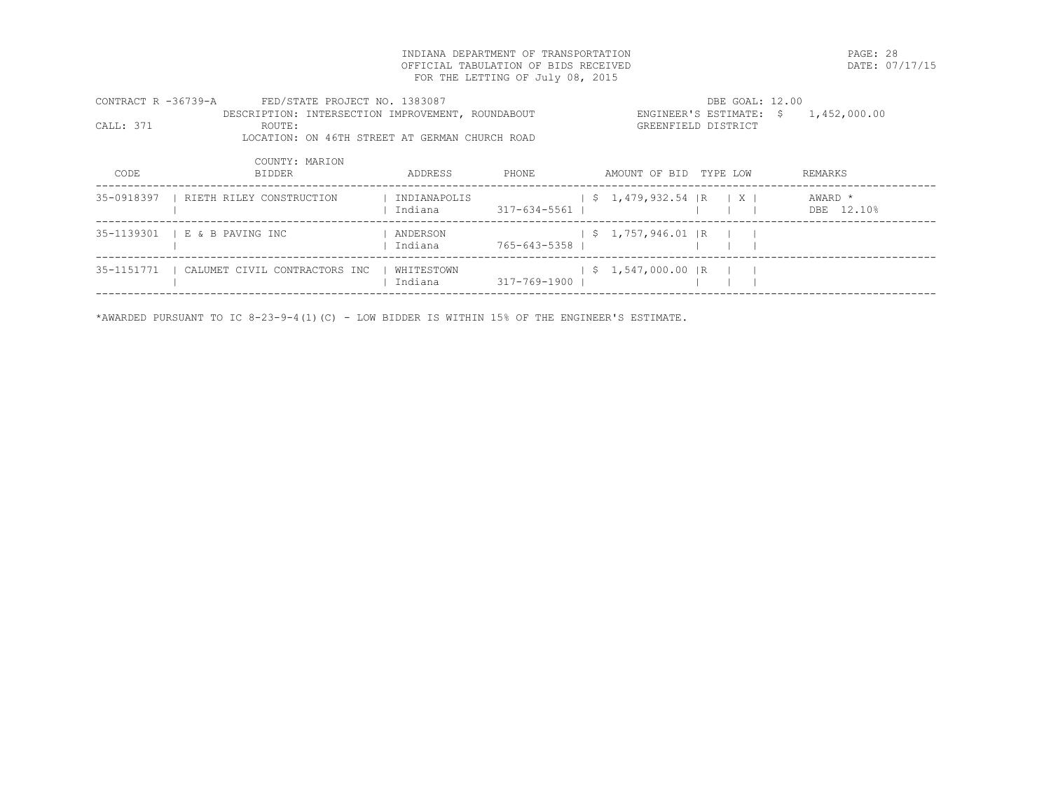INDIANA DEPARTMENT OF TRANSPORTATION PAGE: 28 OFFICIAL TABULATION OF BIDS RECEIVED FOR THE LETTING OF July 08, 2015

| FED/STATE PROJECT NO. 1383087<br>CONTRACT R -36739-A |                                                   |                         |                | DBE GOAL: 12.00                     |                     |                                       |  |  |  |
|------------------------------------------------------|---------------------------------------------------|-------------------------|----------------|-------------------------------------|---------------------|---------------------------------------|--|--|--|
|                                                      | DESCRIPTION: INTERSECTION IMPROVEMENT, ROUNDABOUT |                         |                |                                     |                     | ENGINEER'S ESTIMATE: $$ 1,452,000.00$ |  |  |  |
| CALL: 371                                            | ROUTE:                                            |                         |                |                                     | GREENFIELD DISTRICT |                                       |  |  |  |
|                                                      | LOCATION: ON 46TH STREET AT GERMAN CHURCH ROAD    |                         |                |                                     |                     |                                       |  |  |  |
|                                                      | COUNTY: MARION                                    |                         |                |                                     |                     |                                       |  |  |  |
| CODE                                                 | <b>BIDDER</b>                                     | ADDRESS                 | PHONE          | AMOUNT OF BID TYPE LOW              |                     | REMARKS                               |  |  |  |
| 35-0918397                                           | RIETH RILEY CONSTRUCTION                          | INDIANAPOLIS<br>Indiana | 317-634-5561   | $\frac{1}{2}$ \$ 1,479,932.54 R   X |                     | AWARD *<br>DBE 12.10%                 |  |  |  |
|                                                      | 35-1139301   E & B PAVING INC                     | ANDERSON<br>Indiana     | 765-643-5358 1 | $\frac{1}{5}$ 1,757,946.01 R        |                     |                                       |  |  |  |
| 35-1151771                                           | CALUMET CIVIL CONTRACTORS INC                     | WHITESTOWN<br>Indiana   | 317-769-1900   | $\frac{1}{5}$ , 1,547,000.00 R      |                     |                                       |  |  |  |

------------------------------------------------------------------------------------------------------------------------------------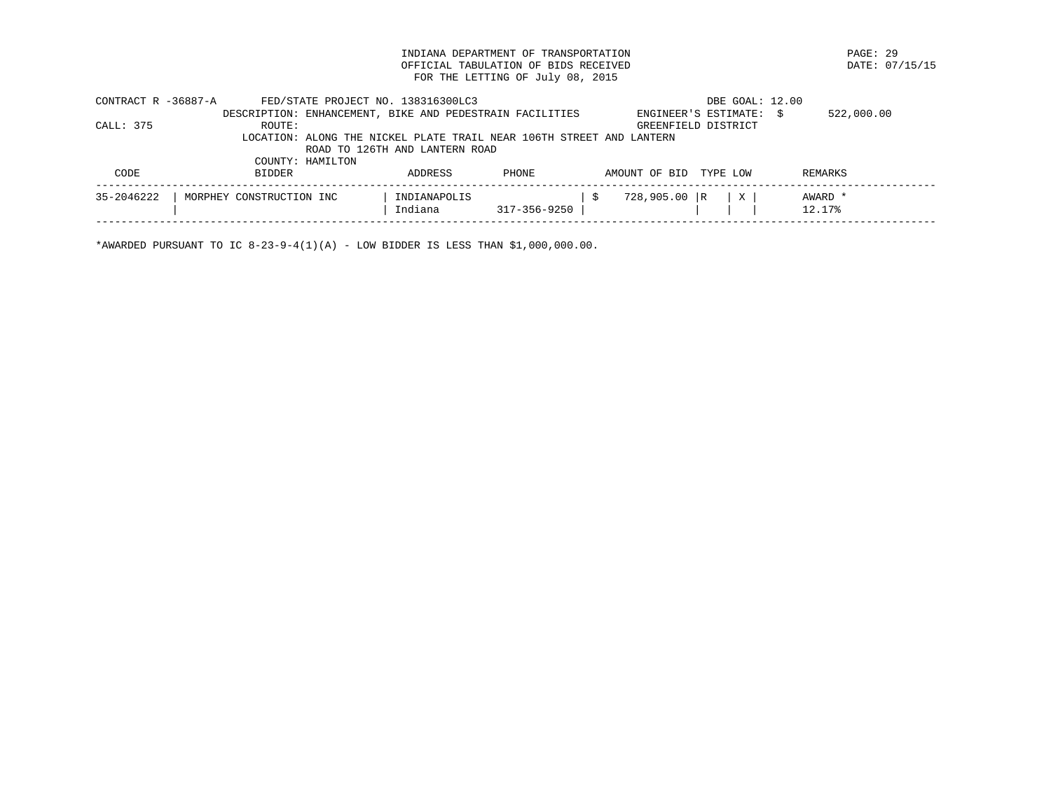INDIANA DEPARTMENT OF TRANSPORTATION PAGE: 29 OFFICIAL TABULATION OF BIDS RECEIVED FOR THE LETTING OF July 08, 2015

| CONTRACT R -36887-A | FED/STATE PROJECT NO. 138316300LC3                                   |                                |              |               | DBE GOAL: 12.00         |                   |
|---------------------|----------------------------------------------------------------------|--------------------------------|--------------|---------------|-------------------------|-------------------|
|                     | DESCRIPTION: ENHANCEMENT, BIKE AND PEDESTRAIN FACILITIES             |                                |              |               | ENGINEER'S ESTIMATE: \$ | 522,000.00        |
| CALL: 375           | ROUTE:                                                               |                                |              |               | GREENFIELD DISTRICT     |                   |
|                     | LOCATION: ALONG THE NICKEL PLATE TRAIL NEAR 106TH STREET AND LANTERN |                                |              |               |                         |                   |
|                     |                                                                      | ROAD TO 126TH AND LANTERN ROAD |              |               |                         |                   |
|                     | COUNTY: HAMILTON                                                     |                                |              |               |                         |                   |
| CODE                | BIDDER                                                               | ADDRESS                        | PHONE        | AMOUNT OF BID | TYPE LOW                | REMARKS           |
| 35-2046222          | MORPHEY CONSTRUCTION INC                                             | INDIANAPOLIS<br>Indiana        | 317-356-9250 | 728,905.00 R  |                         | AWARD *<br>12.17% |
|                     |                                                                      |                                |              |               |                         |                   |

\*AWARDED PURSUANT TO IC  $8-23-9-4(1)(A)$  - LOW BIDDER IS LESS THAN \$1,000,000.00.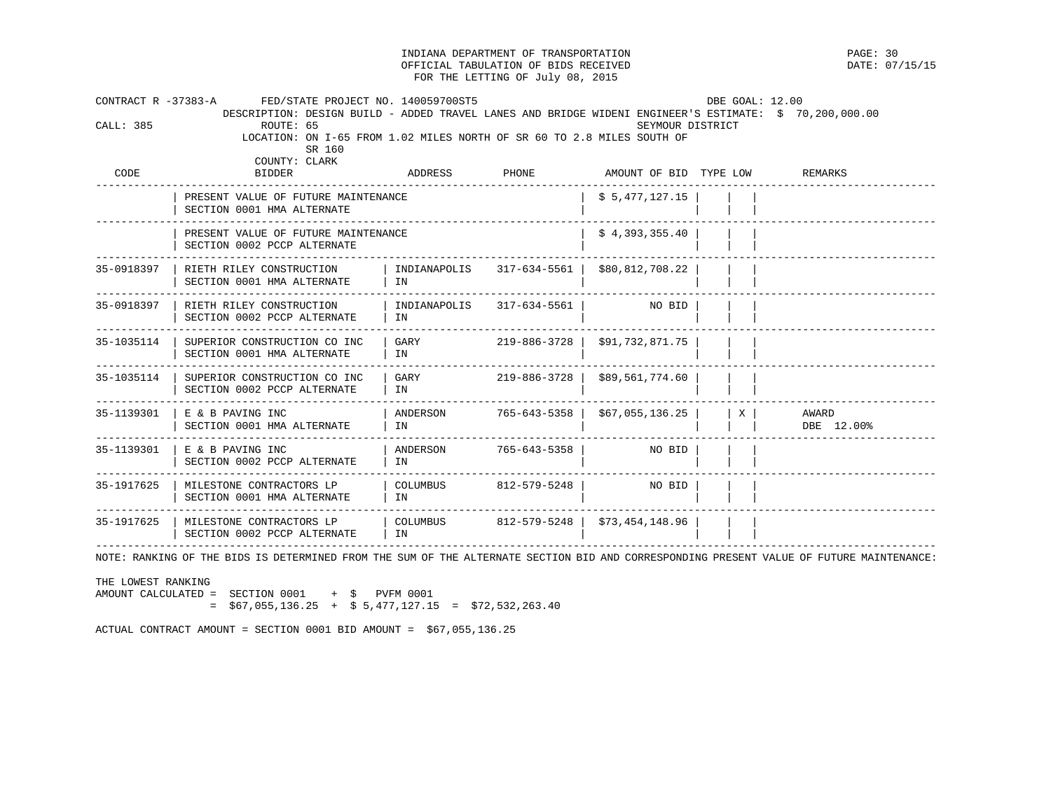INDIANA DEPARTMENT OF TRANSPORTATION PAGE: 30 OFFICIAL TABULATION OF BIDS RECEIVED FOR THE LETTING OF July 08, 2015 CONTRACT R -37383-A FED/STATE PROJECT NO. 140059700ST5 DBC GOAL: 12.00 DESCRIPTION: DESIGN BUILD - ADDED TRAVEL LANES AND BRIDGE WIDENI ENGINEER'S ESTIMATE: \$ 70,200,000.00 SEYMOUR DISTRICT LOCATION: ON I-65 FROM 1.02 MILES NORTH OF SR 60 TO 2.8 MILES SOUTH OF SR 160 COUNTY: CLARK<br>CODE BIDDER ADDRESS PHONE AMOUNT OF BID TYPE LOW REMARKS ------------------------------------------------------------------------------------------------------------------------------------

|            | PRESENT VALUE OF FUTURE MAINTENANCE<br>SECTION 0001 HMA ALTERNATE  | \$5,477,127.15     |              |                                |   |                     |
|------------|--------------------------------------------------------------------|--------------------|--------------|--------------------------------|---|---------------------|
|            | PRESENT VALUE OF FUTURE MAINTENANCE<br>SECTION 0002 PCCP ALTERNATE |                    |              | \$4,393,355.40                 |   |                     |
| 35-0918397 | RIETH RILEY CONSTRUCTION<br>SECTION 0001 HMA ALTERNATE             | INDIANAPOLIS<br>ΙN | 317-634-5561 | \$80,812,708.22                |   |                     |
| 35-0918397 | RIETH RILEY CONSTRUCTION<br>SECTION 0002 PCCP ALTERNATE            | INDIANAPOLIS<br>IN | 317-634-5561 | NO BID                         |   |                     |
| 35-1035114 | SUPERIOR CONSTRUCTION CO INC<br>SECTION 0001 HMA ALTERNATE         | GARY<br>IN         | 219-886-3728 | \$91,732,871.75                |   |                     |
| 35-1035114 | SUPERIOR CONSTRUCTION CO INC<br>SECTION 0002 PCCP ALTERNATE        | GARY<br>ΙN         | 219-886-3728 | \$89,561,774.60                |   |                     |
| 35-1139301 | E & B PAVING INC<br>SECTION 0001 HMA ALTERNATE                     | ANDERSON<br>IN     | 765-643-5358 | \$67,055,136.25                | X | AWARD<br>DBE 12.00% |
| 35-1139301 | E & B PAVING INC<br>SECTION 0002 PCCP ALTERNATE                    | ANDERSON<br>ΙN     | 765-643-5358 | NO BID                         |   |                     |
| 35-1917625 | MILESTONE CONTRACTORS LP<br>SECTION 0001 HMA ALTERNATE             | COLUMBUS<br>IN     | 812-579-5248 | NO BID                         |   |                     |
| 35-1917625 | MILESTONE CONTRACTORS LP<br>SECTION 0002 PCCP ALTERNATE            | COLUMBUS<br>IN     |              | 812-579-5248   \$73,454,148.96 |   |                     |

NOTE: RANKING OF THE BIDS IS DETERMINED FROM THE SUM OF THE ALTERNATE SECTION BID AND CORRESPONDING PRESENT VALUE OF FUTURE MAINTENANCE:

THE LOWEST RANKING

AMOUNT CALCULATED = SECTION 0001 + \$ PVFM 0001  $=$  \$67,055,136.25 + \$ 5,477,127.15 = \$72,532,263.40

ACTUAL CONTRACT AMOUNT = SECTION 0001 BID AMOUNT = \$67,055,136.25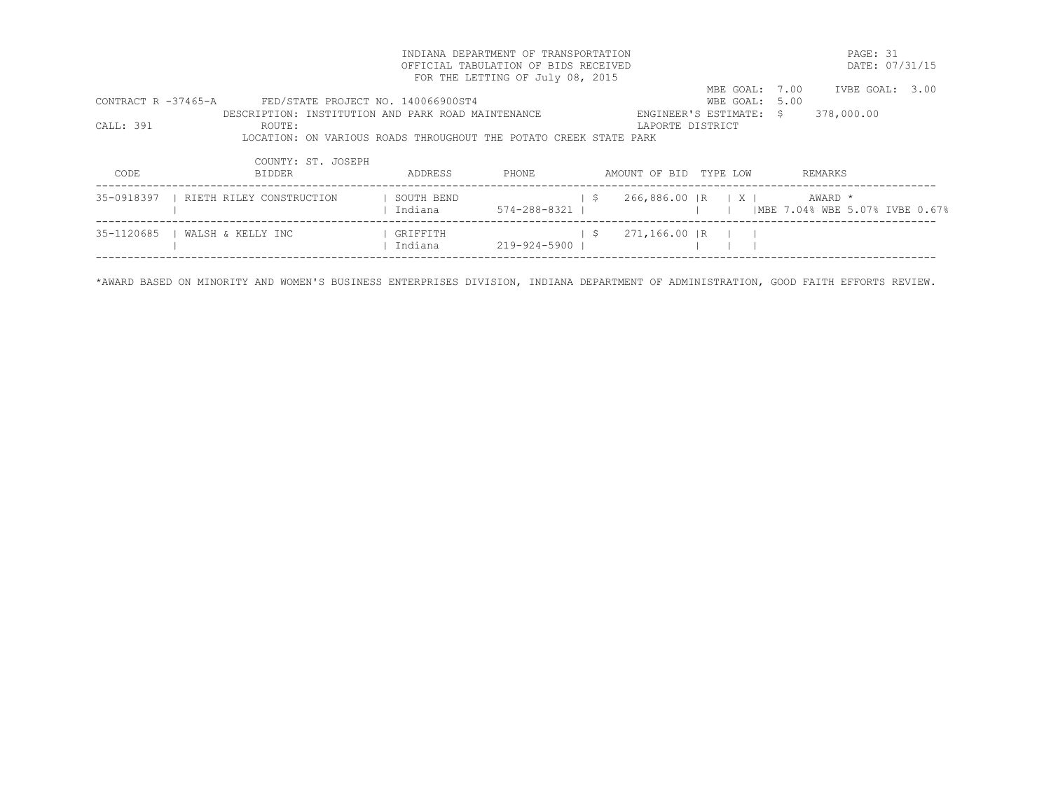| INDIANA DEPARTMENT OF TRANSPORTATION |                                                                   |            |                                  |      |                                              |                         | PAGE: 31                        |                |
|--------------------------------------|-------------------------------------------------------------------|------------|----------------------------------|------|----------------------------------------------|-------------------------|---------------------------------|----------------|
| OFFICIAL TABULATION OF BIDS RECEIVED |                                                                   |            |                                  |      |                                              |                         |                                 | DATE: 07/31/15 |
|                                      |                                                                   |            | FOR THE LETTING OF July 08, 2015 |      |                                              |                         |                                 |                |
|                                      |                                                                   |            |                                  |      |                                              | MBE GOAL: 7.00          | IVBE GOAL: 3.00                 |                |
| CONTRACT R -37465-A                  | FED/STATE PROJECT NO. 140066900ST4                                |            |                                  |      |                                              | WBE GOAL: 5.00          |                                 |                |
|                                      | DESCRIPTION: INSTITUTION AND PARK ROAD MAINTENANCE                |            |                                  |      |                                              | ENGINEER'S ESTIMATE: \$ | 378,000.00                      |                |
| CALL: 391                            | ROUTE:                                                            |            |                                  |      | LAPORTE DISTRICT                             |                         |                                 |                |
|                                      | LOCATION: ON VARIOUS ROADS THROUGHOUT THE POTATO CREEK STATE PARK |            |                                  |      |                                              |                         |                                 |                |
|                                      | COUNTY: ST. JOSEPH                                                |            |                                  |      |                                              |                         |                                 |                |
| CODE                                 | <b>BIDDER</b>                                                     | ADDRESS    | PHONE                            |      | AMOUNT OF BID TYPE LOW                       |                         | REMARKS                         |                |
| 35-0918397                           | RIETH RILEY CONSTRUCTION                                          | SOUTH BEND |                                  | - \$ | $266,886.00$ $\vert R \vert$ $\vert X \vert$ |                         | AWARD *                         |                |
|                                      |                                                                   | Indiana    | 574-288-8321                     |      |                                              |                         | IMBE 7.04% WBE 5.07% IVBE 0.67% |                |
| 35-1120685                           | WALSH & KELLY INC                                                 | GRIFFITH   |                                  | S.   | 271,166.00 IR                                |                         |                                 |                |
|                                      |                                                                   | Indiana    | 219-924-5900                     |      |                                              |                         |                                 |                |
|                                      |                                                                   |            |                                  |      |                                              |                         |                                 |                |

\*AWARD BASED ON MINORITY AND WOMEN'S BUSINESS ENTERPRISES DIVISION, INDIANA DEPARTMENT OF ADMINISTRATION, GOOD FAITH EFFORTS REVIEW.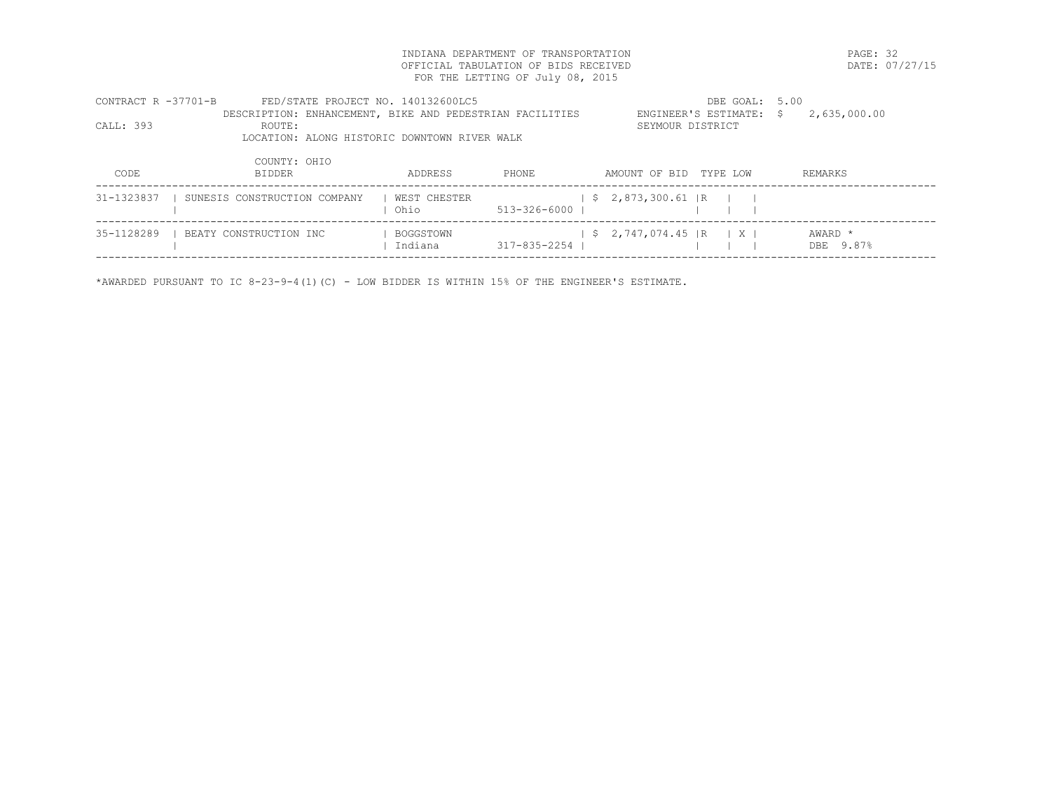INDIANA DEPARTMENT OF TRANSPORTATION PAGE: 32 OFFICIAL TABULATION OF BIDS RECEIVED FOR THE LETTING OF July 08, 2015

| CONTRACT R -37701-B | FED/STATE PROJECT NO. 140132600LC5                       |              | DBE GOAL: 5.00     |                           |              |  |
|---------------------|----------------------------------------------------------|--------------|--------------------|---------------------------|--------------|--|
|                     | DESCRIPTION: ENHANCEMENT, BIKE AND PEDESTRIAN FACILITIES |              |                    | ENGINEER'S ESTIMATE: \$   | 2,635,000.00 |  |
| CALL: 393           | ROUTE:                                                   |              |                    | SEYMOUR DISTRICT          |              |  |
|                     | LOCATION: ALONG HISTORIC DOWNTOWN RIVER WALK             |              |                    |                           |              |  |
|                     |                                                          |              |                    |                           |              |  |
|                     | COUNTY: OHIO                                             |              |                    |                           |              |  |
| CODE                | BIDDER                                                   | ADDRESS      | PHONE              | AMOUNT OF BID<br>TYPE LOW | REMARKS      |  |
|                     | 31-1323837   SUNESIS CONSTRUCTION COMPANY                | WEST CHESTER |                    | $$2,873,300.61$ R         |              |  |
|                     |                                                          | Ohio         | $513 - 326 - 6000$ |                           |              |  |
|                     |                                                          |              |                    |                           |              |  |
| 35-1128289          | I BEATY CONSTRUCTION INC                                 | BOGGSTOWN    |                    | $$2,747,074.45$ R X I     | AWARD *      |  |
|                     |                                                          | Indiana      | $317 - 835 - 2254$ |                           | DBE 9.87%    |  |
|                     |                                                          |              |                    |                           |              |  |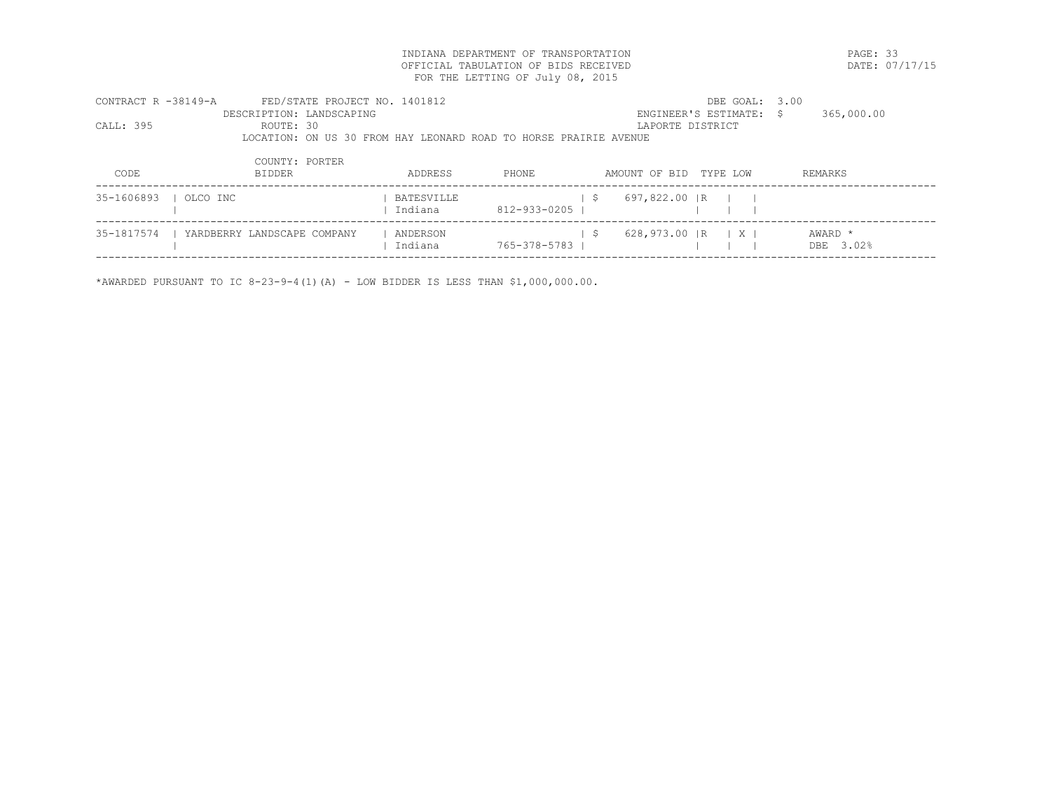INDIANA DEPARTMENT OF TRANSPORTATION PAGE: 33 OFFICIAL TABULATION OF BIDS RECEIVED FOR THE LETTING OF July 08, 2015

| CONTRACT R -38149-A<br>CALL: 395 | FED/STATE PROJECT NO. 1401812<br>DESCRIPTION: LANDSCAPING<br>ROUTE: 30<br>LOCATION: ON US 30 FROM HAY LEONARD ROAD TO HORSE PRAIRIE AVENUE |                       |              | LAPORTE DISTRICT     | DBE GOAL: 3.00<br>ENGINEER'S ESTIMATE: \$ | 365,000.00           |
|----------------------------------|--------------------------------------------------------------------------------------------------------------------------------------------|-----------------------|--------------|----------------------|-------------------------------------------|----------------------|
| CODE                             | COUNTY: PORTER<br><b>BIDDER</b>                                                                                                            | ADDRESS               | PHONE        | AMOUNT OF BID        | TYPE LOW                                  | REMARKS              |
| 35-1606893                       | OLCO INC                                                                                                                                   | BATESVILLE<br>Indiana | 812-933-0205 | 697,822.00 IR<br>- S |                                           |                      |
| 35-1817574                       | YARDBERRY LANDSCAPE COMPANY                                                                                                                | ANDERSON<br>Indiana   | 765-378-5783 | - S<br>628,973.00 IR | $\mid$ X $\mid$                           | AWARD *<br>DBE 3.02% |

\*AWARDED PURSUANT TO IC  $8-23-9-4(1)(A)$  - LOW BIDDER IS LESS THAN \$1,000,000.00.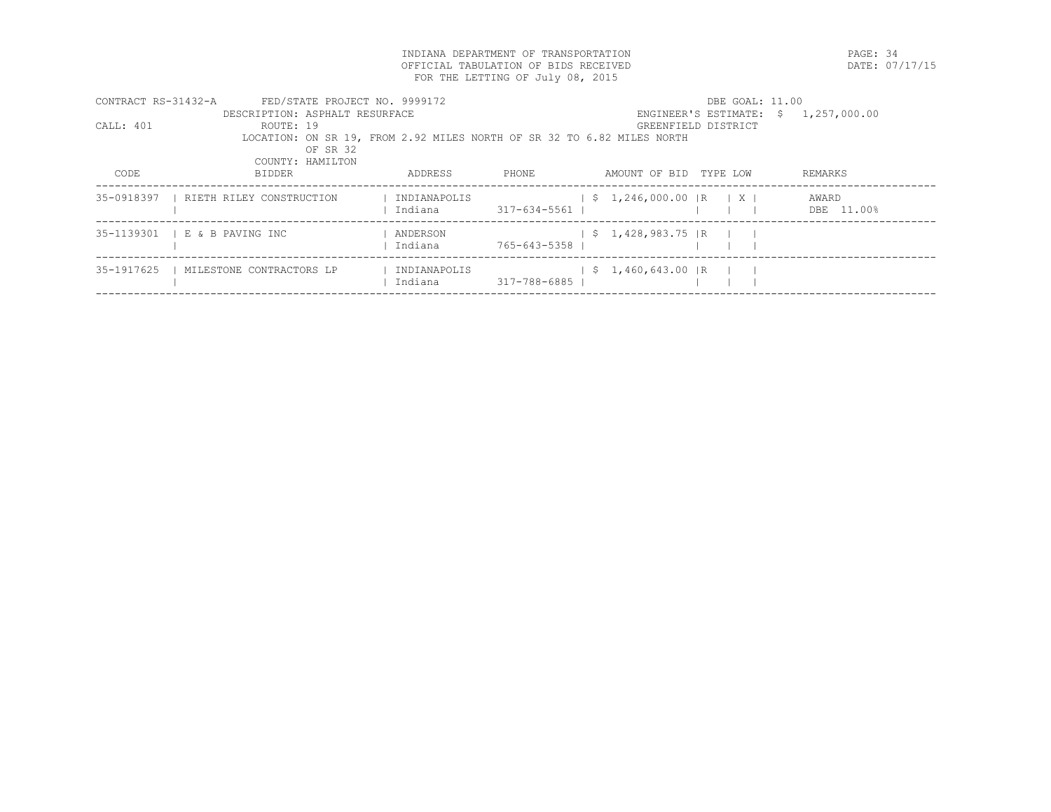INDIANA DEPARTMENT OF TRANSPORTATION PAGE: 34 OFFICIAL TABULATION OF BIDS RECEIVED FOR THE LETTING OF July 08, 2015

|            | CONTRACT RS-31432-A<br>FED/STATE PROJECT NO. 9999172                   |              |                |                                     | DBE GOAL: 11.00     |                                      |  |  |  |  |
|------------|------------------------------------------------------------------------|--------------|----------------|-------------------------------------|---------------------|--------------------------------------|--|--|--|--|
|            | DESCRIPTION: ASPHALT RESURFACE                                         |              |                |                                     |                     | ENGINEER'S ESTIMATE: $$1,257,000.00$ |  |  |  |  |
| CALL: 401  | ROUTE: 19                                                              |              |                |                                     | GREENFIELD DISTRICT |                                      |  |  |  |  |
|            | LOCATION: ON SR 19, FROM 2.92 MILES NORTH OF SR 32 TO 6.82 MILES NORTH |              |                |                                     |                     |                                      |  |  |  |  |
|            | OF SR 32                                                               |              |                |                                     |                     |                                      |  |  |  |  |
|            | COUNTY: HAMILTON                                                       |              |                |                                     |                     |                                      |  |  |  |  |
| CODE       | BIDDER                                                                 | ADDRESS      | PHONE.         | AMOUNT OF BID                       | TYPE LOW            | REMARKS                              |  |  |  |  |
|            |                                                                        |              |                |                                     |                     |                                      |  |  |  |  |
| 35-0918397 | RIETH RILEY CONSTRUCTION                                               | INDIANAPOLIS |                | $\frac{1}{2}$ \$ 1,246,000.00 R X X |                     | AWARD                                |  |  |  |  |
|            |                                                                        | Indiana      | 317-634-5561   |                                     |                     | DBE 11.00%                           |  |  |  |  |
|            | 35-1139301   E & B PAVING INC                                          | ANDERSON     |                | $\frac{1}{5}$ 1,428,983.75 R        |                     |                                      |  |  |  |  |
|            |                                                                        | Indiana      | 765-643-5358 1 |                                     |                     |                                      |  |  |  |  |
|            |                                                                        |              |                |                                     |                     |                                      |  |  |  |  |
| 35-1917625 | MILESTONE CONTRACTORS LP                                               | INDIANAPOLIS |                | $$1,460,643.00$ R                   |                     |                                      |  |  |  |  |
|            |                                                                        | Indiana      | 317-788-6885   |                                     |                     |                                      |  |  |  |  |
|            |                                                                        |              |                |                                     |                     |                                      |  |  |  |  |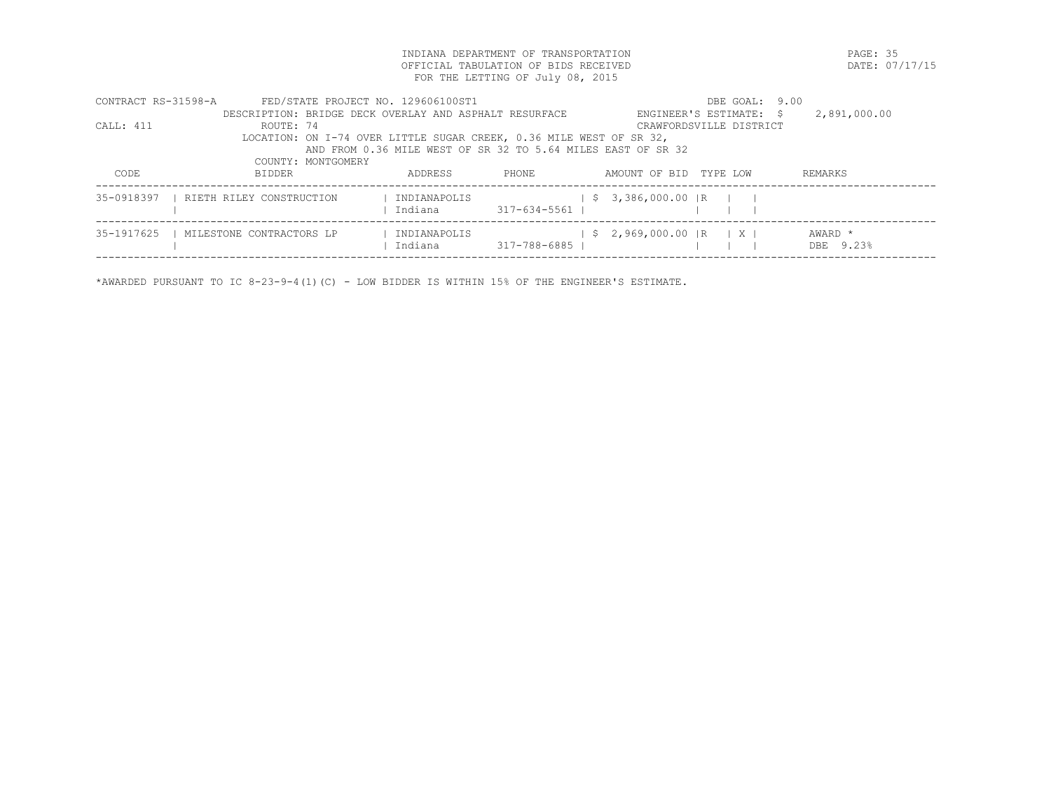INDIANA DEPARTMENT OF TRANSPORTATION PAGE: 35 OFFICIAL TABULATION OF BIDS RECEIVED FOR THE LETTING OF July 08, 2015

| CONTRACT RS-31598-A |                                       | FED/STATE PROJECT NO. 129606100ST1                                  | DBE GOAL: 9.00            |                      |
|---------------------|---------------------------------------|---------------------------------------------------------------------|---------------------------|----------------------|
|                     |                                       | DESCRIPTION: BRIDGE DECK OVERLAY AND ASPHALT RESURFACE              | ENGINEER'S ESTIMATE: \$   | 2,891,000.00         |
| CALL: 411           | ROUTE: 74                             |                                                                     | CRAWFORDSVILLE DISTRICT   |                      |
|                     |                                       | LOCATION: ON I-74 OVER LITTLE SUGAR CREEK, 0.36 MILE WEST OF SR 32, |                           |                      |
|                     |                                       | AND FROM 0.36 MILE WEST OF SR 32 TO 5.64 MILES EAST OF SR 32        |                           |                      |
|                     | COUNTY: MONTGOMERY                    |                                                                     |                           |                      |
| CODE.               | BIDDER                                | ADDRESS<br>PHONE.                                                   | AMOUNT OF BID<br>TYPE LOW | REMARKS              |
|                     |                                       |                                                                     |                           |                      |
|                     | 35-0918397   RIETH RILEY CONSTRUCTION | INDIANAPOLIS                                                        | $$3,386,000.00$ R         |                      |
|                     |                                       | Indiana<br>317-634-5561                                             |                           |                      |
|                     |                                       |                                                                     |                           |                      |
| 35-1917625          | MILESTONE CONTRACTORS LP              | INDIANAPOLIS<br>317-788-6885  <br>Indiana                           | $$2,969,000.00$ R X X     | AWARD *<br>DBE 9.23% |
|                     |                                       |                                                                     |                           |                      |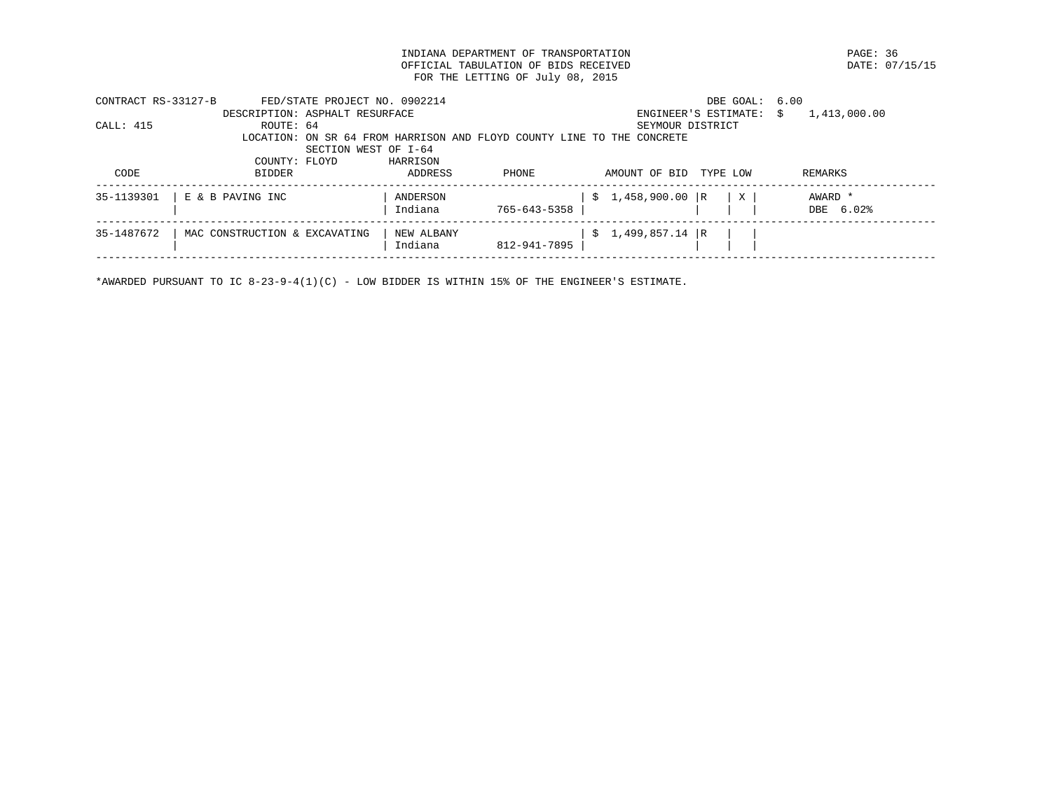INDIANA DEPARTMENT OF TRANSPORTATION PAGE: 36 OFFICIAL TABULATION OF BIDS RECEIVED FOR THE LETTING OF July 08, 2015

| CONTRACT RS-33127-B |                                | FED/STATE PROJECT NO. 0902214 |            |                                                                        |                   | DBE GOAL:               | 6.00 |              |
|---------------------|--------------------------------|-------------------------------|------------|------------------------------------------------------------------------|-------------------|-------------------------|------|--------------|
|                     | DESCRIPTION: ASPHALT RESURFACE |                               |            |                                                                        |                   | ENGINEER'S ESTIMATE: \$ |      | 1,413,000.00 |
| CALL: 415           | ROUTE: 64                      |                               |            |                                                                        | SEYMOUR DISTRICT  |                         |      |              |
|                     |                                |                               |            | LOCATION: ON SR 64 FROM HARRISON AND FLOYD COUNTY LINE TO THE CONCRETE |                   |                         |      |              |
|                     |                                | SECTION WEST OF I-64          |            |                                                                        |                   |                         |      |              |
|                     | COUNTY: FLOYD                  |                               | HARRISON   |                                                                        |                   |                         |      |              |
| CODE                | <b>BIDDER</b>                  |                               | ADDRESS    | PHONE                                                                  | AMOUNT OF BID     | TYPE LOW                |      | REMARKS      |
| 35-1139301          | E & B PAVING INC               |                               | ANDERSON   |                                                                        | $$1,458,900.00$ R | X                       |      | AWARD *      |
|                     |                                |                               | Indiana    | 765-643-5358                                                           |                   |                         |      | DBE 6.02%    |
| 35-1487672          | MAC CONSTRUCTION & EXCAVATING  |                               | NEW ALBANY |                                                                        | $$1,499,857.14$ R |                         |      |              |
|                     |                                |                               | Indiana    | 812-941-7895                                                           |                   |                         |      |              |
|                     |                                |                               |            |                                                                        |                   |                         |      |              |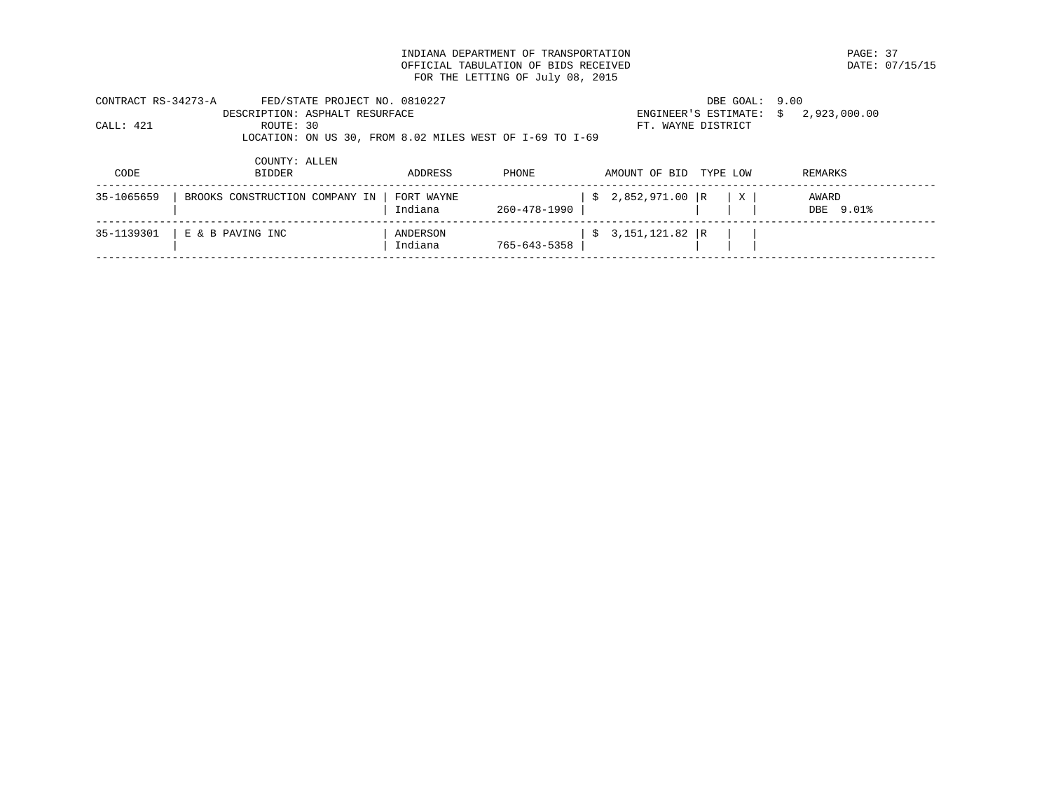INDIANA DEPARTMENT OF TRANSPORTATION PAGE: 37 OFFICIAL TABULATION OF BIDS RECEIVED FOR THE LETTING OF July 08, 2015

| CONTRACT RS-34273-A |               | FED/STATE PROJECT NO. 0810227                            | DBE GOAL: 9.00                       |  |  |
|---------------------|---------------|----------------------------------------------------------|--------------------------------------|--|--|
|                     |               | DESCRIPTION: ASPHALT RESURFACE                           | ENGINEER'S ESTIMATE: $$2,923,000.00$ |  |  |
| CALL: 421           | ROUTE: 30     |                                                          | FT. WAYNE DISTRICT                   |  |  |
|                     |               | LOCATION: ON US 30, FROM 8.02 MILES WEST OF I-69 TO I-69 |                                      |  |  |
|                     |               |                                                          |                                      |  |  |
|                     | COUNTY: ALLEN |                                                          |                                      |  |  |

| CODE       | BIDDER                         | ADDRESS               | <b>PHONE</b> | AMOUNT OF BID TYPE LOW               | REMARKS            |
|------------|--------------------------------|-----------------------|--------------|--------------------------------------|--------------------|
| 35-1065659 | BROOKS CONSTRUCTION COMPANY IN | FORT WAYNE<br>Indiana | 260-478-1990 | $\frac{1}{2}$ \$ 2,852,971.00 R<br>X | AWARD<br>DBE 9.01% |
| 35-1139301 | E & B PAVING INC               | ANDERSON<br>Indiana   | 765-643-5358 | $$3,151,121.82$ R                    |                    |
|            |                                |                       |              |                                      |                    |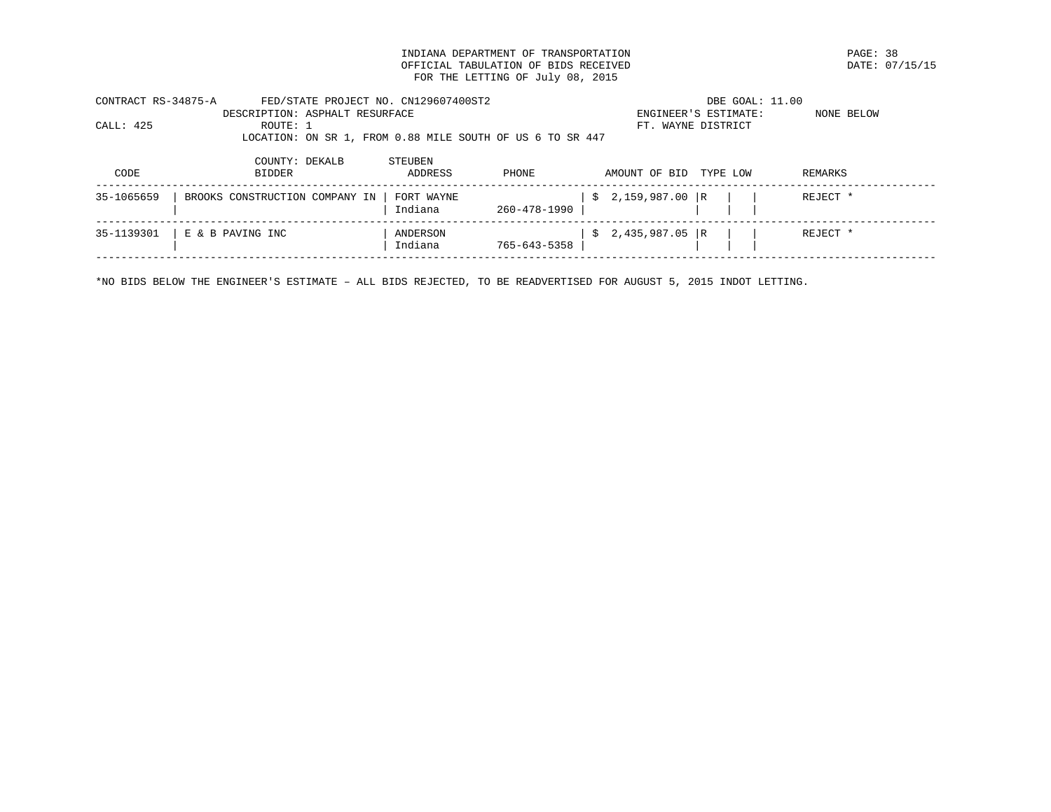INDIANA DEPARTMENT OF TRANSPORTATION PAGE: 38 OFFICIAL TABULATION OF BIDS RECEIVED FOR THE LETTING OF July 08, 2015

| CONTRACT RS-34875-A | FED/STATE PROJECT NO. CN129607400ST2<br>DESCRIPTION: ASPHALT RESURFACE |                       |              | DBE GOAL: 11.00<br>ENGINEER'S ESTIMATE: | NONE BELOW |
|---------------------|------------------------------------------------------------------------|-----------------------|--------------|-----------------------------------------|------------|
| CALL: 425           | ROUTE: 1                                                               |                       |              | FT. WAYNE DISTRICT                      |            |
|                     | LOCATION: ON SR 1, FROM 0.88 MILE SOUTH OF US 6 TO SR 447              |                       |              |                                         |            |
|                     | COUNTY: DEKALB                                                         | STEUBEN               |              |                                         |            |
| CODE                | BIDDER                                                                 | ADDRESS               | PHONE        | AMOUNT OF BID<br>TYPE LOW               | REMARKS    |
| 35-1065659          | BROOKS CONSTRUCTION COMPANY IN                                         | FORT WAYNE<br>Indiana | 260-478-1990 | $$2,159,987.00$ R                       | REJECT *   |

 | | Indiana 765-643-5358 | | | | ------------------------------------------------------------------------------------------------------------------------------------

------------------------------------------------------------------------------------------------------------------------------------

\*NO BIDS BELOW THE ENGINEER'S ESTIMATE – ALL BIDS REJECTED, TO BE READVERTISED FOR AUGUST 5, 2015 INDOT LETTING.

35-1139301 | E & B PAVING INC | ANDERSON | \$ 2,435,987.05 |R | | | REJECT \*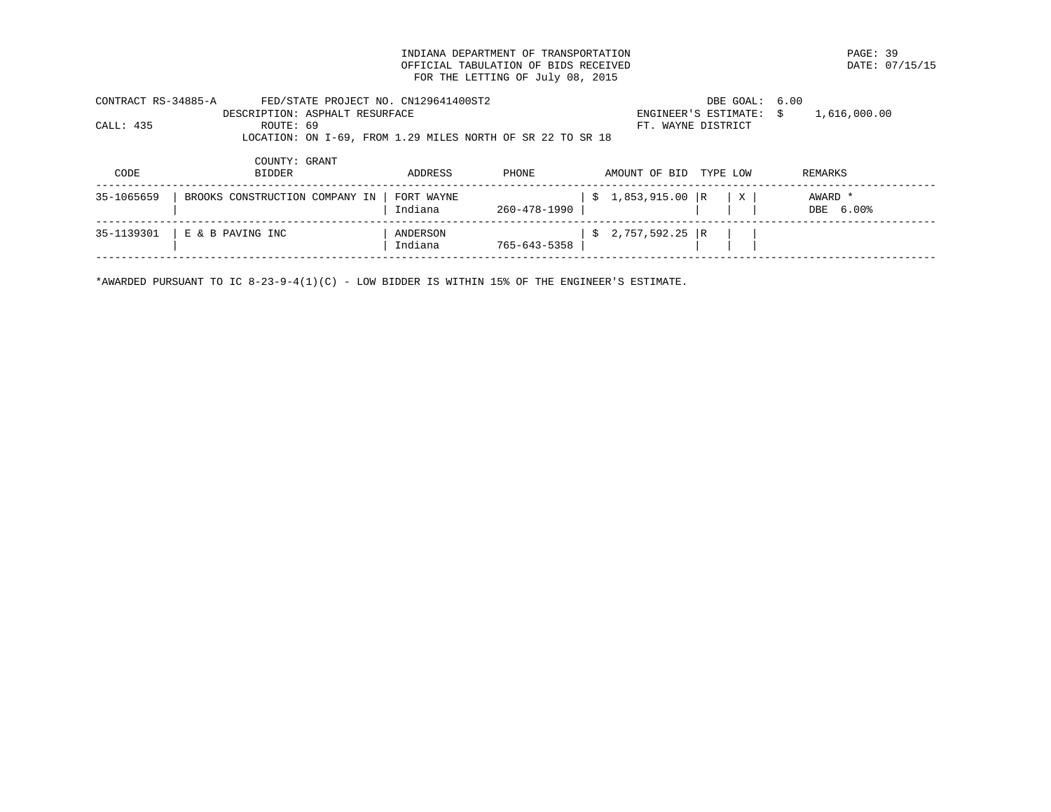INDIANA DEPARTMENT OF TRANSPORTATION<br>
OFFICIAL TABULATION OF BIDS RECEIVED

PAGE: 07/15/15 OFFICIAL TABULATION OF BIDS RECEIVED FOR THE LETTING OF July 08, 2015

| CONTRACT RS-34885-A<br>CALL: 435 | FED/STATE PROJECT NO. CN129641400ST2<br>DESCRIPTION: ASPHALT RESURFACE<br>ROUTE: 69<br>LOCATION: ON I-69, FROM 1.29 MILES NORTH OF SR 22 TO SR 18 |                       |              | FT. WAYNE DISTRICT | DBE GOAL: 6.00<br>ENGINEER'S ESTIMATE: | 1,616,000.00<br>S.   |
|----------------------------------|---------------------------------------------------------------------------------------------------------------------------------------------------|-----------------------|--------------|--------------------|----------------------------------------|----------------------|
| CODE                             | COUNTY: GRANT<br><b>BIDDER</b>                                                                                                                    | ADDRESS               | PHONE        | AMOUNT OF BID      | TYPE LOW                               | REMARKS              |
| 35-1065659                       | BROOKS CONSTRUCTION COMPANY IN                                                                                                                    | FORT WAYNE<br>Indiana | 260-478-1990 | $$1,853,915.00$ R  | X                                      | AWARD *<br>DBE 6.00% |
| 35-1139301                       | E & B PAVING INC                                                                                                                                  | ANDERSON              |              | 2,757,592.25 R     |                                        |                      |

\*AWARDED PURSUANT TO IC 8-23-9-4(1)(C) - LOW BIDDER IS WITHIN 15% OF THE ENGINEER'S ESTIMATE.

------------------------------------------------------------------------------------------------------------------------------------

| | Indiana 765-643-5358 | | | |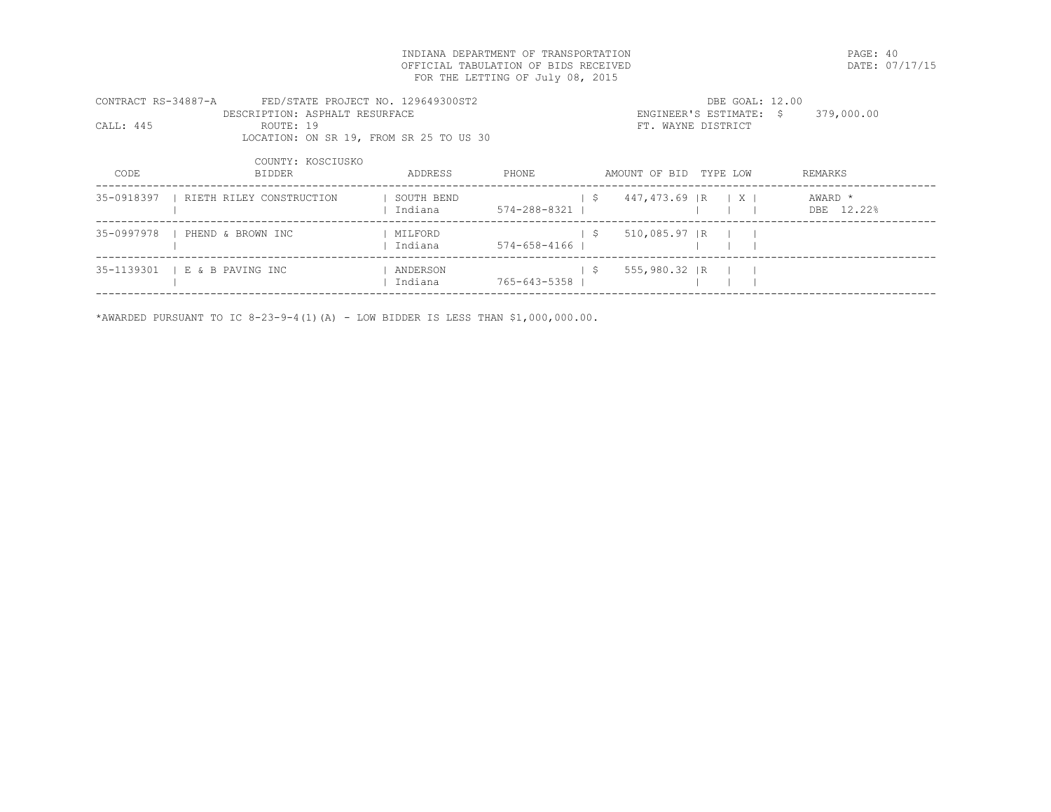INDIANA DEPARTMENT OF TRANSPORTATION PAGE: 40 OFFICIAL TABULATION OF BIDS RECEIVED FOR THE LETTING OF July 08, 2015

| CONTRACT RS-34887-A | FED/STATE PROJECT NO. 129649300ST2      |            |              |      |                        | DBE GOAL: 12.00         |            |
|---------------------|-----------------------------------------|------------|--------------|------|------------------------|-------------------------|------------|
|                     | DESCRIPTION: ASPHALT RESURFACE          |            |              |      |                        | ENGINEER'S ESTIMATE: \$ | 379,000.00 |
| CALL: 445           | ROUTE: 19                               |            |              |      | FT. WAYNE DISTRICT     |                         |            |
|                     | LOCATION: ON SR 19, FROM SR 25 TO US 30 |            |              |      |                        |                         |            |
|                     |                                         |            |              |      |                        |                         |            |
|                     | COUNTY: KOSCIUSKO                       |            |              |      |                        |                         |            |
| CODE                | <b>BIDDER</b>                           | ADDRESS    | PHONE        |      | AMOUNT OF BID TYPE LOW |                         | REMARKS    |
| 35-0918397          | RIETH RILEY CONSTRUCTION                | SOUTH BEND |              | - \$ | 447,473.69 R   X       |                         | AWARD *    |
|                     |                                         | Indiana    | 574-288-8321 |      |                        |                         | DBE 12.22% |
|                     |                                         |            |              |      |                        |                         |            |
| 35-0997978          | PHEND & BROWN INC                       | MILFORD    |              | - \$ | 510,085.97 IR          |                         |            |
|                     |                                         | Indiana    | 574-658-4166 |      |                        |                         |            |
|                     |                                         |            |              |      |                        |                         |            |

------------------------------------------------------------------------------------------------------------------------------------

35-1139301 | E & B PAVING INC | ANDERSON | \$ 555,980.32 | R | | | | Indiana 765-643-5358 | | | |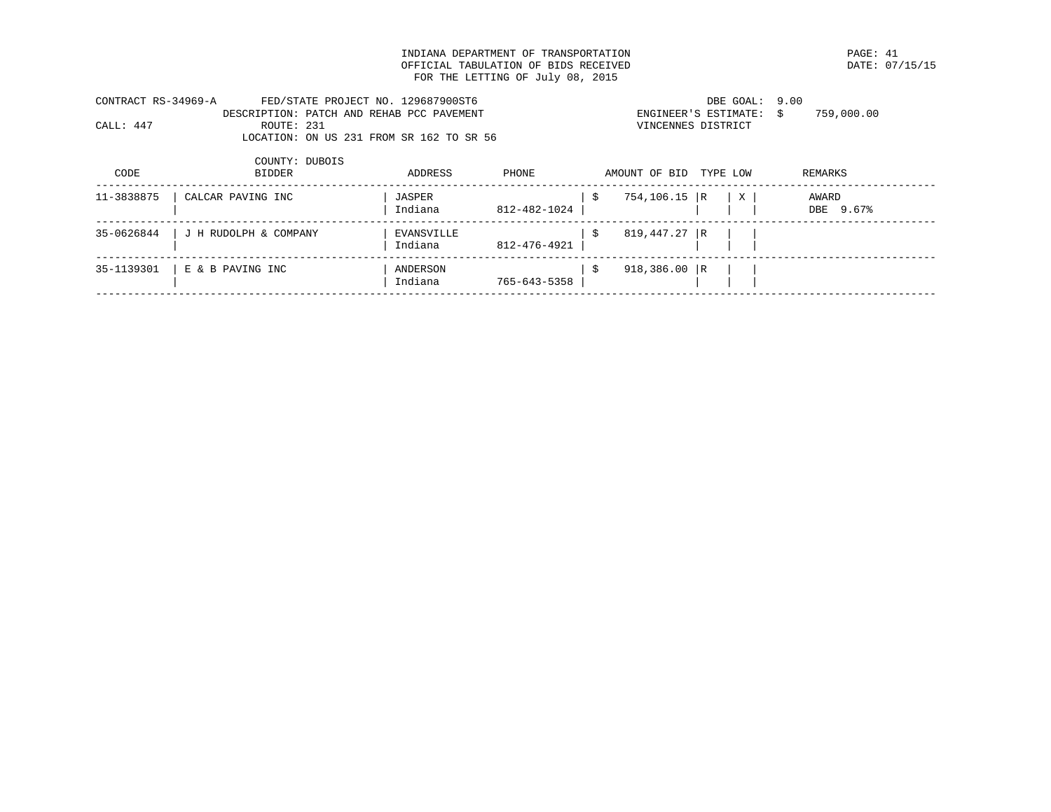INDIANA DEPARTMENT OF TRANSPORTATION PAGE: 41 OFFICIAL TABULATION OF BIDS RECEIVED FOR THE LETTING OF July 08, 2015

| CONTRACT RS-34969-A |            | FED/STATE PROJECT NO. 129687900ST6        |                         | DBE GOAL: 9.00 |            |  |
|---------------------|------------|-------------------------------------------|-------------------------|----------------|------------|--|
|                     |            | DESCRIPTION: PATCH AND REHAB PCC PAVEMENT | ENGINEER'S ESTIMATE: \$ |                | 759,000.00 |  |
| CALL: 447           | ROUTE: 231 |                                           | VINCENNES DISTRICT      |                |            |  |
|                     |            | LOCATION: ON US 231 FROM SR 162 TO SR 56  |                         |                |            |  |
|                     |            |                                           |                         |                |            |  |

| CODE       | COUNTY: DUBOIS<br><b>BIDDER</b> | ADDRESS               | PHONE        | AMOUNT OF BID  | TYPE LOW |   | REMARKS            |
|------------|---------------------------------|-----------------------|--------------|----------------|----------|---|--------------------|
| 11-3838875 | CALCAR PAVING INC               | JASPER<br>Indiana     | 812-482-1024 | 754,106.15 R   |          | X | AWARD<br>DBE 9.67% |
| 35-0626844 | J H RUDOLPH & COMPANY           | EVANSVILLE<br>Indiana | 812-476-4921 | 819,447.27 R   |          |   |                    |
| 35-1139301 | E & B PAVING INC                | ANDERSON<br>Indiana   | 765-643-5358 | 918,386.00   R |          |   |                    |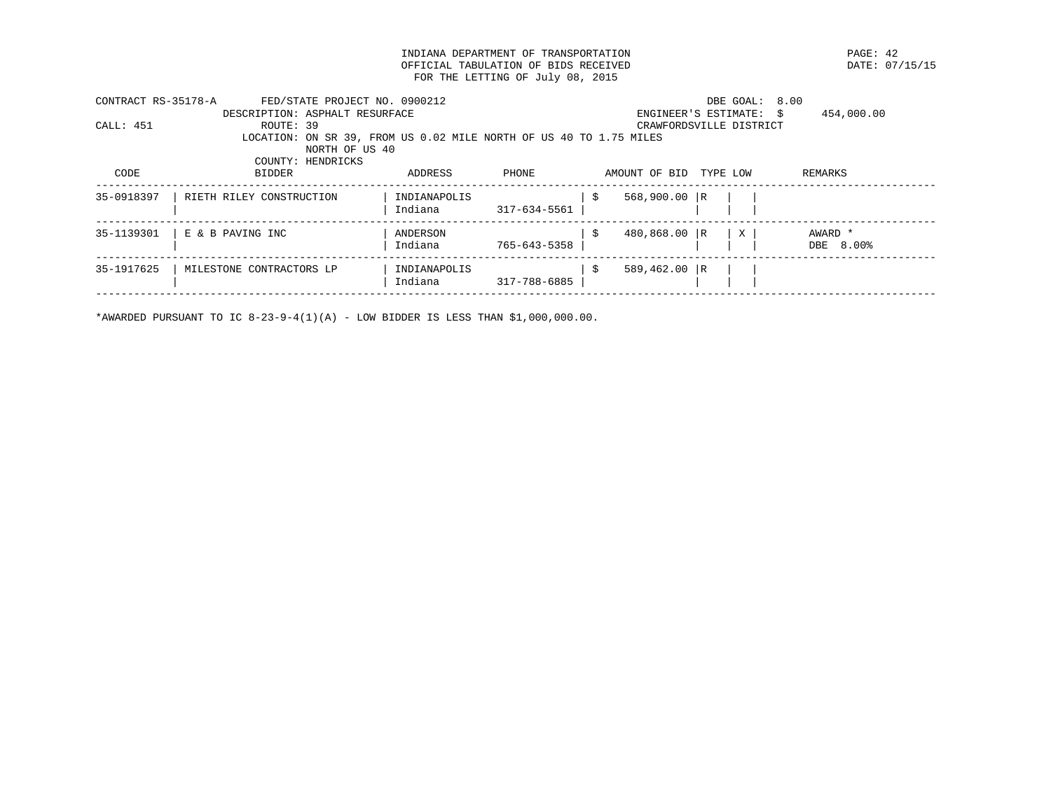INDIANA DEPARTMENT OF TRANSPORTATION PAGE: 42 OFFICIAL TABULATION OF BIDS RECEIVED FOR THE LETTING OF July 08, 2015

| CONTRACT RS-35178-A | FED/STATE PROJECT NO. 0900212                                      |              |              |    |                         | DBE GOAL: 8.00 |            |
|---------------------|--------------------------------------------------------------------|--------------|--------------|----|-------------------------|----------------|------------|
|                     | DESCRIPTION: ASPHALT RESURFACE                                     |              |              |    | ENGINEER'S ESTIMATE: \$ |                | 454,000.00 |
| CALL: 451           | ROUTE: 39                                                          |              |              |    | CRAWFORDSVILLE DISTRICT |                |            |
|                     | LOCATION: ON SR 39, FROM US 0.02 MILE NORTH OF US 40 TO 1.75 MILES |              |              |    |                         |                |            |
|                     | NORTH OF US 40                                                     |              |              |    |                         |                |            |
|                     | COUNTY: HENDRICKS                                                  |              |              |    |                         |                |            |
| CODE                | <b>BIDDER</b>                                                      | ADDRESS      | PHONE        |    | AMOUNT OF BID           | TYPE LOW       | REMARKS    |
|                     |                                                                    |              |              |    |                         |                |            |
| 35-0918397          | RIETH RILEY CONSTRUCTION                                           | INDIANAPOLIS |              | -S | $568,900.00$ R          |                |            |
|                     |                                                                    | Indiana      | 317-634-5561 |    |                         |                |            |
| 35-1139301          | E & B PAVING INC                                                   | ANDERSON     |              | -Ŝ | 480,868.00 R            | X              | AWARD *    |
|                     |                                                                    | Indiana      | 765-643-5358 |    |                         |                | DBE 8.00%  |
|                     |                                                                    |              |              |    |                         |                |            |
| 35-1917625          | MILESTONE CONTRACTORS LP                                           | INDIANAPOLIS |              | -S | $589.462.00 \text{ R}$  |                |            |
|                     |                                                                    | Indiana      | 317-788-6885 |    |                         |                |            |
|                     |                                                                    |              |              |    |                         |                |            |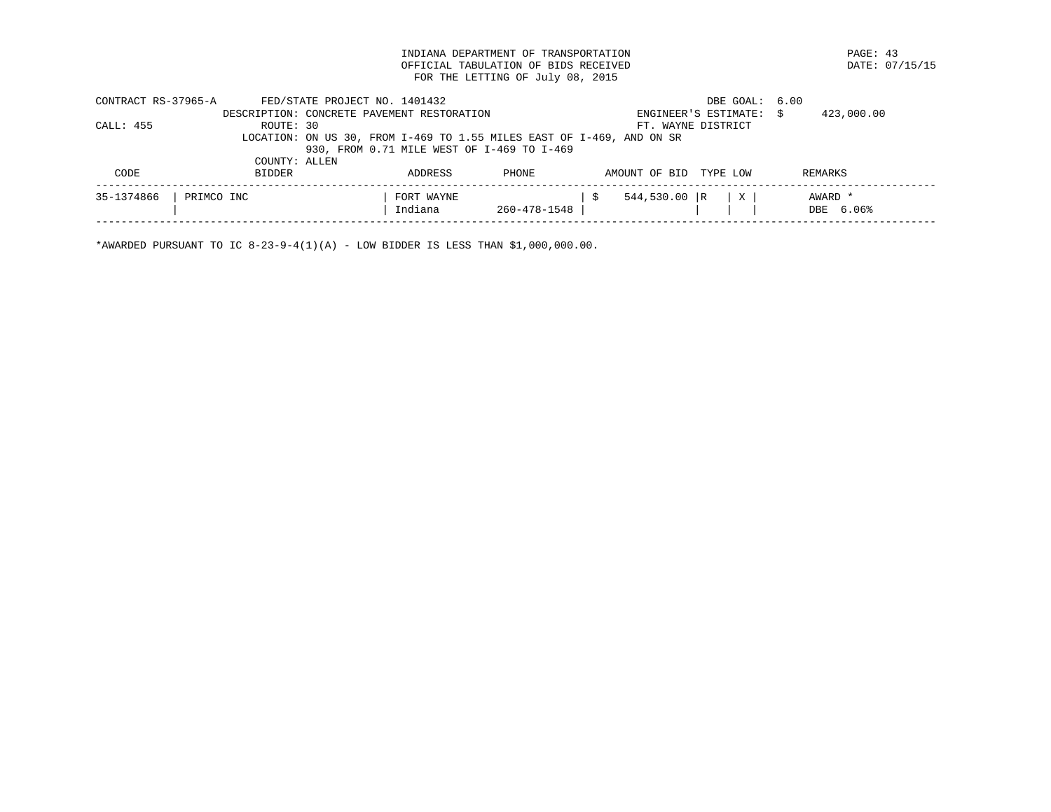INDIANA DEPARTMENT OF TRANSPORTATION PAGE: 43 OFFICIAL TABULATION OF BIDS RECEIVED FOR THE LETTING OF July 08, 2015

| CONTRACT RS-37965-A |               | FED/STATE PROJECT NO. 1401432 |                                            |              |                                                                       | DBE GOAL: 6.00       |                      |
|---------------------|---------------|-------------------------------|--------------------------------------------|--------------|-----------------------------------------------------------------------|----------------------|----------------------|
|                     |               |                               | DESCRIPTION: CONCRETE PAVEMENT RESTORATION |              |                                                                       | ENGINEER'S ESTIMATE: | 423,000.00           |
| CALL: 455           | ROUTE: 30     |                               |                                            |              |                                                                       | FT. WAYNE DISTRICT   |                      |
|                     |               |                               |                                            |              | LOCATION: ON US 30, FROM I-469 TO 1.55 MILES EAST OF I-469, AND ON SR |                      |                      |
|                     |               |                               | 930, FROM 0.71 MILE WEST OF I-469 TO I-469 |              |                                                                       |                      |                      |
|                     | COUNTY: ALLEN |                               |                                            |              |                                                                       |                      |                      |
| CODE                | BIDDER        |                               | ADDRESS                                    | PHONE        | AMOUNT OF BID                                                         | TYPE LOW             | REMARKS              |
| 35-1374866          | PRIMCO INC    |                               | FORT WAYNE<br>Indiana                      | 260-478-1548 | $544,530.00$ R                                                        | X                    | AWARD *<br>DBE 6.06% |
|                     |               |                               |                                            |              |                                                                       |                      |                      |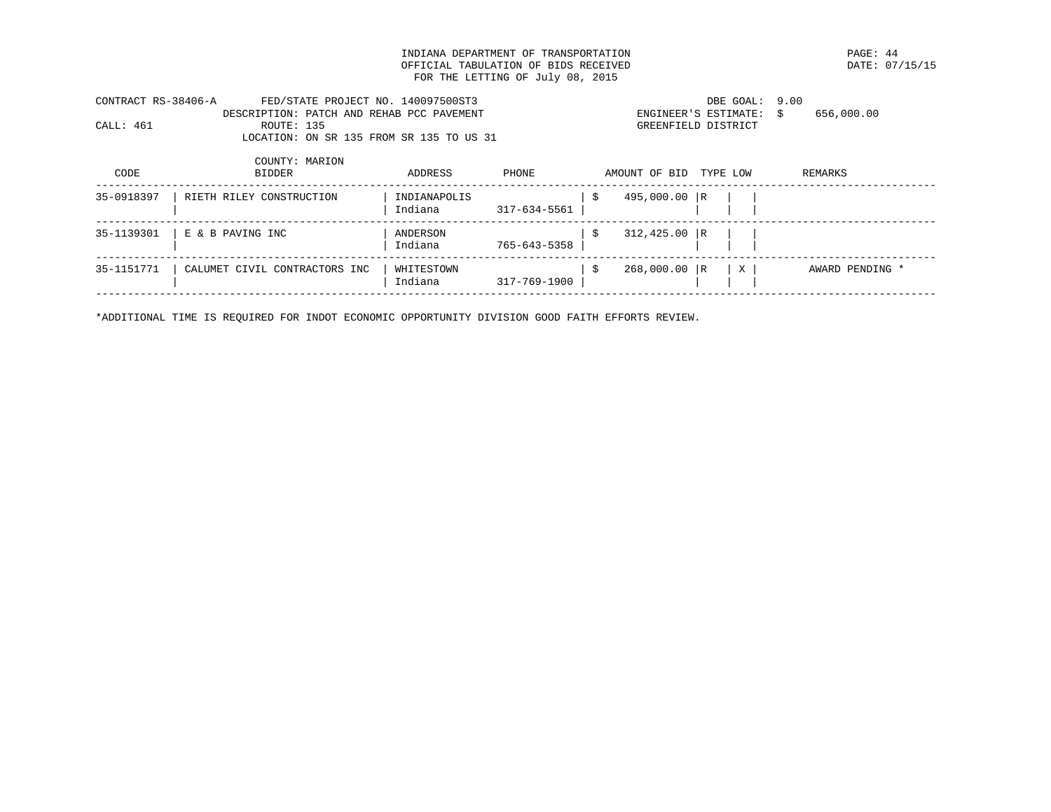INDIANA DEPARTMENT OF TRANSPORTATION PAGE: 44 OFFICIAL TABULATION OF BIDS RECEIVED FOR THE LETTING OF July 08, 2015

| CONTRACT RS-38406-A |            | FED/STATE PROJECT NO. 140097500ST3        | DBE GOAL: 9.00       |            |
|---------------------|------------|-------------------------------------------|----------------------|------------|
|                     |            | DESCRIPTION: PATCH AND REHAB PCC PAVEMENT | ENGINEER'S ESTIMATE: | 656,000.00 |
| CALL: 461           | ROUTE: 135 |                                           | GREENFIELD DISTRICT  |            |
|                     |            | LOCATION: ON SR 135 FROM SR 135 TO US 31  |                      |            |

| 495,000.00 R<br>35-0918397<br>INDIANAPOLIS<br>RIETH RILEY CONSTRUCTION<br>Indiana<br>317-634-5561                            |  |
|------------------------------------------------------------------------------------------------------------------------------|--|
|                                                                                                                              |  |
| $312,425.00$ R<br>35-1139301<br>E & B PAVING INC<br>ANDERSON<br>765-643-5358<br>Indiana                                      |  |
| 35-1151771<br>268,000.00 R<br>X<br>CALUMET CIVIL CONTRACTORS INC<br>WHITESTOWN<br>AWARD PENDING *<br>Indiana<br>317-769-1900 |  |

\*ADDITIONAL TIME IS REQUIRED FOR INDOT ECONOMIC OPPORTUNITY DIVISION GOOD FAITH EFFORTS REVIEW.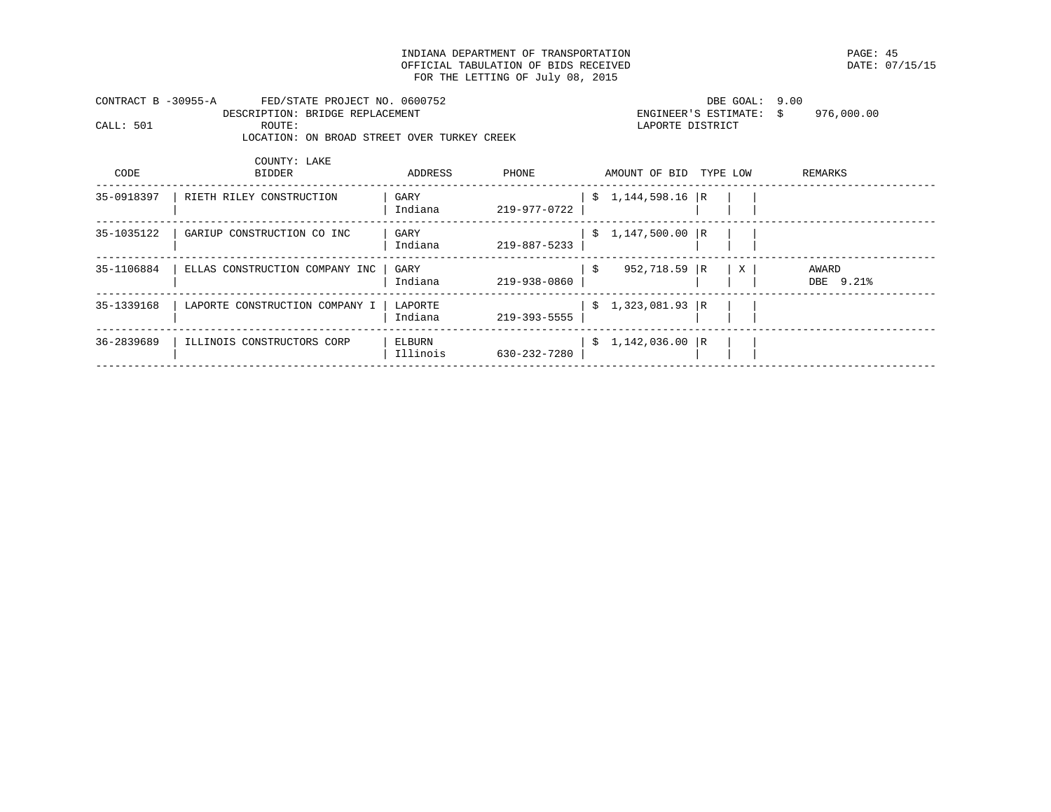INDIANA DEPARTMENT OF TRANSPORTATION PAGE: 45 OFFICIAL TABULATION OF BIDS RECEIVED FOR THE LETTING OF July 08, 2015

| CONTRACT B -30955-A |        | FED/STATE PROJECT NO. 0600752               | DBE GOAL: 9.00          |            |
|---------------------|--------|---------------------------------------------|-------------------------|------------|
|                     |        | DESCRIPTION: BRIDGE REPLACEMENT             | ENGINEER'S ESTIMATE: \$ | 976.000.00 |
| CALL: 501           | ROUTE: |                                             | LAPORTE DISTRICT        |            |
|                     |        | LOCATION: ON BROAD STREET OVER TURKEY CREEK |                         |            |
|                     |        |                                             |                         |            |

| CODE       | COUNTY: LAKE<br><b>BIDDER</b>  | ADDRESS            | PHONE        |      | AMOUNT OF BID     | TYPE LOW |              | REMARKS            |
|------------|--------------------------------|--------------------|--------------|------|-------------------|----------|--------------|--------------------|
| 35-0918397 | RIETH RILEY CONSTRUCTION       | GARY<br>Indiana    | 219-977-0722 |      | $$1,144,598.16$ R |          |              |                    |
| 35-1035122 | GARIUP CONSTRUCTION CO INC     | GARY<br>Indiana    | 219-887-5233 |      | $$1,147,500.00$ R |          |              |                    |
| 35-1106884 | ELLAS CONSTRUCTION COMPANY INC | GARY<br>Indiana    | 219-938-0860 | - \$ | 952,718.59 R      |          | $\mathbf{X}$ | AWARD<br>DBE 9.21% |
| 35-1339168 | LAPORTE CONSTRUCTION COMPANY I | LAPORTE<br>Indiana | 219-393-5555 |      | $$1,323,081.93$ R |          |              |                    |
| 36-2839689 | ILLINOIS CONSTRUCTORS CORP     | ELBURN<br>Illinois | 630-232-7280 |      | \$1,142,036.00    | R        |              |                    |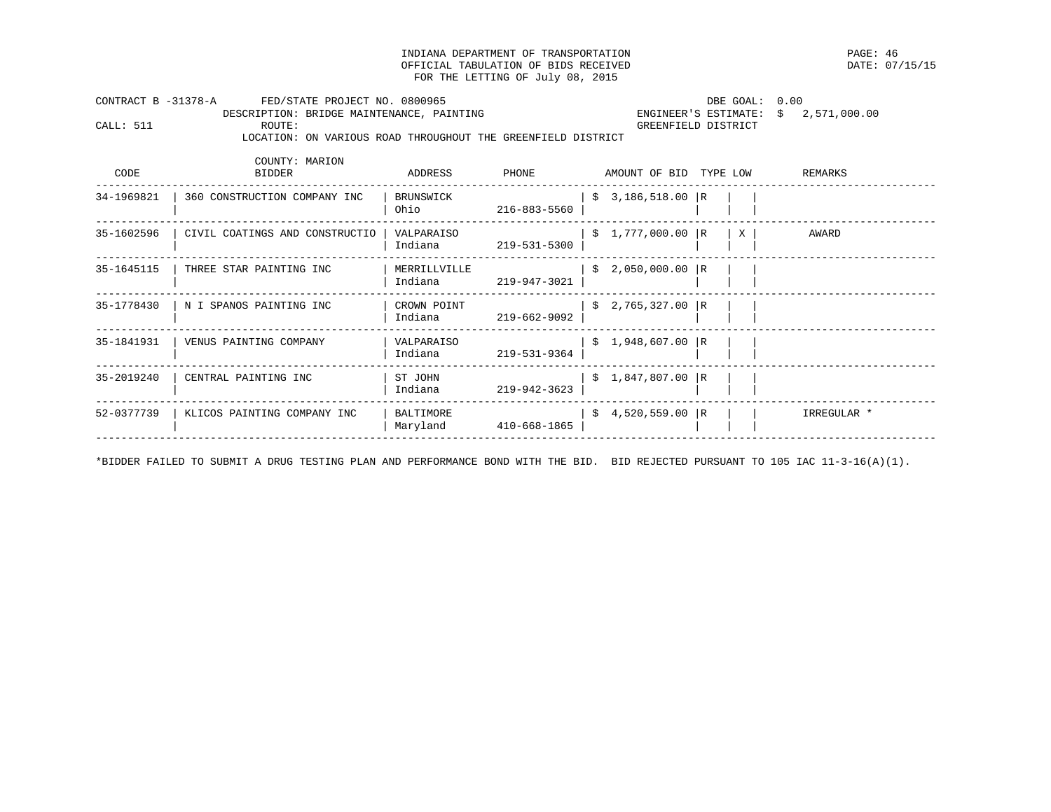INDIANA DEPARTMENT OF TRANSPORTATION PAGE: 46 OFFICIAL TABULATION OF BIDS RECEIVED FOR THE LETTING OF July 08, 2015

| CONTRACT B -31378-A<br>FED/STATE PROJECT NO. 0800965 |                        |              |                                                                                                         | DBE GOAL: 0.00                                               |                                                                                                                                                                                                                                        |
|------------------------------------------------------|------------------------|--------------|---------------------------------------------------------------------------------------------------------|--------------------------------------------------------------|----------------------------------------------------------------------------------------------------------------------------------------------------------------------------------------------------------------------------------------|
| ROUTE:                                               |                        |              |                                                                                                         |                                                              |                                                                                                                                                                                                                                        |
| COUNTY: MARION<br><b>BIDDER</b>                      | ADDRESS                | PHONE        |                                                                                                         |                                                              | REMARKS                                                                                                                                                                                                                                |
| 360 CONSTRUCTION COMPANY INC                         | BRUNSWICK              | 216-883-5560 |                                                                                                         |                                                              |                                                                                                                                                                                                                                        |
| CIVIL COATINGS AND CONSTRUCTIO                       | VALPARAISO             | 219-531-5300 |                                                                                                         | $\mathbf{X}$                                                 | AWARD                                                                                                                                                                                                                                  |
| THREE STAR PAINTING INC                              |                        | 219-947-3021 |                                                                                                         |                                                              |                                                                                                                                                                                                                                        |
| N I SPANOS PAINTING INC                              | CROWN POINT<br>Indiana | 219-662-9092 |                                                                                                         |                                                              |                                                                                                                                                                                                                                        |
| VENUS PAINTING COMPANY                               | VALPARAISO<br>Indiana  | 219-531-9364 |                                                                                                         |                                                              |                                                                                                                                                                                                                                        |
| CENTRAL PAINTING INC                                 | ST JOHN<br>Indiana     | 219-942-3623 |                                                                                                         |                                                              |                                                                                                                                                                                                                                        |
| KLICOS PAINTING COMPANY INC                          | BALTIMORE<br>Maryland  |              |                                                                                                         |                                                              | IRREGULAR *                                                                                                                                                                                                                            |
|                                                      |                        |              | DESCRIPTION: BRIDGE MAINTENANCE, PAINTING<br>Ohio<br>Indiana<br>MERRILLVILLE<br>Indiana<br>410-668-1865 | LOCATION: ON VARIOUS ROAD THROUGHOUT THE GREENFIELD DISTRICT | ENGINEER'S ESTIMATE: $$2,571,000.00$<br>GREENFIELD DISTRICT<br>AMOUNT OF BID TYPE LOW<br>$$3,186,518.00$ R<br>\$1,777,000.00 R<br>$$2,050,000.00$ R<br>$$2,765,327.00$ R<br>\$1,948,607.00 R<br>$$1,847,807.00$ R<br>$$4,520,559.00$ R |

\*BIDDER FAILED TO SUBMIT A DRUG TESTING PLAN AND PERFORMANCE BOND WITH THE BID. BID REJECTED PURSUANT TO 105 IAC 11-3-16(A)(1).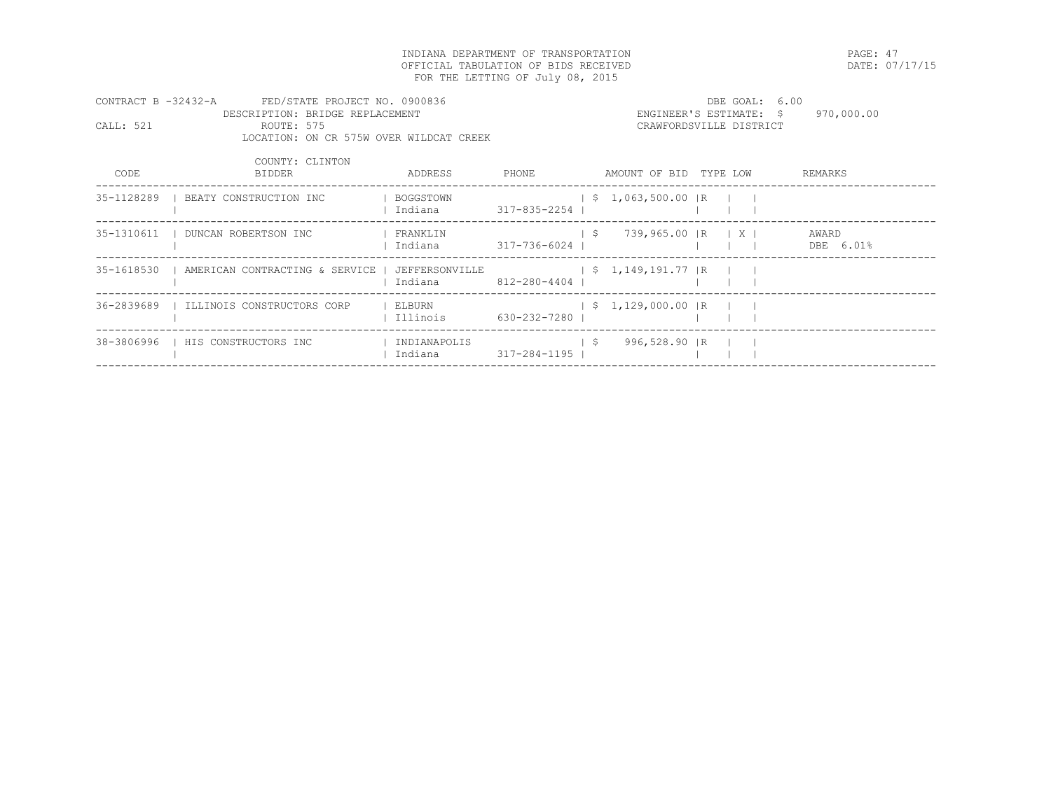INDIANA DEPARTMENT OF TRANSPORTATION PAGE: 47 OFFICIAL TABULATION OF BIDS RECEIVED FOR THE LETTING OF July 08, 2015

| CONTRACT B -32432-A |                                 | FED/STATE PROJECT NO. 0900836           |        | DBE GOAL: 6.00          |            |
|---------------------|---------------------------------|-----------------------------------------|--------|-------------------------|------------|
|                     | DESCRIPTION: BRIDGE REPLACEMENT |                                         |        | ENGINEER'S ESTIMATE: \$ | 970,000.00 |
| CALL: 521           | ROUTE: 575                      |                                         |        | CRAWFORDSVILLE DISTRICT |            |
|                     |                                 | LOCATION: ON CR 575W OVER WILDCAT CREEK |        |                         |            |
|                     | COUNTY: CLINTON                 |                                         |        |                         |            |
| CODE                | <b>BTDDER</b>                   | ADDRESS                                 | PHONE. | AMOUNT OF BID TYPE LOW  | REMARKS    |

| BEATY CONSTRUCTION INC     | BOGGSTOWN<br>Indiana    |                                                 |    |                                                                              |                                                                                              |                             |  |
|----------------------------|-------------------------|-------------------------------------------------|----|------------------------------------------------------------------------------|----------------------------------------------------------------------------------------------|-----------------------------|--|
| DUNCAN ROBERTSON INC       | FRANKLIN<br>Indiana     |                                                 | -S |                                                                              |                                                                                              | AWARD<br>DBE 6.01%          |  |
|                            | Indiana                 |                                                 |    |                                                                              |                                                                                              |                             |  |
| ILLINOIS CONSTRUCTORS CORP | ELBURN<br>Illinois      |                                                 |    |                                                                              |                                                                                              |                             |  |
| HIS CONSTRUCTORS INC       | INDIANAPOLIS<br>Indiana |                                                 | -S |                                                                              |                                                                                              |                             |  |
|                            |                         | AMERICAN CONTRACTING & SERVICE   JEFFERSONVILLE |    | 317-835-2254<br>317-736-6024<br>812-280-4404<br>630-232-7280<br>317-284-1195 | $$1,063,500.00$ R<br>739,965.00 IR<br>$$1,149,191.77$ R<br>$$1,129,000.00$ R<br>996,528.90 R | $\mid$ $\mid$ $\mid$ $\mid$ |  |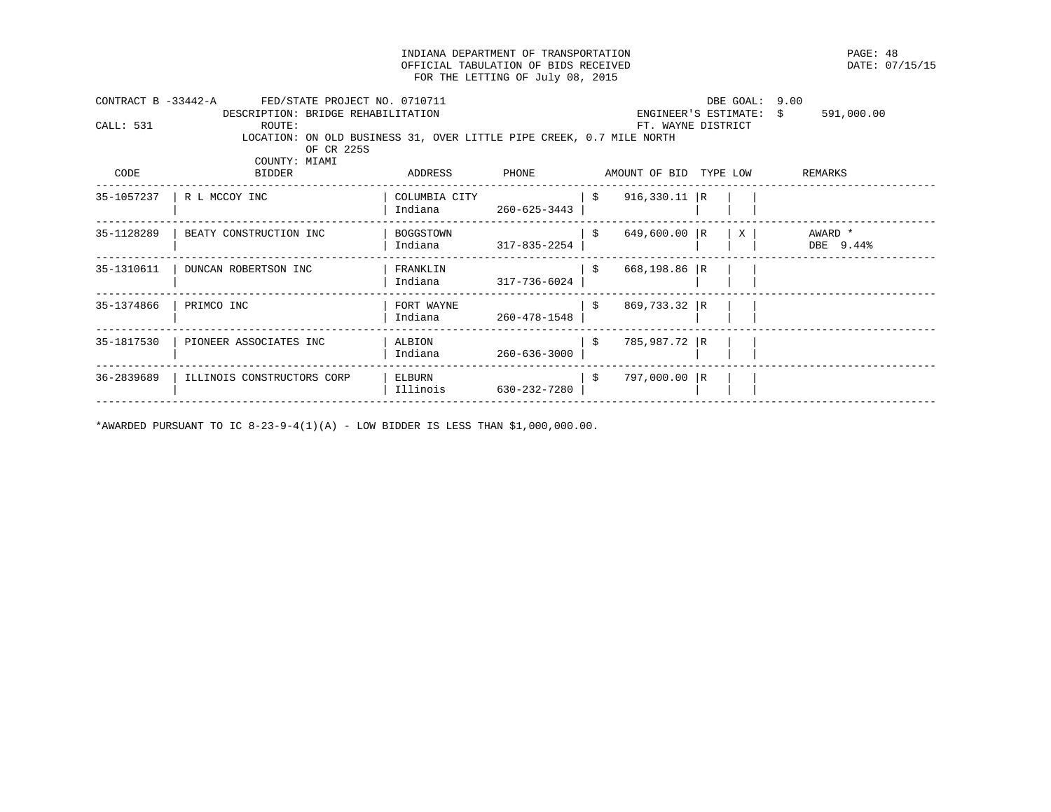INDIANA DEPARTMENT OF TRANSPORTATION PAGE: 48 OFFICIAL TABULATION OF BIDS RECEIVED FOR THE LETTING OF July 08, 2015

| CONTRACT B -33442-A | FED/STATE PROJECT NO. 0710711                                        |               |              |      |                        | DBE GOAL: | 9.00                       |
|---------------------|----------------------------------------------------------------------|---------------|--------------|------|------------------------|-----------|----------------------------|
|                     | DESCRIPTION: BRIDGE REHABILITATION                                   |               |              |      | ENGINEER'S ESTIMATE:   |           | 591,000.00<br>$\mathsf{S}$ |
| CALL: 531           | ROUTE:                                                               |               |              |      | FT. WAYNE DISTRICT     |           |                            |
|                     | LOCATION: ON OLD BUSINESS 31, OVER LITTLE PIPE CREEK, 0.7 MILE NORTH |               |              |      |                        |           |                            |
|                     | OF CR 225S                                                           |               |              |      |                        |           |                            |
|                     | COUNTY: MIAMI                                                        |               |              |      |                        |           |                            |
| CODE                | <b>BIDDER</b>                                                        | ADDRESS       | PHONE        |      | AMOUNT OF BID TYPE LOW |           | REMARKS                    |
| 35-1057237          | R L MCCOY INC                                                        | COLUMBIA CITY |              | \$   | $916,330.11$ R         |           |                            |
|                     |                                                                      | Indiana       | 260-625-3443 |      |                        |           |                            |
| 35-1128289          | BEATY CONSTRUCTION INC                                               | BOGGSTOWN     |              | - \$ | 649,600.00 R           | X         | AWARD *                    |
|                     |                                                                      | Indiana       | 317-835-2254 |      |                        |           | DBE 9.44%                  |
| 35-1310611          | DUNCAN ROBERTSON INC                                                 | FRANKLIN      |              | - \$ | 668,198.86 R           |           |                            |
|                     |                                                                      | Indiana       | 317-736-6024 |      |                        |           |                            |
| 35-1374866          | PRIMCO INC                                                           | FORT WAYNE    |              | - \$ | 869,733.32 R           |           |                            |
|                     |                                                                      | Indiana       | 260-478-1548 |      |                        |           |                            |
| 35-1817530          | PIONEER ASSOCIATES INC                                               | ALBION        |              | S.   | 785,987.72 R           |           |                            |
|                     |                                                                      | Indiana       | 260-636-3000 |      |                        |           |                            |
| 36-2839689          | ILLINOIS CONSTRUCTORS CORP                                           | ELBURN        |              | -\$  | 797,000.00 R           |           |                            |
|                     |                                                                      | Illinois      | 630-232-7280 |      |                        |           |                            |
|                     |                                                                      |               |              |      |                        |           |                            |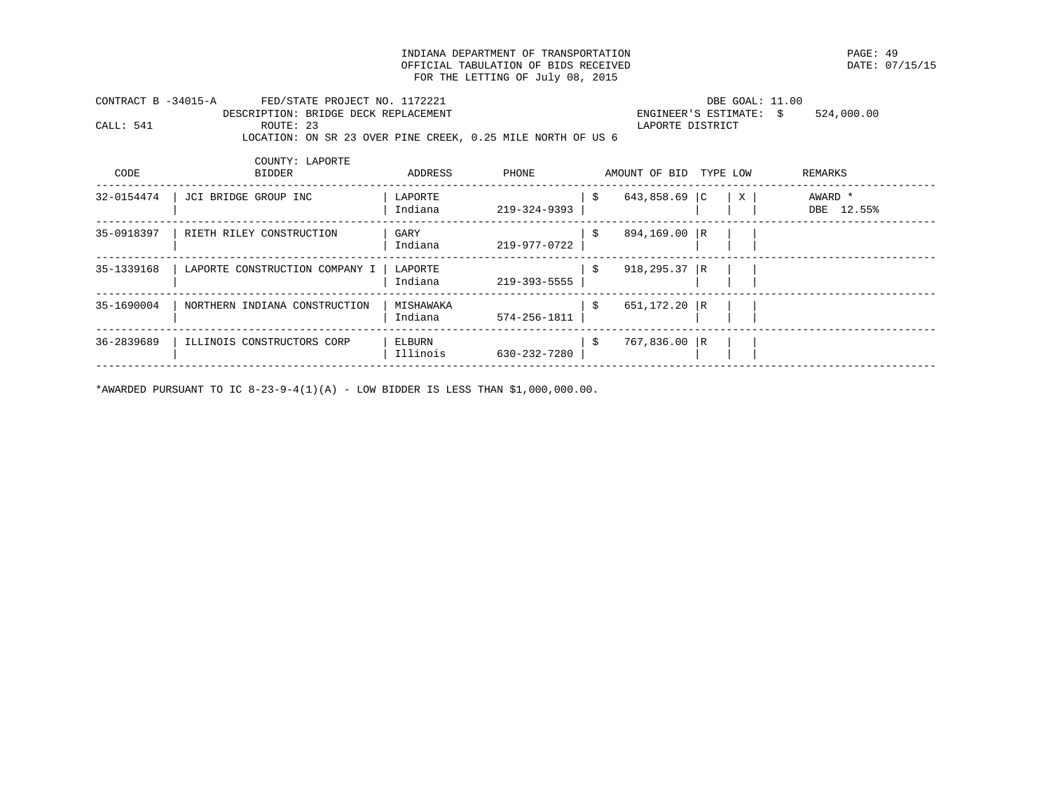INDIANA DEPARTMENT OF TRANSPORTATION PAGE: 49 OFFICIAL TABULATION OF BIDS RECEIVED FOR THE LETTING OF July 08, 2015

| CONTRACT B -34015-A |           | FED/STATE PROJECT NO. 1172221        |                                                             | DBE GOAL: 11.00         |            |
|---------------------|-----------|--------------------------------------|-------------------------------------------------------------|-------------------------|------------|
|                     |           | DESCRIPTION: BRIDGE DECK REPLACEMENT |                                                             | ENGINEER'S ESTIMATE: \$ | 524,000.00 |
| CALL: 541           | ROUTE: 23 |                                      |                                                             | LAPORTE DISTRICT        |            |
|                     |           |                                      | LOCATION: ON SR 23 OVER PINE CREEK, 0.25 MILE NORTH OF US 6 |                         |            |

| CODE       | COUNTY: LAPORTE<br><b>BIDDER</b> | ADDRESS              | PHONE        |     | AMOUNT OF BID    | TYPE LOW |   | REMARKS               |
|------------|----------------------------------|----------------------|--------------|-----|------------------|----------|---|-----------------------|
| 32-0154474 | JCI BRIDGE GROUP INC             | LAPORTE<br>Indiana   | 219-324-9393 | -\$ | 643,858.69 $ C $ |          | X | AWARD *<br>DBE 12.55% |
| 35-0918397 | RIETH RILEY CONSTRUCTION         | GARY<br>Indiana      | 219-977-0722 | -S  | 894,169.00 R     |          |   |                       |
| 35-1339168 | LAPORTE CONSTRUCTION COMPANY I   | LAPORTE<br>Indiana   | 219-393-5555 | -\$ | $918, 295.37$ R  |          |   |                       |
| 35-1690004 | NORTHERN INDIANA CONSTRUCTION    | MISHAWAKA<br>Indiana | 574-256-1811 | -\$ | 651,172.20 R     |          |   |                       |
| 36-2839689 | ILLINOIS CONSTRUCTORS CORP       | ELBURN<br>Illinois   | 630-232-7280 | -\$ | 767,836.00       | R        |   |                       |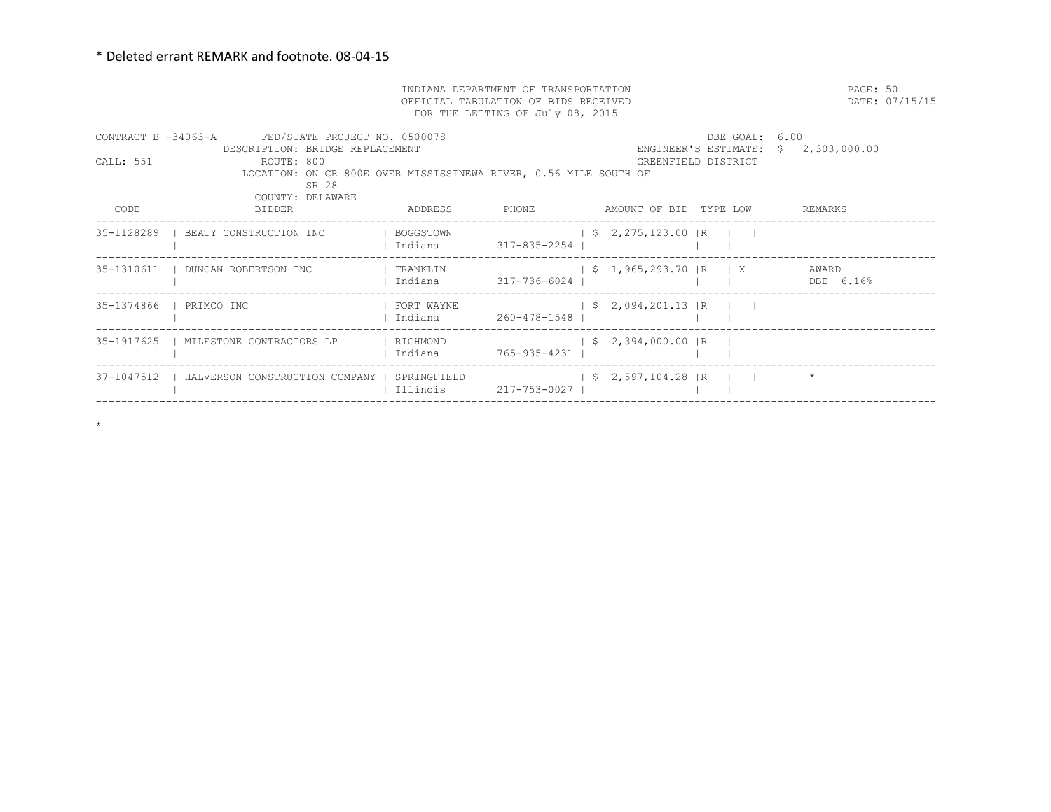$\star$ 

|                         | PAGE: 50                                                                                                    | DATE: 07/15/15                               |                       |  |                                 |                     |                                      |  |
|-------------------------|-------------------------------------------------------------------------------------------------------------|----------------------------------------------|-----------------------|--|---------------------------------|---------------------|--------------------------------------|--|
|                         | CONTRACT B -34063-A FED/STATE PROJECT NO. 0500078<br>DESCRIPTION: BRIDGE REPLACEMENT                        |                                              |                       |  |                                 | DBE GOAL: 6.00      | ENGINEER'S ESTIMATE: \$ 2,303,000.00 |  |
| CALL: 551               | ROUTE: 800<br>LOCATION: ON CR 800E OVER MISSISSINEWA RIVER, 0.56 MILE SOUTH OF<br>SR 28<br>COUNTY: DELAWARE |                                              |                       |  |                                 | GREENFIELD DISTRICT |                                      |  |
| CODE                    | BIDDER                                                                                                      | ADDRESS PHONE AMOUNT OF BID TYPE LOW REMARKS |                       |  |                                 |                     |                                      |  |
|                         | 35-1128289   BEATY CONSTRUCTION INC   BOGGSTOWN                                                             |                                              |                       |  | $\frac{1}{2}$ \$ 2,275,123.00 R |                     |                                      |  |
|                         |                                                                                                             |                                              |                       |  |                                 |                     |                                      |  |
| 35-1374866   PRIMCO INC |                                                                                                             |                                              |                       |  |                                 |                     |                                      |  |
|                         | 35-1917625   MILESTONE CONTRACTORS LP   RICHMOND     \$ 2,394,000.00  R                                     |                                              |                       |  |                                 |                     |                                      |  |
|                         | 37-1047512   HALVERSON CONSTRUCTION COMPANY   SPRINGFIELD $\vert$ \$ 2,597,104.28  R     *                  |                                              | Illinois 217-753-0027 |  |                                 |                     |                                      |  |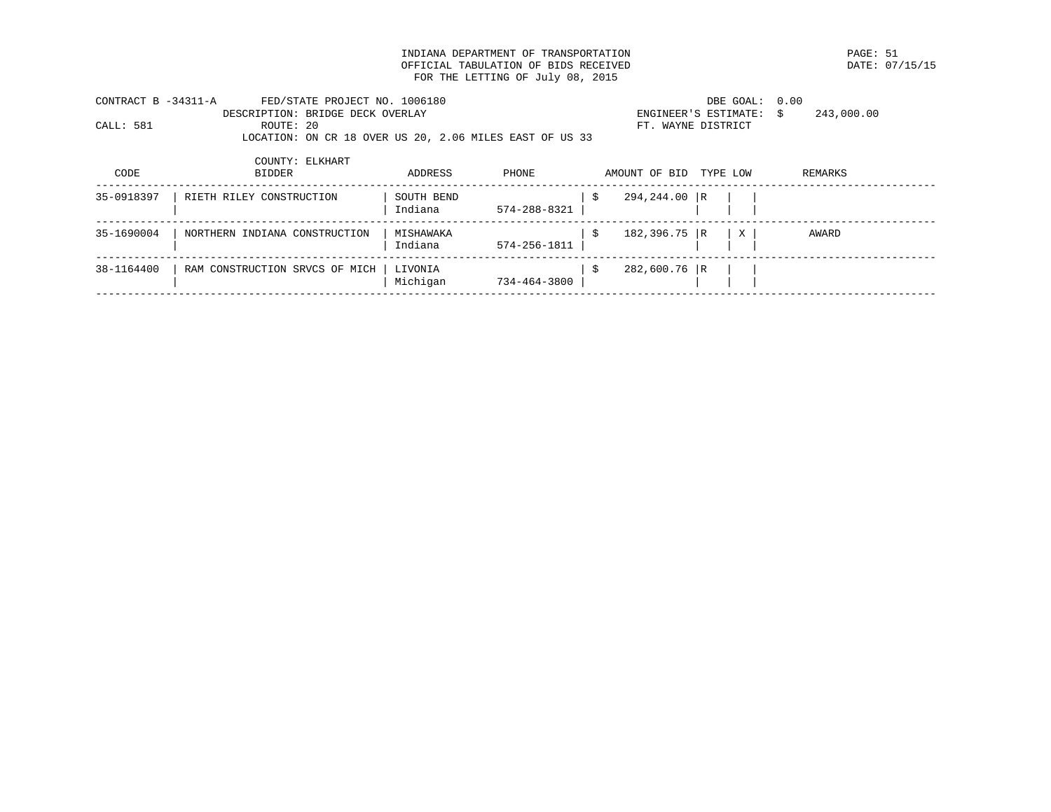INDIANA DEPARTMENT OF TRANSPORTATION PAGE: 51 OFFICIAL TABULATION OF BIDS RECEIVED FOR THE LETTING OF July 08, 2015

| CONTRACT B -34311-A | FED/STATE PROJECT NO. 1006180                           | DBE GOAL: 0.00                        |  |
|---------------------|---------------------------------------------------------|---------------------------------------|--|
|                     | DESCRIPTION: BRIDGE DECK OVERLAY                        | 243,000.00<br>ENGINEER'S ESTIMATE: \$ |  |
| CALL: 581           | ROUTE: 20                                               | FT. WAYNE DISTRICT                    |  |
|                     | LOCATION: ON CR 18 OVER US 20, 2.06 MILES EAST OF US 33 |                                       |  |

| CODE       | COUNTY: ELKHART<br><b>BIDDER</b> | ADDRESS               | PHONE              | AMOUNT OF BID  | TYPE LOW |   | REMARKS |  |
|------------|----------------------------------|-----------------------|--------------------|----------------|----------|---|---------|--|
| 35-0918397 | RIETH RILEY CONSTRUCTION         | SOUTH BEND<br>Indiana | 574-288-8321       | 294,244.00 R   |          |   |         |  |
| 35-1690004 | NORTHERN INDIANA CONSTRUCTION    | MISHAWAKA<br>Indiana  | $574 - 256 - 1811$ | $182,396.75$ R |          | X | AWARD   |  |
| 38-1164400 | RAM CONSTRUCTION SRVCS OF MICH   | LIVONIA<br>Michigan   | 734-464-3800       | 282,600.76 R   |          |   |         |  |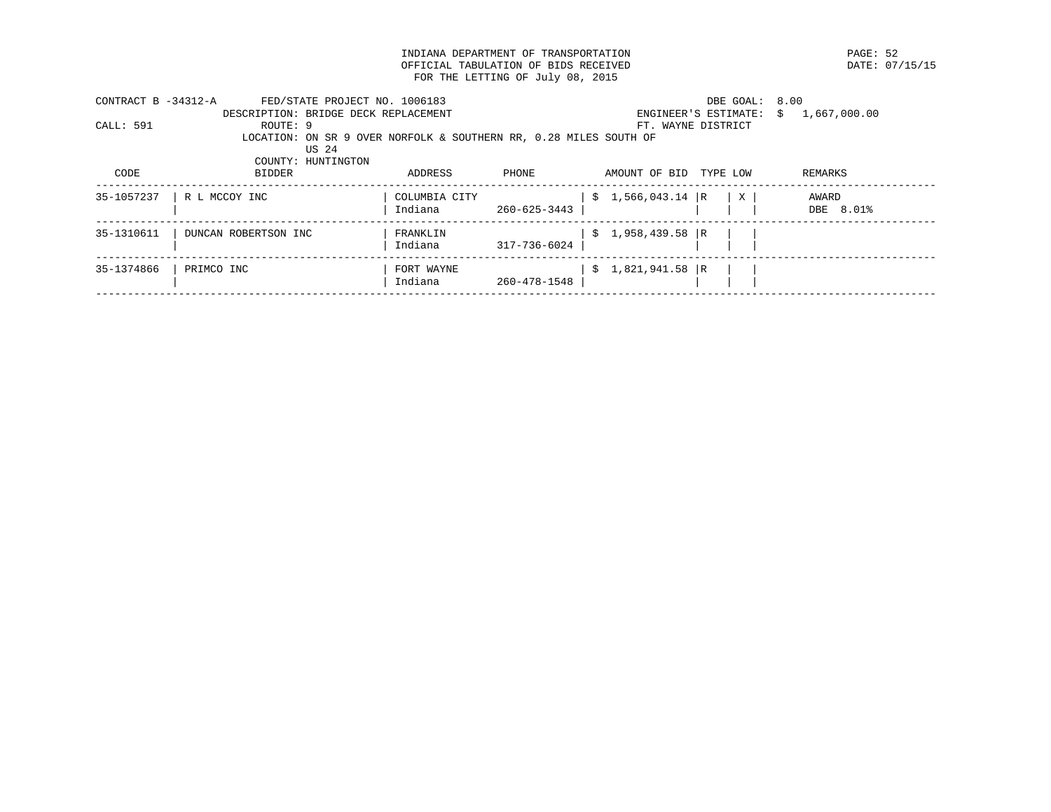INDIANA DEPARTMENT OF TRANSPORTATION **EXAMPLE SECAL SERVICE SOMETHERS OF SAMPLE SERVICE SOMETHERS OF SERVICE S**<br>
PATE: 07/15/15 OFFICIAL TABULATION OF BIDS RECEIVED FOR THE LETTING OF July 08, 2015

| CONTRACT $B - 34312 - A$ | FED/STATE PROJECT NO. 1006183                                     |               |              |                   | DBE GOAL:            | 8.00               |
|--------------------------|-------------------------------------------------------------------|---------------|--------------|-------------------|----------------------|--------------------|
|                          | DESCRIPTION: BRIDGE DECK REPLACEMENT                              |               |              |                   | ENGINEER'S ESTIMATE: | 1,667,000.00<br>S. |
| CALL: 591                | ROUTE: 9                                                          |               |              |                   | FT. WAYNE DISTRICT   |                    |
|                          | LOCATION: ON SR 9 OVER NORFOLK & SOUTHERN RR, 0.28 MILES SOUTH OF |               |              |                   |                      |                    |
|                          | US 24                                                             |               |              |                   |                      |                    |
|                          | COUNTY: HUNTINGTON                                                |               |              |                   |                      |                    |
| CODE                     | <b>BIDDER</b>                                                     | ADDRESS       | PHONE        | AMOUNT OF BID     | TYPE LOW             | REMARKS            |
|                          |                                                                   |               |              |                   |                      |                    |
| 35-1057237               | R L MCCOY INC                                                     | COLUMBIA CITY |              | $$1,566,043.14$ R | X                    | AWARD              |
|                          |                                                                   | Indiana       | 260-625-3443 |                   |                      | DBE 8.01%          |
|                          |                                                                   |               |              |                   |                      |                    |
| 35-1310611               | DUNCAN ROBERTSON INC                                              | FRANKLIN      |              | $$1,958,439.58$ R |                      |                    |
|                          |                                                                   | Indiana       | 317-736-6024 |                   |                      |                    |
| 35-1374866               | PRIMCO INC                                                        | FORT WAYNE    |              | $$1,821,941.58$ R |                      |                    |
|                          |                                                                   | Indiana       | 260-478-1548 |                   |                      |                    |
|                          |                                                                   |               |              |                   |                      |                    |
|                          |                                                                   |               |              |                   |                      |                    |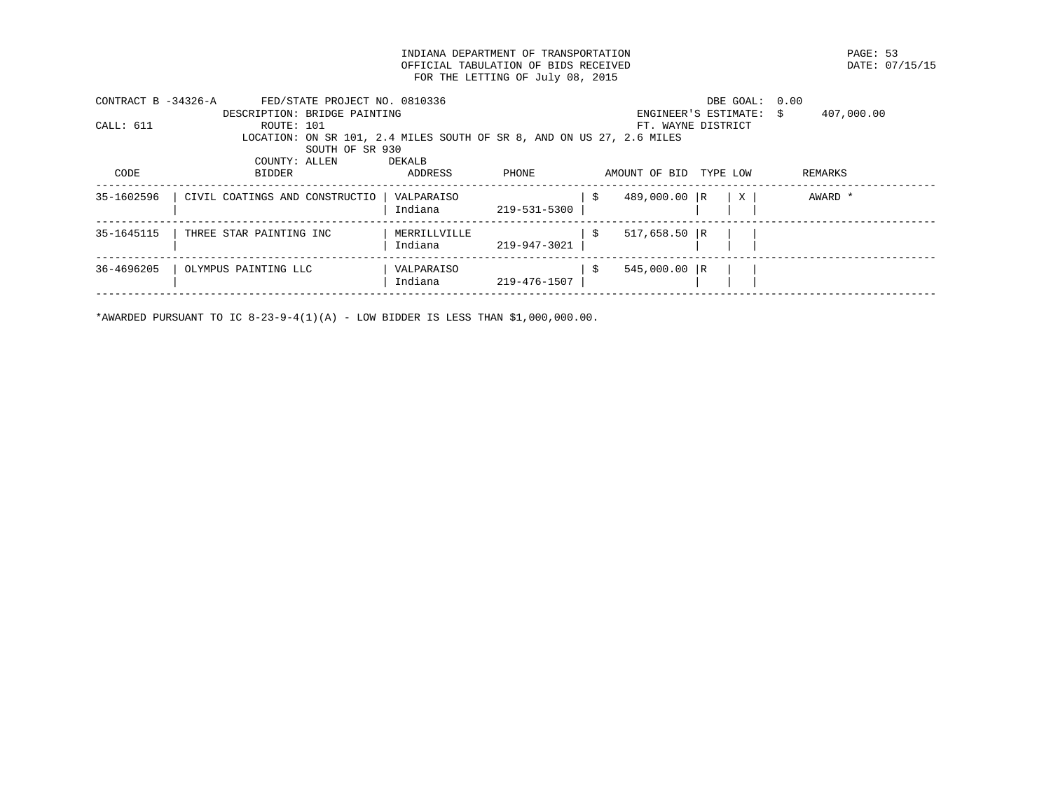INDIANA DEPARTMENT OF TRANSPORTATION PAGE: 53 OFFICIAL TABULATION OF BIDS RECEIVED FOR THE LETTING OF July 08, 2015

| CONTRACT B -34326-A | FED/STATE PROJECT NO. 0810336                                         |                         |              |    |                | DBE GOAL: 0.00          |            |  |
|---------------------|-----------------------------------------------------------------------|-------------------------|--------------|----|----------------|-------------------------|------------|--|
|                     | DESCRIPTION: BRIDGE PAINTING                                          |                         |              |    |                | ENGINEER'S ESTIMATE: \$ | 407,000.00 |  |
| CALL: 611           | ROUTE: 101                                                            |                         |              |    |                | FT. WAYNE DISTRICT      |            |  |
|                     | LOCATION: ON SR 101, 2.4 MILES SOUTH OF SR 8, AND ON US 27, 2.6 MILES |                         |              |    |                |                         |            |  |
|                     | SOUTH OF SR 930                                                       |                         |              |    |                |                         |            |  |
|                     | COUNTY: ALLEN                                                         | DEKALB                  |              |    |                |                         |            |  |
| CODE                | <b>BIDDER</b>                                                         | ADDRESS                 | PHONE        |    | AMOUNT OF BID  | TYPE LOW                | REMARKS    |  |
| 35-1602596          | CIVIL COATINGS AND CONSTRUCTIO                                        | VALPARAISO<br>Indiana   | 219-531-5300 | -Ŝ | 489,000.00 R   | $\mathbf{X}$            | AWARD *    |  |
| 35-1645115          | THREE STAR PAINTING INC                                               | MERRILLVILLE<br>Indiana | 219-947-3021 | -Ŝ | $517,658.50$ R |                         |            |  |
| 36-4696205          | OLYMPUS PAINTING LLC                                                  | VALPARAISO<br>Indiana   | 219-476-1507 | -S | $545,000.00$ R |                         |            |  |
|                     |                                                                       |                         |              |    |                |                         |            |  |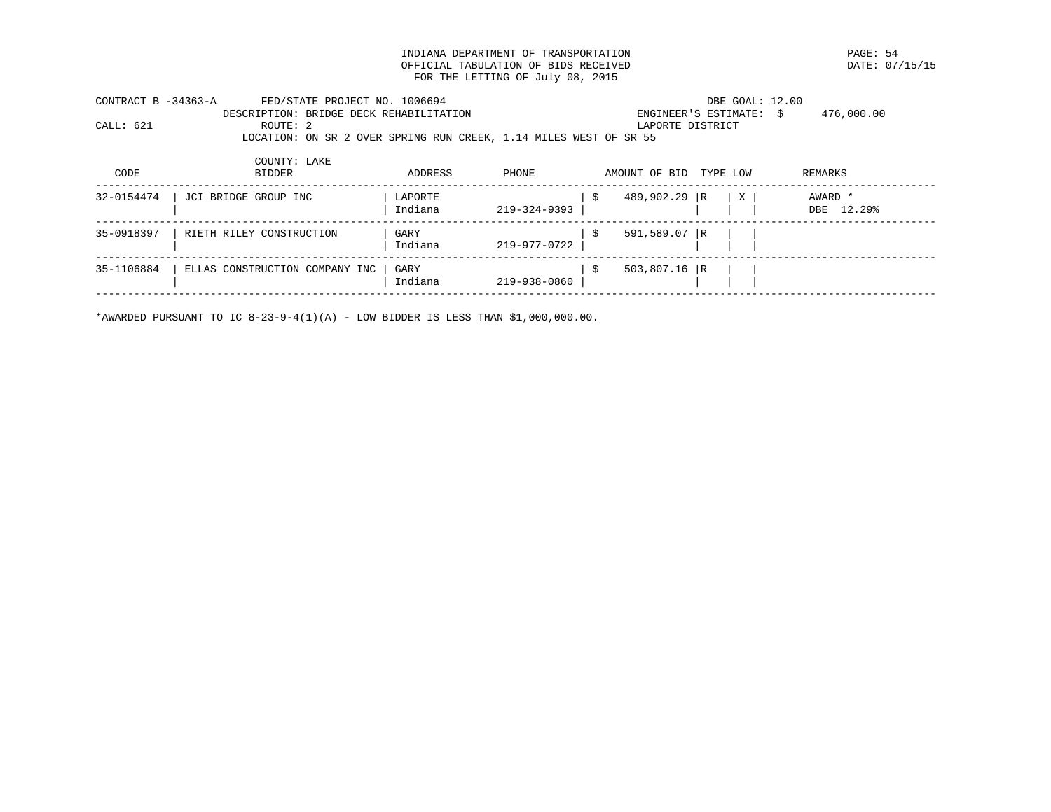INDIANA DEPARTMENT OF TRANSPORTATION PAGE: 54 OFFICIAL TABULATION OF BIDS RECEIVED FOR THE LETTING OF July 08, 2015

| CONTRACT B -34363-A |          | FED/STATE PROJECT NO. 1006694                                     | DBE GOAL: 12.00         |            |
|---------------------|----------|-------------------------------------------------------------------|-------------------------|------------|
|                     |          | DESCRIPTION: BRIDGE DECK REHABILITATION                           | ENGINEER'S ESTIMATE: \$ | 476,000.00 |
| CALL: 621           | ROUTE: 2 |                                                                   | LAPORTE DISTRICT        |            |
|                     |          | LOCATION: ON SR 2 OVER SPRING RUN CREEK, 1.14 MILES WEST OF SR 55 |                         |            |
|                     |          |                                                                   |                         |            |

| CODE       | COUNTY: LAKE<br><b>BIDDER</b>  | ADDRESS            | PHONE        | AMOUNT OF BID  | TYPE LOW |   | REMARKS               |
|------------|--------------------------------|--------------------|--------------|----------------|----------|---|-----------------------|
| 32-0154474 | JCI BRIDGE GROUP INC           | LAPORTE<br>Indiana | 219-324-9393 | 489,902.29 R   |          | X | AWARD *<br>DBE 12.29% |
| 35-0918397 | RIETH RILEY CONSTRUCTION       | GARY<br>Indiana    | 219-977-0722 | 591,589.07 R   |          |   |                       |
| 35-1106884 | ELLAS CONSTRUCTION COMPANY INC | GARY<br>Indiana    | 219-938-0860 | $503,807.16$ R |          |   |                       |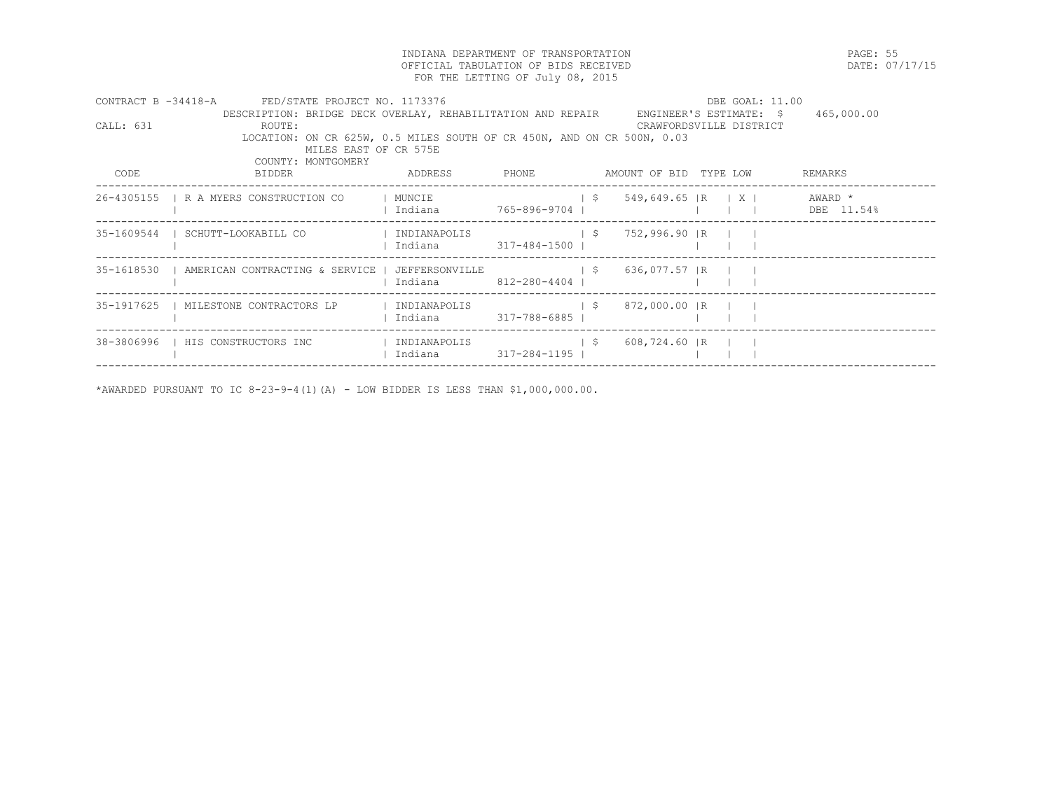INDIANA DEPARTMENT OF TRANSPORTATION PAGE: 55 OFFICIAL TABULATION OF BIDS RECEIVED FOR THE LETTING OF July 08, 2015

|             | CONTRACT B -34418-A FED/STATE PROJECT NO. 1173376                                               |                     |                                                                    | DBE GOAL: 11.00                   |                                  |
|-------------|-------------------------------------------------------------------------------------------------|---------------------|--------------------------------------------------------------------|-----------------------------------|----------------------------------|
| CAI.I.: 631 | DESCRIPTION: BRIDGE DECK OVERLAY, REHABILITATION AND REPAIR<br>ROUTE:                           |                     | CRAWFORDSVILLE DISTRICT                                            | ENGINEER'S ESTIMATE: \$465,000.00 |                                  |
|             | LOCATION: ON CR 625W, 0.5 MILES SOUTH OF CR 450N, AND ON CR 500N, 0.03<br>MILES EAST OF CR 575E |                     |                                                                    |                                   |                                  |
|             | COUNTY: MONTGOMERY                                                                              |                     |                                                                    |                                   |                                  |
| CODE        | BIDDER                                                                                          |                     | ADDRESS PHONE AMOUNT OF BID TYPE LOW                               |                                   | REMARKS                          |
|             | 26-4305155   R A MYERS CONSTRUCTION CO   MUNCIE                                                 |                     | $\frac{1}{5}$ 549,649.65 R X   AWARD *                             |                                   |                                  |
|             |                                                                                                 |                     |                                                                    |                                   | $1 \quad 1 \quad $ DBE $11.54\%$ |
|             | 35-1609544   SCHUTT-LOOKABILL CO                                                                |                     |                                                                    |                                   |                                  |
|             |                                                                                                 |                     |                                                                    |                                   |                                  |
|             |                                                                                                 |                     |                                                                    |                                   |                                  |
|             |                                                                                                 | Indiana 12-280-4404 |                                                                    |                                   |                                  |
|             | 35-1917625   MILESTONE CONTRACTORS LP   INDIANAPOLIS     \$ 872,000.00   R                      |                     |                                                                    |                                   |                                  |
|             |                                                                                                 |                     |                                                                    |                                   |                                  |
|             | 38-3806996   HIS CONSTRUCTORS INC                                                               |                     | INDIANAPOLIS                             \$         608,724.60   R |                                   |                                  |
|             |                                                                                                 |                     |                                                                    |                                   |                                  |
|             |                                                                                                 |                     |                                                                    |                                   |                                  |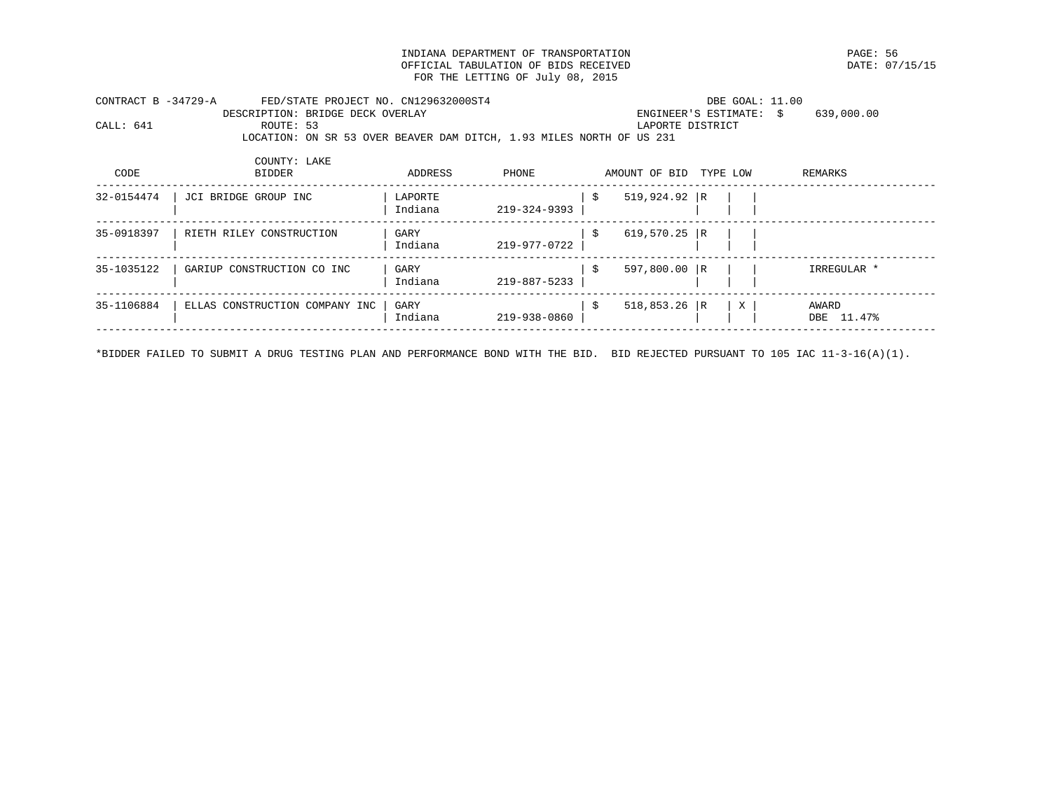INDIANA DEPARTMENT OF TRANSPORTATION PAGE: 56 OFFICIAL TABULATION OF BIDS RECEIVED FOR THE LETTING OF July 08, 2015

|           | FED/STATE PROJECT NO. CN129632000ST4<br>CONTRACT B -34729-A<br>DBE GOAL: 11.00 |                                                                      |                         |            |
|-----------|--------------------------------------------------------------------------------|----------------------------------------------------------------------|-------------------------|------------|
|           |                                                                                | DESCRIPTION: BRIDGE DECK OVERLAY                                     | ENGINEER'S ESTIMATE: \$ | 639,000.00 |
| CALL: 641 | ROUTE: 53                                                                      |                                                                      | LAPORTE DISTRICT        |            |
|           |                                                                                | LOCATION: ON SR 53 OVER BEAVER DAM DITCH, 1.93 MILES NORTH OF US 231 |                         |            |
|           |                                                                                |                                                                      |                         |            |
|           | COUNTY: LAKE                                                                   |                                                                      |                         |            |

| CODE       | <b>BIDDER</b>                  | ADDRESS            | PHONE        | AMOUNT OF BID  | TYPE LOW |   | REMARKS                |
|------------|--------------------------------|--------------------|--------------|----------------|----------|---|------------------------|
| 32-0154474 | JCI BRIDGE GROUP INC           | LAPORTE<br>Indiana | 219-324-9393 | $519,924.92$ R |          |   |                        |
| 35-0918397 | RIETH RILEY CONSTRUCTION       | GARY<br>Indiana    | 219-977-0722 | 619,570.25 R   |          |   |                        |
| 35-1035122 | GARIUP CONSTRUCTION CO INC     | GARY<br>Indiana    | 219-887-5233 | $597,800.00$ R |          |   | IRREGULAR *            |
| 35-1106884 | ELLAS CONSTRUCTION COMPANY INC | GARY<br>Indiana    | 219-938-0860 | $518,853.26$ R |          | X | AWARD<br>11.47%<br>DBE |

\*BIDDER FAILED TO SUBMIT A DRUG TESTING PLAN AND PERFORMANCE BOND WITH THE BID. BID REJECTED PURSUANT TO 105 IAC 11-3-16(A)(1).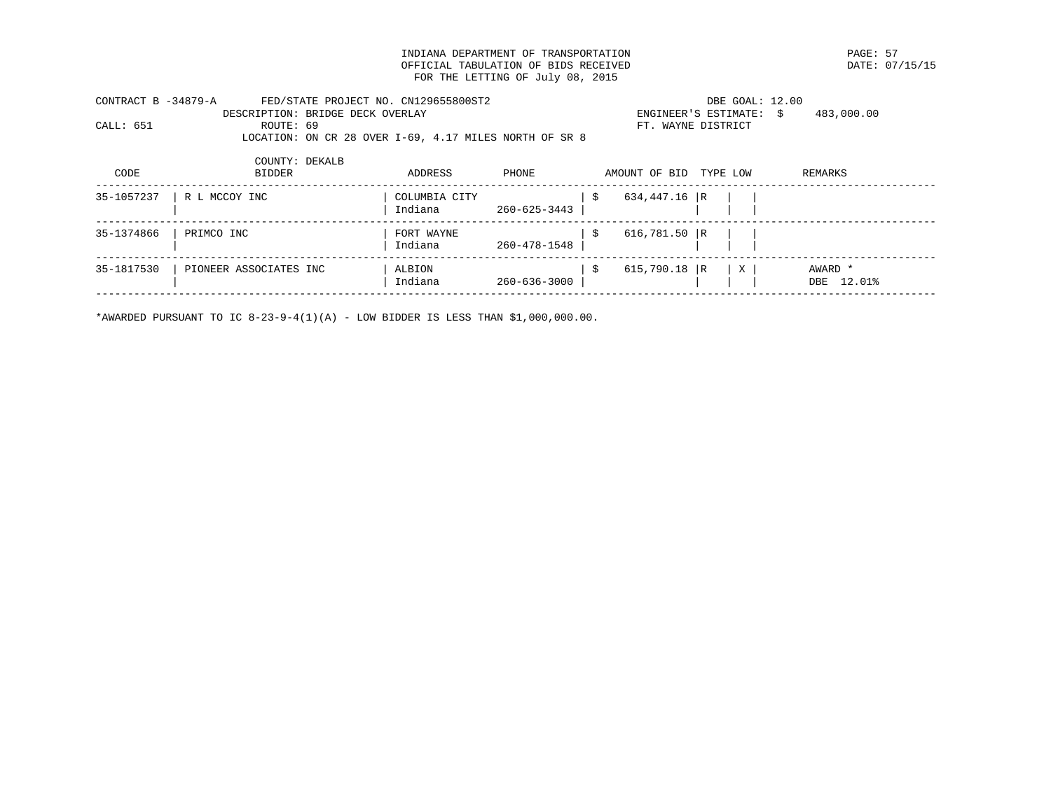INDIANA DEPARTMENT OF TRANSPORTATION PAGE: 57 OFFICIAL TABULATION OF BIDS RECEIVED FOR THE LETTING OF July 08, 2015

|           | FED/STATE PROJECT NO. CN129655800ST2<br>CONTRACT B -34879-A |                                                        | DBE GOAL: 12.00         |            |  |  |  |
|-----------|-------------------------------------------------------------|--------------------------------------------------------|-------------------------|------------|--|--|--|
|           |                                                             | DESCRIPTION: BRIDGE DECK OVERLAY                       | ENGINEER'S ESTIMATE: \$ | 483,000.00 |  |  |  |
| CALL: 651 | ROUTE: 69                                                   |                                                        | FT. WAYNE DISTRICT      |            |  |  |  |
|           |                                                             | LOCATION: ON CR 28 OVER 1-69, 4.17 MILES NORTH OF SR 8 |                         |            |  |  |  |

| 634,447.16 R<br>35-1057237<br>R L MCCOY INC<br>COLUMBIA CITY<br>Indiana<br>260-625-3443<br>35-1374866<br>616,781.50 $ R$<br>PRIMCO INC<br>FORT WAYNE<br>260-478-1548<br>Indiana | CODE       | COUNTY: DEKALB<br><b>BIDDER</b> | ADDRESS | PHONE | AMOUNT OF BID | TYPE LOW | REMARKS |  |
|---------------------------------------------------------------------------------------------------------------------------------------------------------------------------------|------------|---------------------------------|---------|-------|---------------|----------|---------|--|
|                                                                                                                                                                                 |            |                                 |         |       |               |          |         |  |
|                                                                                                                                                                                 |            |                                 |         |       |               |          |         |  |
| 615,790.18 R<br>260-636-3000<br>Indiana<br>12.01%<br>DBE                                                                                                                        | 35-1817530 | PIONEER ASSOCIATES INC          | ALBION  |       |               | X        | AWARD * |  |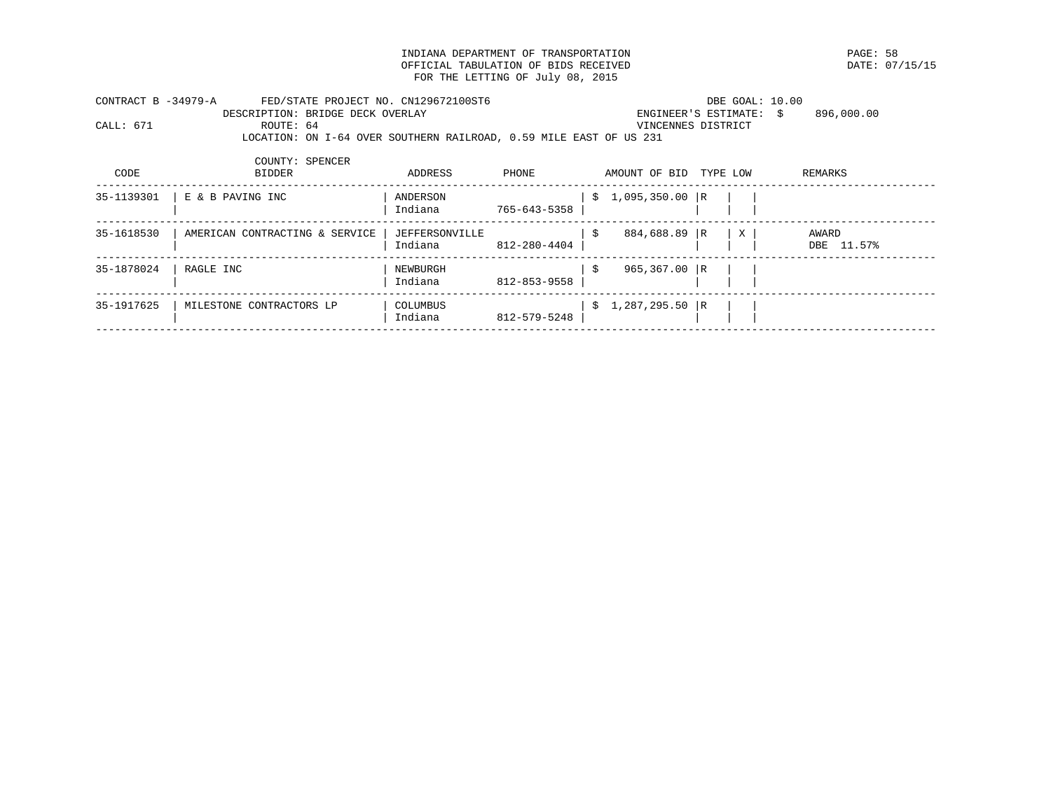INDIANA DEPARTMENT OF TRANSPORTATION PAGE: 58 OFFICIAL TABULATION OF BIDS RECEIVED FOR THE LETTING OF July 08, 2015

| CONTRACT B -34979-A<br>CALL: 671 | FED/STATE PROJECT NO. CN129672100ST6<br>DESCRIPTION: BRIDGE DECK OVERLAY<br>ROUTE: 64<br>LOCATION: ON I-64 OVER SOUTHERN RAILROAD, 0.59 MILE EAST OF US 231 |                           |              |     | ENGINEER'S ESTIMATE: \$<br>VINCENNES DISTRICT |          |   | DBE GOAL: 10.00<br>896,000.00 |
|----------------------------------|-------------------------------------------------------------------------------------------------------------------------------------------------------------|---------------------------|--------------|-----|-----------------------------------------------|----------|---|-------------------------------|
| CODE                             | COUNTY: SPENCER<br><b>BIDDER</b>                                                                                                                            | ADDRESS                   | PHONE        |     | AMOUNT OF BID                                 | TYPE LOW |   | REMARKS                       |
| 35-1139301                       | E & B PAVING INC                                                                                                                                            | ANDERSON<br>Indiana       | 765-643-5358 |     | $$1,095,350.00$ R                             |          |   |                               |
| 35-1618530                       | AMERICAN CONTRACTING & SERVICE                                                                                                                              | JEFFERSONVILLE<br>Indiana | 812-280-4404 | - S | 884,688.89 R                                  |          | X | AWARD<br>DBE 11.57%           |
| 35-1878024                       | RAGLE INC                                                                                                                                                   | NEWBURGH<br>Indiana       | 812-853-9558 | S.  | 965,367.00 R                                  |          |   |                               |
| 35-1917625                       | MILESTONE CONTRACTORS LP                                                                                                                                    | COLUMBUS<br>Indiana       | 812-579-5248 |     | $$1,287,295.50$ R                             |          |   |                               |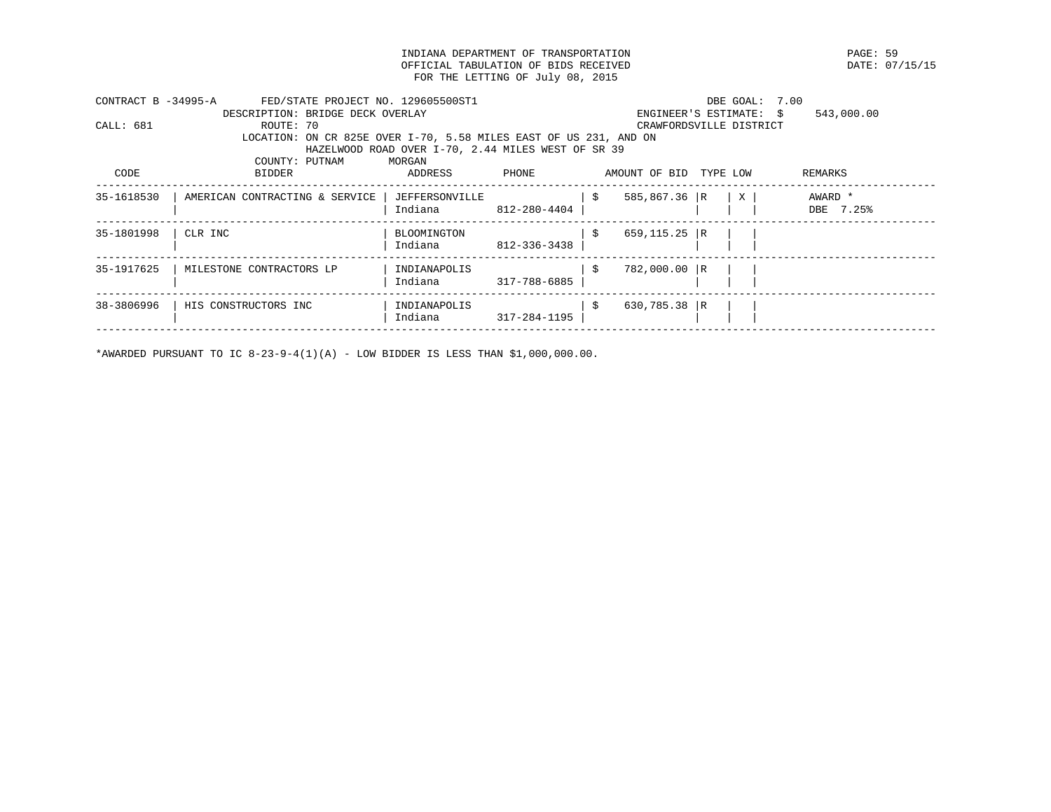INDIANA DEPARTMENT OF TRANSPORTATION PAGE: 59 OFFICIAL TABULATION OF BIDS RECEIVED FOR THE LETTING OF July 08, 2015

| CONTRACT B -34995-A | FED/STATE PROJECT NO. 129605500ST1                                |                                                    |              |                        | DBE GOAL: 7.00          |            |
|---------------------|-------------------------------------------------------------------|----------------------------------------------------|--------------|------------------------|-------------------------|------------|
|                     | DESCRIPTION: BRIDGE DECK OVERLAY                                  |                                                    |              |                        | ENGINEER'S ESTIMATE: \$ | 543,000.00 |
| CALL: 681           | ROUTE: 70                                                         |                                                    |              |                        | CRAWFORDSVILLE DISTRICT |            |
|                     | LOCATION: ON CR 825E OVER I-70, 5.58 MILES EAST OF US 231, AND ON |                                                    |              |                        |                         |            |
|                     |                                                                   | HAZELWOOD ROAD OVER I-70, 2.44 MILES WEST OF SR 39 |              |                        |                         |            |
|                     | COUNTY: PUTNAM                                                    | MORGAN                                             |              |                        |                         |            |
| CODE                | BIDDER                                                            | ADDRESS                                            | PHONE        | AMOUNT OF BID TYPE LOW |                         | REMARKS    |
| 35-1618530          | AMERICAN CONTRACTING & SERVICE                                    | JEFFERSONVILLE                                     |              | 585,867.36 R<br>- \$   | X                       | AWARD *    |
|                     |                                                                   | Indiana                                            | 812-280-4404 |                        |                         | DBE 7.25%  |
| 35-1801998          | CLR INC                                                           | <b>BLOOMINGTON</b>                                 |              | $659, 115.25$ R<br>-S  |                         |            |
|                     |                                                                   | Indiana                                            | 812-336-3438 |                        |                         |            |
| 35-1917625          | MILESTONE CONTRACTORS LP                                          | INDIANAPOLIS                                       |              | 782,000.00 R<br>- S    |                         |            |
|                     |                                                                   | Indiana                                            | 317-788-6885 |                        |                         |            |
| 38-3806996          | HIS CONSTRUCTORS INC                                              | INDIANAPOLIS                                       |              | $630,785.38$ R<br>-S   |                         |            |
|                     |                                                                   | Indiana                                            | 317-284-1195 |                        |                         |            |
|                     |                                                                   |                                                    |              |                        |                         |            |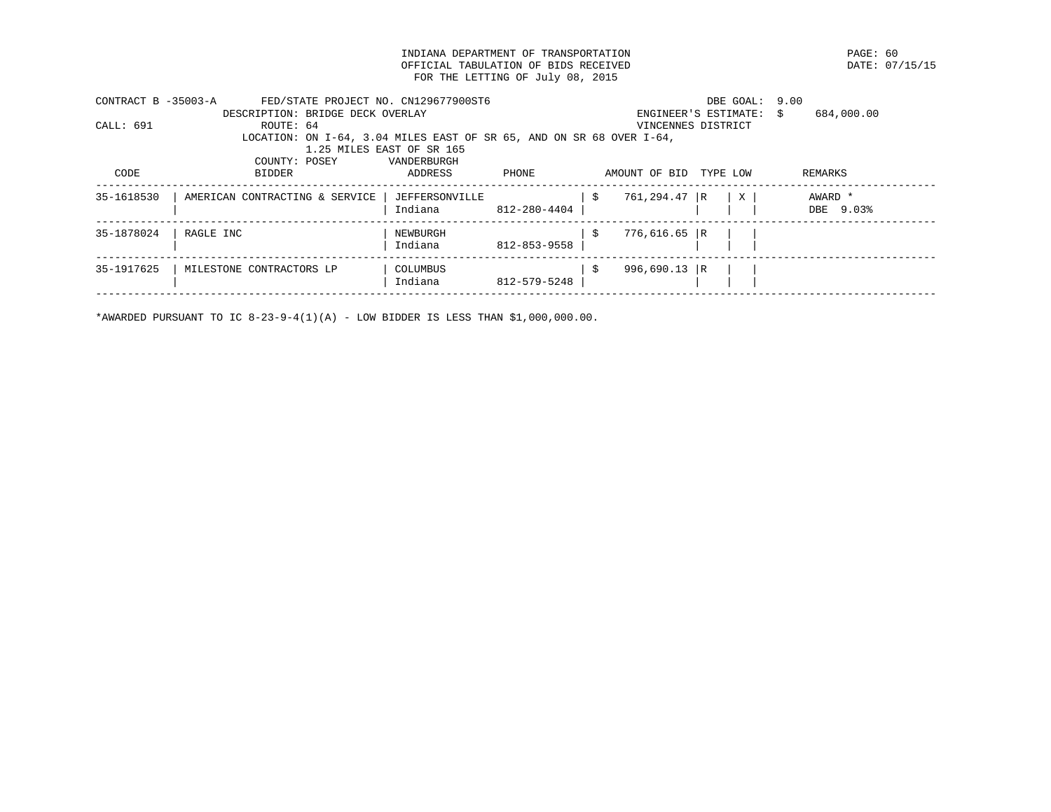INDIANA DEPARTMENT OF TRANSPORTATION PAGE: 60 OFFICIAL TABULATION OF BIDS RECEIVED FOR THE LETTING OF July 08, 2015

| CONTRACT B -35003-A | FED/STATE PROJECT NO. CN129677900ST6                                 |                           |              |     |                    | DBE GOAL: 9.00       |                  |
|---------------------|----------------------------------------------------------------------|---------------------------|--------------|-----|--------------------|----------------------|------------------|
|                     | DESCRIPTION: BRIDGE DECK OVERLAY                                     |                           |              |     |                    | ENGINEER'S ESTIMATE: | 684,000.00<br>S. |
| CALL: 691           | ROUTE: 64                                                            |                           |              |     | VINCENNES DISTRICT |                      |                  |
|                     | LOCATION: ON I-64, 3.04 MILES EAST OF SR 65, AND ON SR 68 OVER I-64, |                           |              |     |                    |                      |                  |
|                     |                                                                      | 1.25 MILES EAST OF SR 165 |              |     |                    |                      |                  |
|                     | COUNTY: POSEY                                                        | VANDERBURGH               |              |     |                    |                      |                  |
| CODE                | BIDDER                                                               | ADDRESS                   | PHONE        |     | AMOUNT OF BID      | TYPE LOW             | REMARKS          |
| 35-1618530          | AMERICAN CONTRACTING & SERVICE                                       | JEFFERSONVILLE            |              | -S  | 761,294.47 R       | X                    | AWARD *          |
|                     |                                                                      | Indiana                   | 812-280-4404 |     |                    |                      | DBE 9.03%        |
| 35-1878024          | RAGLE INC                                                            | NEWBURGH                  |              | -Ŝ  | $776,616.65$ R     |                      |                  |
|                     |                                                                      | Indiana                   | 812-853-9558 |     |                    |                      |                  |
| 35-1917625          | MILESTONE CONTRACTORS LP                                             | COLUMBUS                  |              | -\$ | 996,690.13   R     |                      |                  |
|                     |                                                                      | Indiana                   | 812-579-5248 |     |                    |                      |                  |
|                     |                                                                      |                           |              |     |                    |                      |                  |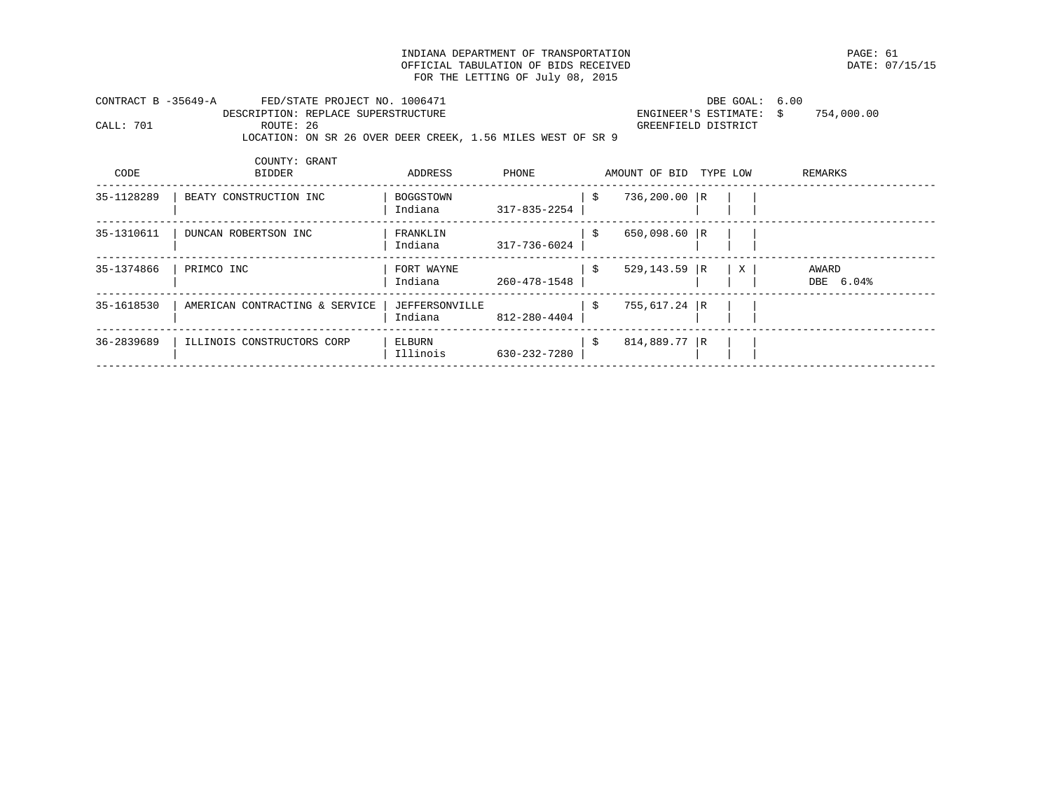INDIANA DEPARTMENT OF TRANSPORTATION PAGE: 61 OFFICIAL TABULATION OF BIDS RECEIVED FOR THE LETTING OF July 08, 2015

| CONTRACT B -35649-A |           | FED/STATE PROJECT NO. 1006471                               | DBE GOAL: 6.00          |            |
|---------------------|-----------|-------------------------------------------------------------|-------------------------|------------|
|                     |           | DESCRIPTION: REPLACE SUPERSTRUCTURE                         | ENGINEER'S ESTIMATE: \$ | 754,000.00 |
| CALL: 701           | ROUTE: 26 |                                                             | GREENFIELD DISTRICT     |            |
|                     |           | LOCATION: ON SR 26 OVER DEER CREEK, 1.56 MILES WEST OF SR 9 |                         |            |

| CODE       | COUNTY: GRANT<br><b>BIDDER</b> | ADDRESS                          | PHONE        |      | AMOUNT OF BID   | TYPE LOW |              | REMARKS            |
|------------|--------------------------------|----------------------------------|--------------|------|-----------------|----------|--------------|--------------------|
| 35-1128289 | BEATY CONSTRUCTION INC         | BOGGSTOWN<br>Indiana             | 317-835-2254 | -\$  | 736,200.00 R    |          |              |                    |
| 35-1310611 | DUNCAN ROBERTSON INC           | FRANKLIN<br>Indiana              | 317-736-6024 | - \$ | $650,098.60$ R  |          |              |                    |
| 35-1374866 | PRIMCO INC                     | FORT WAYNE<br>Indiana            | 260-478-1548 | -\$  | $529, 143.59$ R |          | $\mathbf{X}$ | AWARD<br>DBE 6.04% |
| 35-1618530 | AMERICAN CONTRACTING & SERVICE | <b>JEFFERSONVILLE</b><br>Indiana | 812-280-4404 | \$   | 755,617.24 R    |          |              |                    |
| 36-2839689 | ILLINOIS CONSTRUCTORS CORP     | ELBURN<br>Illinois               | 630-232-7280 | -\$  | 814,889.77 R    |          |              |                    |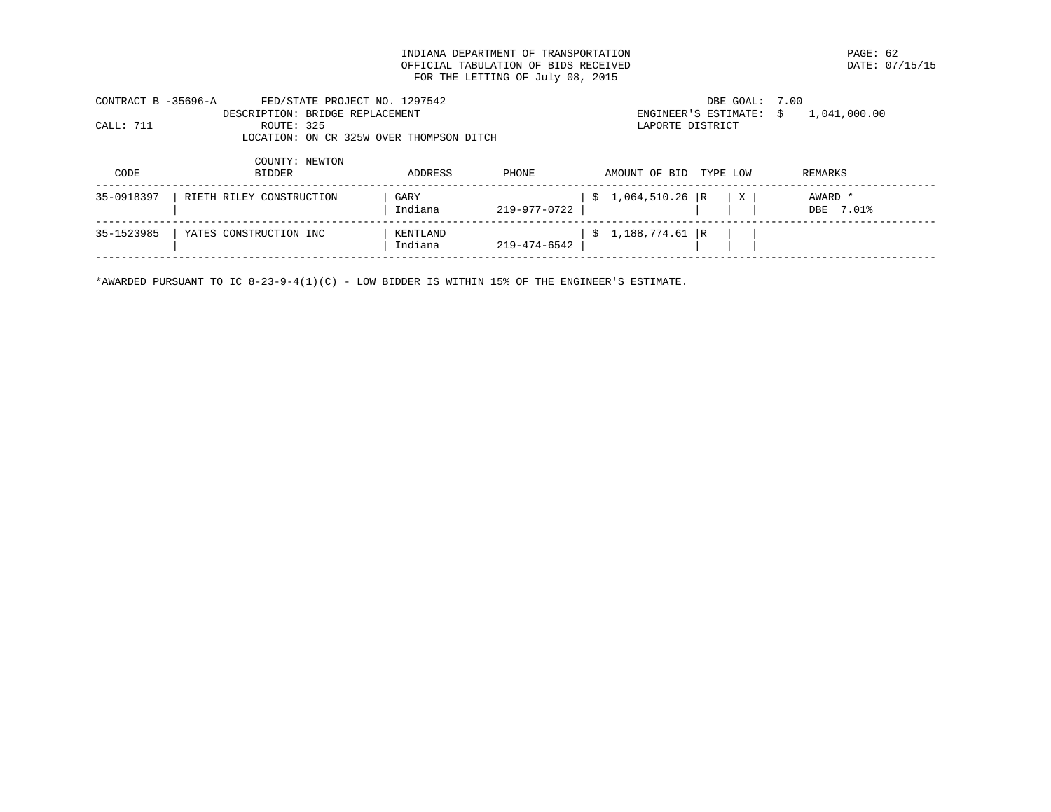INDIANA DEPARTMENT OF TRANSPORTATION PAGE: 62 OFFICIAL TABULATION OF BIDS RECEIVED FOR THE LETTING OF July 08, 2015

| CONTRACT B -35696-A |            | FED/STATE PROJECT NO. 1297542            |         |       | DBE GOAL: 7.00                           |                |  |
|---------------------|------------|------------------------------------------|---------|-------|------------------------------------------|----------------|--|
|                     |            | DESCRIPTION: BRIDGE REPLACEMENT          |         |       | ENGINEER'S ESTIMATE: $\sin 1.041.000.00$ |                |  |
| CALL: 711           | ROUTE: 325 |                                          |         |       | LAPORTE DISTRICT                         |                |  |
|                     |            | LOCATION: ON CR 325W OVER THOMPSON DITCH |         |       |                                          |                |  |
| ∩ULL                | סתחחדם     | COUNTY: NEWTON                           | ADDDFCC | DU∩NF | ועם הם חדם הם ידוחדו∩ועו                 | <b>DEMADKC</b> |  |

| \$1,064,510.26  R<br>35-0918397<br>RIETH RILEY CONSTRUCTION<br>AWARD *<br>GARY<br>$\mathbf{X}$<br>Indiana<br>219-977-0722  <br>DBE 7.01%<br>  \$1,188,774.61  R<br>35-1523985<br>YATES CONSTRUCTION INC<br>KENTLAND | CODE | BIDDER | ADDRESS | PHONE        | AMOUNI OF BID TIPE LOW | REMARKS |
|---------------------------------------------------------------------------------------------------------------------------------------------------------------------------------------------------------------------|------|--------|---------|--------------|------------------------|---------|
|                                                                                                                                                                                                                     |      |        |         |              |                        |         |
|                                                                                                                                                                                                                     |      |        | Indiana | 219-474-6542 |                        |         |

\*AWARDED PURSUANT TO IC 8-23-9-4(1)(C) - LOW BIDDER IS WITHIN 15% OF THE ENGINEER'S ESTIMATE.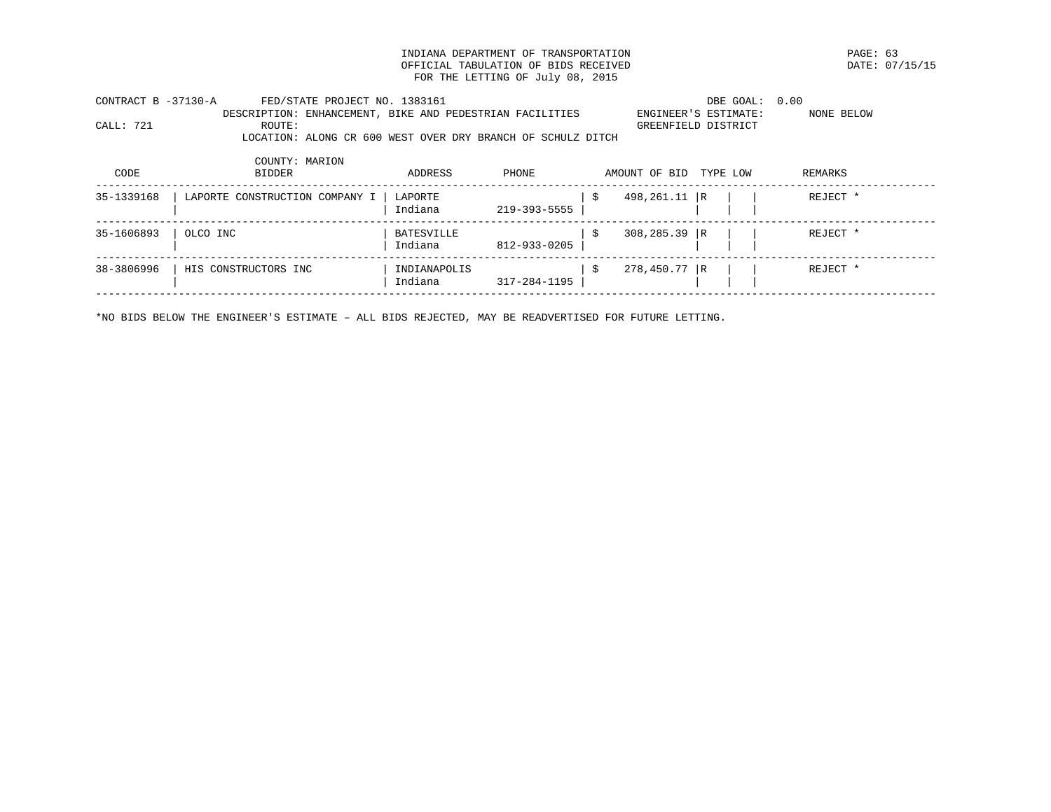INDIANA DEPARTMENT OF TRANSPORTATION PAGE: 63 OFFICIAL TABULATION OF BIDS RECEIVED FOR THE LETTING OF July 08, 2015

| CONTRACT B -37130-A | FED/STATE PROJECT NO. 1383161                               |         |       | DBE GOAL: 0.00         |            |
|---------------------|-------------------------------------------------------------|---------|-------|------------------------|------------|
|                     | DESCRIPTION: ENHANCEMENT, BIKE AND PEDESTRIAN FACILITIES    |         |       | ENGINEER'S ESTIMATE:   | NONE BELOW |
| CALL: 721           | ROUTE:                                                      |         |       | GREENFIELD DISTRICT    |            |
|                     | LOCATION: ALONG CR 600 WEST OVER DRY BRANCH OF SCHULZ DITCH |         |       |                        |            |
|                     |                                                             |         |       |                        |            |
|                     | COUNTY: MARION                                              |         |       |                        |            |
| CODE                | BIDDER                                                      | ADDRESS | PHONE | AMOUNT OF BID TYPE LOW | REMARKS    |
|                     |                                                             |         |       |                        |            |
| 35-1339168          | LAPORTE CONSTRUCTION COMPANY I                              | LAPORTE |       | 498,261.11 R           | REJECT *   |

|            |                      | Indiana                 | 219-393-5555 |              |  |          |
|------------|----------------------|-------------------------|--------------|--------------|--|----------|
| 35-1606893 | OLCO INC             | BATESVILLE<br>Indiana   | 812-933-0205 | 308,285.39 R |  | REJECT * |
| 38-3806996 | HIS CONSTRUCTORS INC | INDIANAPOLIS<br>Indiana | 317-284-1195 | 278,450.77 R |  | REJECT * |

\*NO BIDS BELOW THE ENGINEER'S ESTIMATE – ALL BIDS REJECTED, MAY BE READVERTISED FOR FUTURE LETTING.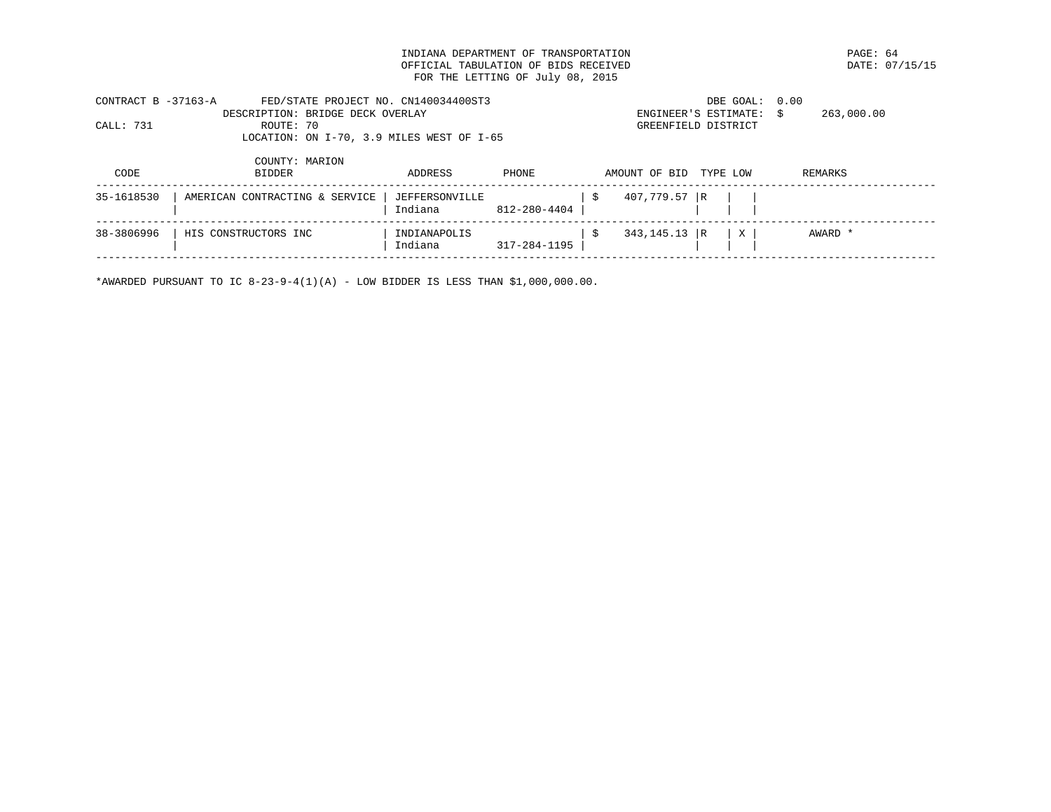INDIANA DEPARTMENT OF TRANSPORTATION PAGE: 64 OFFICIAL TABULATION OF BIDS RECEIVED FOR THE LETTING OF July 08, 2015

| CONTRACT B -37163-A |                | FED/STATE PROJECT NO. CN140034400ST3      | DBE GOAL: 0.00          |            |  |
|---------------------|----------------|-------------------------------------------|-------------------------|------------|--|
|                     |                | DESCRIPTION: BRIDGE DECK OVERLAY          | ENGINEER'S ESTIMATE: \$ | 263,000.00 |  |
| CALL: 731           | ROUTE: 70      |                                           | GREENFIELD DISTRICT     |            |  |
|                     |                | LOCATION: ON I-70, 3.9 MILES WEST OF I-65 |                         |            |  |
|                     |                |                                           |                         |            |  |
|                     | COUNTY: MARION |                                           |                         |            |  |
|                     |                |                                           |                         |            |  |

| CODE       | <b>BIDDER</b>                  | ADDRESS                   | PHONE        | AMOUNT OF BID TYPE LOW |   | REMARKS |
|------------|--------------------------------|---------------------------|--------------|------------------------|---|---------|
| 35-1618530 | AMERICAN CONTRACTING & SERVICE | JEFFERSONVILLE<br>Indiana | 812-280-4404 | 407,779.57 R           |   |         |
| 38-3806996 | HIS CONSTRUCTORS INC           | INDIANAPOLIS<br>Indiana   | 317-284-1195 | $343, 145.13$ R        | X | AWARD * |
|            |                                |                           |              |                        |   |         |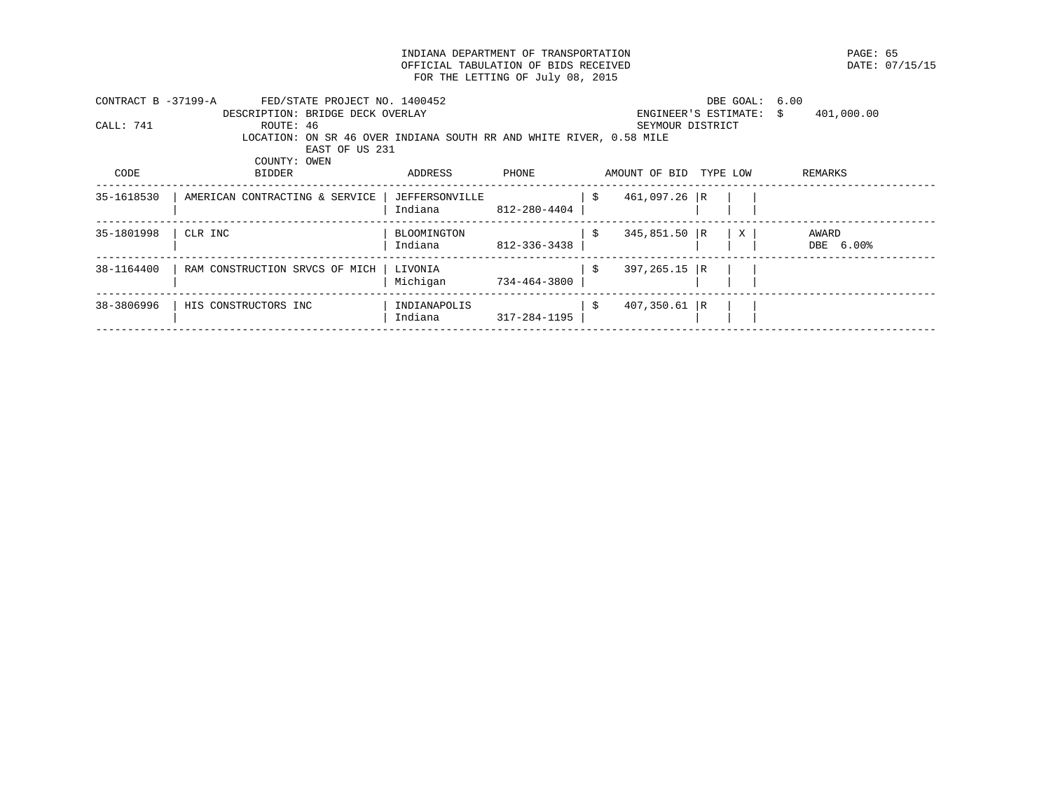INDIANA DEPARTMENT OF TRANSPORTATION **EXAMPLE SECOND PAGE: 65**<br>
OFFICIAL TABULATION OF BIDS RECEIVED **PAGE: 07/15/15** OFFICIAL TABULATION OF BIDS RECEIVED FOR THE LETTING OF July 08, 2015

| CONTRACT B -37199-A | FED/STATE PROJECT NO. 1400452                                       |                |              |                        | DBE GOAL: 6.00       |                  |
|---------------------|---------------------------------------------------------------------|----------------|--------------|------------------------|----------------------|------------------|
|                     | DESCRIPTION: BRIDGE DECK OVERLAY                                    |                |              |                        | ENGINEER'S ESTIMATE: | 401,000.00<br>S. |
| CALL: 741           | ROUTE: 46                                                           |                |              | SEYMOUR DISTRICT       |                      |                  |
|                     | LOCATION: ON SR 46 OVER INDIANA SOUTH RR AND WHITE RIVER, 0.58 MILE |                |              |                        |                      |                  |
|                     | EAST OF US 231                                                      |                |              |                        |                      |                  |
|                     | COUNTY: OWEN                                                        |                |              |                        |                      |                  |
| CODE                | BIDDER                                                              | ADDRESS        | PHONE        | AMOUNT OF BID          | TYPE LOW             | REMARKS          |
| 35-1618530          | AMERICAN CONTRACTING & SERVICE                                      | JEFFERSONVILLE |              | 461,097.26 R<br>-S     |                      |                  |
|                     |                                                                     | Indiana        | 812-280-4404 |                        |                      |                  |
| 35-1801998          | CLR INC                                                             | BLOOMINGTON    |              | $345,851.50$ R<br>-S   | $\mathbf{X}$         | AWARD            |
|                     |                                                                     | Indiana        | 812-336-3438 |                        |                      | DBE 6.00%        |
| 38-1164400          | RAM CONSTRUCTION SRVCS OF MICH                                      | LIVONIA        |              | $397, 265.15$ R<br>\$  |                      |                  |
|                     |                                                                     | Michigan       | 734-464-3800 |                        |                      |                  |
| 38-3806996          | HIS CONSTRUCTORS INC                                                | INDIANAPOLIS   |              | $407,350.61$ R<br>- \$ |                      |                  |
|                     |                                                                     | Indiana        | 317-284-1195 |                        |                      |                  |
|                     |                                                                     |                |              |                        |                      |                  |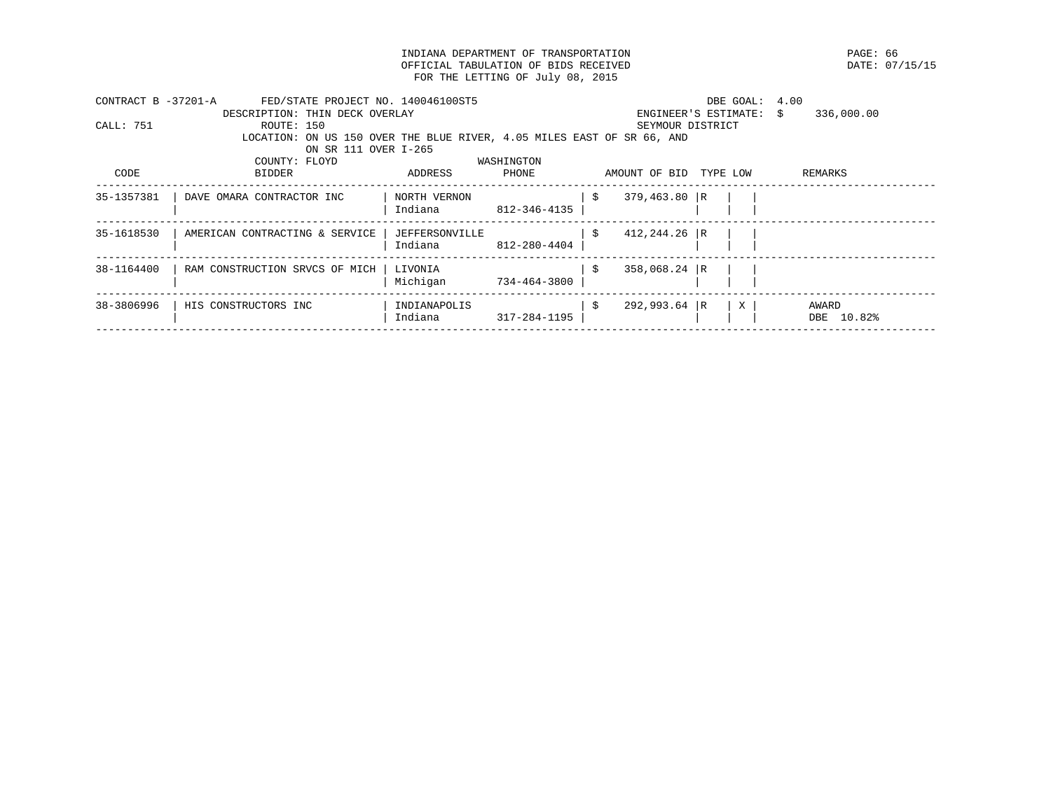INDIANA DEPARTMENT OF TRANSPORTATION **EXAMPLE ASSESSED ASSESSED ASSESSED ASSESSED AT LACK CONTRACT OF STANDART ST**<br>
PATE: 07/15/15 OFFICIAL TABULATION OF BIDS RECEIVED FOR THE LETTING OF July 08, 2015

| CONTRACT B -37201-A | FED/STATE PROJECT NO. 140046100ST5 |                                  |                                                                        | DBE GOAL:            | 4.00                        |
|---------------------|------------------------------------|----------------------------------|------------------------------------------------------------------------|----------------------|-----------------------------|
|                     | DESCRIPTION: THIN DECK OVERLAY     |                                  |                                                                        | ENGINEER'S ESTIMATE: | 336,000.00<br>$\mathcal{S}$ |
| CALL: 751           | ROUTE: 150                         |                                  | SEYMOUR DISTRICT                                                       |                      |                             |
|                     |                                    |                                  | LOCATION: ON US 150 OVER THE BLUE RIVER, 4.05 MILES EAST OF SR 66, AND |                      |                             |
|                     | ON SR 111 OVER I-265               |                                  |                                                                        |                      |                             |
|                     | COUNTY: FLOYD                      | WASHINGTON                       |                                                                        |                      |                             |
| CODE                | BIDDER                             | ADDRESS<br>PHONE                 | AMOUNT OF BID TYPE LOW                                                 |                      | REMARKS                     |
| 35-1357381          | DAVE OMARA CONTRACTOR INC          | NORTH VERNON<br>Indiana          | $379,463.80$ R<br>812-346-4135                                         |                      |                             |
| 35-1618530          | AMERICAN CONTRACTING & SERVICE     | <b>JEFFERSONVILLE</b><br>Indiana | $412, 244.26$ R<br>-S<br>812-280-4404                                  |                      |                             |
| 38-1164400          | RAM CONSTRUCTION SRVCS OF MICH     | LIVONIA<br>Michigan              | $358,068.24$ R<br>-S<br>734-464-3800                                   |                      |                             |
| 38-3806996          | HIS CONSTRUCTORS INC               | INDIANAPOLIS<br>Indiana          | $292,993.64$ R<br>317-284-1195                                         | X                    | AWARD<br>DBE 10.82%         |
|                     |                                    |                                  |                                                                        |                      |                             |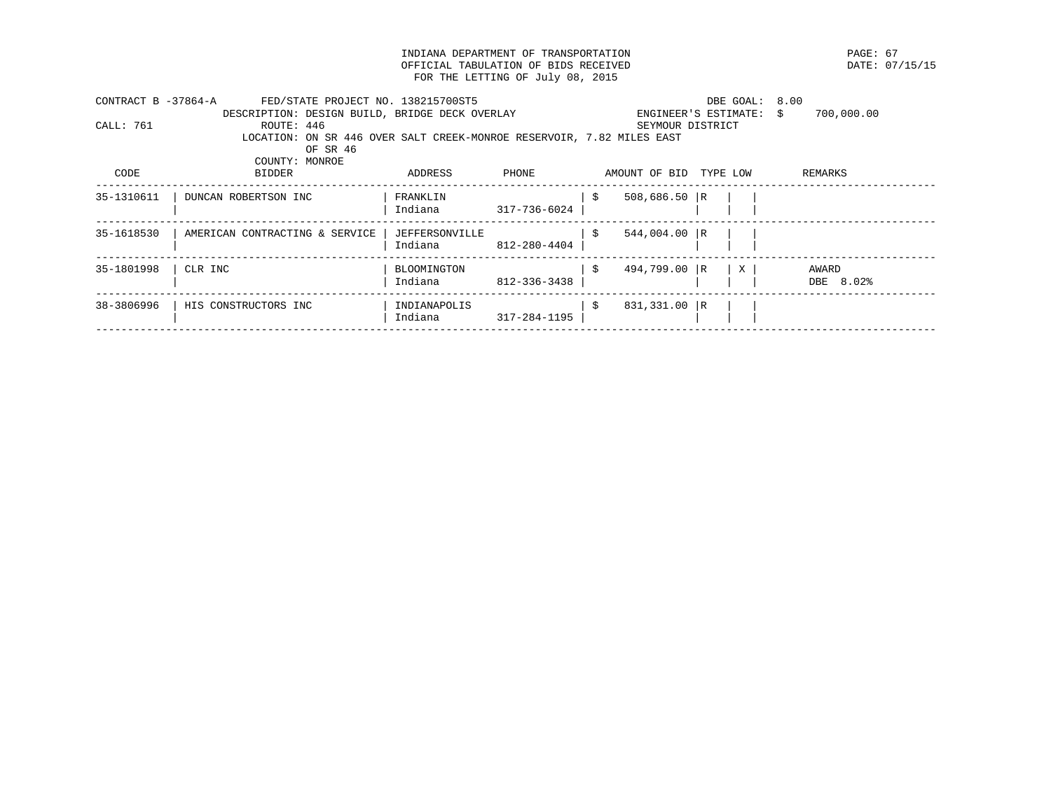INDIANA DEPARTMENT OF TRANSPORTATION **EXAMPLE 1999** PAGE: 67<br>
OFFICIAL TABULATION OF BIDS RECEIVED **PAGE: 07/15/15** OFFICIAL TABULATION OF BIDS RECEIVED FOR THE LETTING OF July 08, 2015

| CONTRACT B -37864-A | FED/STATE PROJECT NO. 138215700ST5                                    |                |              |                        | DBE GOAL: 8.00       |                  |
|---------------------|-----------------------------------------------------------------------|----------------|--------------|------------------------|----------------------|------------------|
|                     | DESCRIPTION: DESIGN BUILD, BRIDGE DECK OVERLAY                        |                |              |                        | ENGINEER'S ESTIMATE: | 700,000.00<br>S. |
| CALL: 761           | ROUTE: 446                                                            |                |              |                        | SEYMOUR DISTRICT     |                  |
|                     | LOCATION: ON SR 446 OVER SALT CREEK-MONROE RESERVOIR, 7.82 MILES EAST |                |              |                        |                      |                  |
|                     | OF SR 46                                                              |                |              |                        |                      |                  |
|                     | COUNTY: MONROE                                                        |                |              |                        |                      |                  |
| CODE                | BIDDER                                                                | ADDRESS        | PHONE        | AMOUNT OF BID TYPE LOW |                      | REMARKS          |
| 35-1310611          | DUNCAN ROBERTSON INC                                                  | FRANKLIN       |              | $508,686.50$ R<br>-S   |                      |                  |
|                     |                                                                       | Indiana        | 317-736-6024 |                        |                      |                  |
| 35-1618530          | AMERICAN CONTRACTING & SERVICE                                        | JEFFERSONVILLE |              | $544,004.00$ R<br>-S   |                      |                  |
|                     |                                                                       | Indiana        | 812-280-4404 |                        |                      |                  |
| 35-1801998          | CLR INC                                                               | BLOOMINGTON    |              | 494,799.00 R<br>S.     | X                    | AWARD            |
|                     |                                                                       | Indiana        | 812-336-3438 |                        |                      | DBE 8.02%        |
| 38-3806996          | HIS CONSTRUCTORS INC                                                  | INDIANAPOLIS   |              | 831,331.00 R<br>-\$    |                      |                  |
|                     |                                                                       | Indiana        | 317-284-1195 |                        |                      |                  |
|                     |                                                                       |                |              |                        |                      |                  |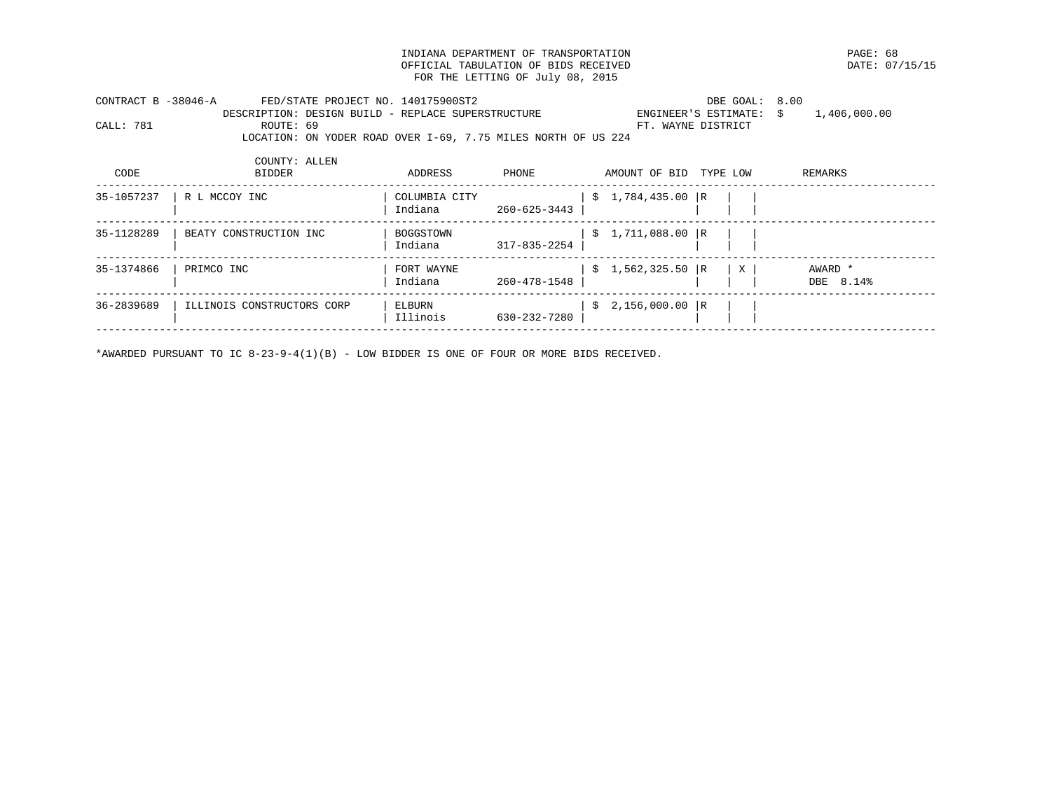INDIANA DEPARTMENT OF TRANSPORTATION PAGE: 68 OFFICIAL TABULATION OF BIDS RECEIVED FOR THE LETTING OF July 08, 2015

| CONTRACT B -38046-A |           | FED/STATE PROJECT NO. 140175900ST2                 |                                                               | DBE GOAL: 8.00       |              |
|---------------------|-----------|----------------------------------------------------|---------------------------------------------------------------|----------------------|--------------|
|                     |           | DESCRIPTION: DESIGN BUILD - REPLACE SUPERSTRUCTURE |                                                               | ENGINEER'S ESTIMATE: | 1,406,000.00 |
| CALL: 781           | ROUTE: 69 |                                                    |                                                               | FT. WAYNE DISTRICT   |              |
|                     |           |                                                    | LOCATION: ON YODER ROAD OVER I-69, 7.75 MILES NORTH OF US 224 |                      |              |

| CODE       | COUNTY: ALLEN<br><b>BIDDER</b> | ADDRESS                  | PHONE              | AMOUNT OF BID |                   | TYPE LOW |   | REMARKS              |
|------------|--------------------------------|--------------------------|--------------------|---------------|-------------------|----------|---|----------------------|
| 35-1057237 | R L MCCOY INC                  | COLUMBIA CITY<br>Indiana | $260 - 625 - 3443$ |               | $$1,784,435.00$ R |          |   |                      |
| 35-1128289 | BEATY CONSTRUCTION INC         | BOGGSTOWN<br>Indiana     | 317-835-2254       |               | $$1,711,088.00$ R |          |   |                      |
| 35-1374866 | PRIMCO INC                     | FORT WAYNE<br>Indiana    | 260-478-1548       |               | $$1,562,325.50$ R |          | X | AWARD *<br>DBE 8.14% |
| 36-2839689 | ILLINOIS CONSTRUCTORS CORP     | ELBURN<br>Illinois       | 630-232-7280       |               | $$2,156,000.00$ R |          |   |                      |
|            |                                |                          |                    |               |                   |          |   |                      |

\*AWARDED PURSUANT TO IC 8-23-9-4(1)(B) - LOW BIDDER IS ONE OF FOUR OR MORE BIDS RECEIVED.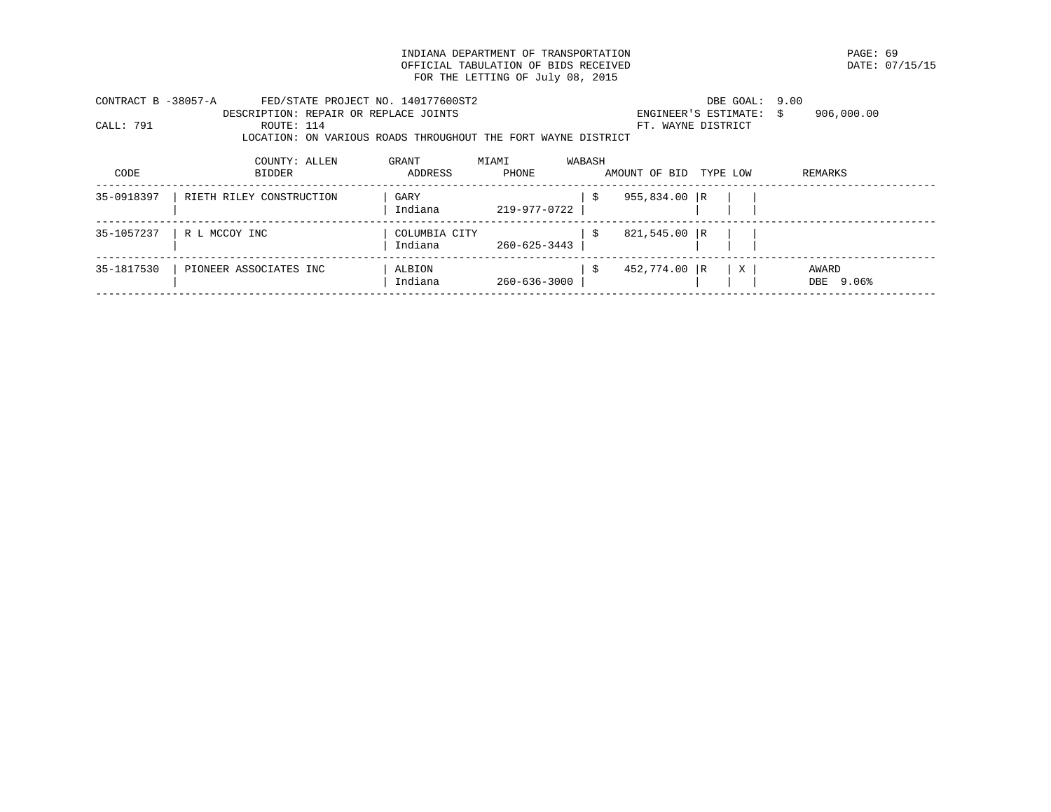INDIANA DEPARTMENT OF TRANSPORTATION **EXAMPLE ASSESSED ASSESSED ASSESSED ASSESSED AT A PAGE: 69** DATE: 07/15/15 OFFICIAL TABULATION OF BIDS RECEIVED FOR THE LETTING OF July 08, 2015

| CONTRACT B -38057-A | FED/STATE PROJECT NO. 140177600ST2                            |               |              |        |                    | DBE GOAL: 9.00          |            |
|---------------------|---------------------------------------------------------------|---------------|--------------|--------|--------------------|-------------------------|------------|
|                     | DESCRIPTION: REPAIR OR REPLACE JOINTS                         |               |              |        |                    | ENGINEER'S ESTIMATE: \$ | 906,000.00 |
| CALL: 791           | ROUTE: 114                                                    |               |              |        | FT. WAYNE DISTRICT |                         |            |
|                     | LOCATION: ON VARIOUS ROADS THROUGHOUT THE FORT WAYNE DISTRICT |               |              |        |                    |                         |            |
|                     | COUNTY: ALLEN                                                 | GRANT         | MIAMI        | WABASH |                    |                         |            |
| CODE                | BIDDER                                                        | ADDRESS       | PHONE        |        | AMOUNT OF BID      | TYPE LOW                | REMARKS    |
| 35-0918397          | RIETH RILEY CONSTRUCTION                                      | GARY          |              | -S     | $955,834.00$ R     |                         |            |
|                     |                                                               | Indiana       | 219-977-0722 |        |                    |                         |            |
| 35-1057237          | R L MCCOY INC                                                 | COLUMBIA CITY |              | S      | 821,545.00 R       |                         |            |
|                     |                                                               | Indiana       | 260-625-3443 |        |                    |                         |            |
| 35-1817530          | PIONEER ASSOCIATES INC                                        | ALBION        |              | -\$    | 452,774.00 R       | X                       | AWARD      |
|                     |                                                               | Indiana       | 260-636-3000 |        |                    |                         | DBE 9.06%  |
|                     |                                                               |               |              |        |                    |                         |            |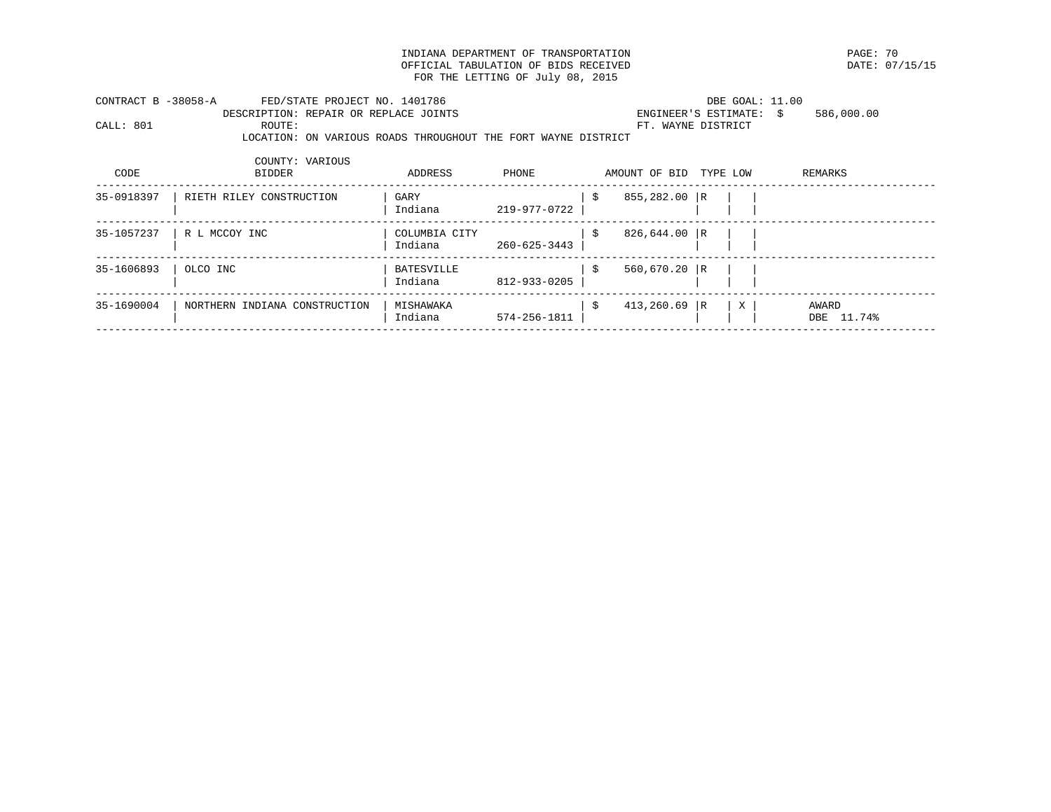INDIANA DEPARTMENT OF TRANSPORTATION **EXAMPLE ASSESSED ASSESSED ASSESSED ASSESSED** DATE: 07/15/15 OFFICIAL TABULATION OF BIDS RECEIVED FOR THE LETTING OF July 08, 2015

| CONTRACT B -38058-A | FED/STATE PROJECT NO. 1401786                                 |         |       |               | DBE GOAL: 11.00         |            |  |
|---------------------|---------------------------------------------------------------|---------|-------|---------------|-------------------------|------------|--|
|                     | DESCRIPTION: REPAIR OR REPLACE JOINTS                         |         |       |               | ENGINEER'S ESTIMATE: \$ | 586,000.00 |  |
| CALL: 801           | ROUTE:                                                        |         |       |               | FT. WAYNE DISTRICT      |            |  |
|                     | LOCATION: ON VARIOUS ROADS THROUGHOUT THE FORT WAYNE DISTRICT |         |       |               |                         |            |  |
|                     |                                                               |         |       |               |                         |            |  |
|                     | COUNTY: VARIOUS                                               |         |       |               |                         |            |  |
| CODE                | BIDDER                                                        | ADDRESS | PHONE | AMOUNT OF BID | TYPE LOW                | REMARKS    |  |
|                     |                                                               |         |       |               |                         |            |  |
| 35-0918397          | RIETH RILEY CONSTRUCTION                                      | GARY    |       | 855,282.00 R  |                         |            |  |

|            |                               | Indiana                  | 219-977-0722 |                |   |                     |
|------------|-------------------------------|--------------------------|--------------|----------------|---|---------------------|
| 35-1057237 | R L MCCOY INC                 | COLUMBIA CITY<br>Indiana | 260-625-3443 | 826,644.00 R   |   |                     |
| 35-1606893 | OLCO INC                      | BATESVILLE<br>Indiana    | 812-933-0205 | 560,670.20 R   |   |                     |
| 35-1690004 | NORTHERN INDIANA CONSTRUCTION | MISHAWAKA<br>Indiana     | 574-256-1811 | $413,260.69$ R | X | AWARD<br>DBE 11.74% |
|            |                               |                          |              |                |   |                     |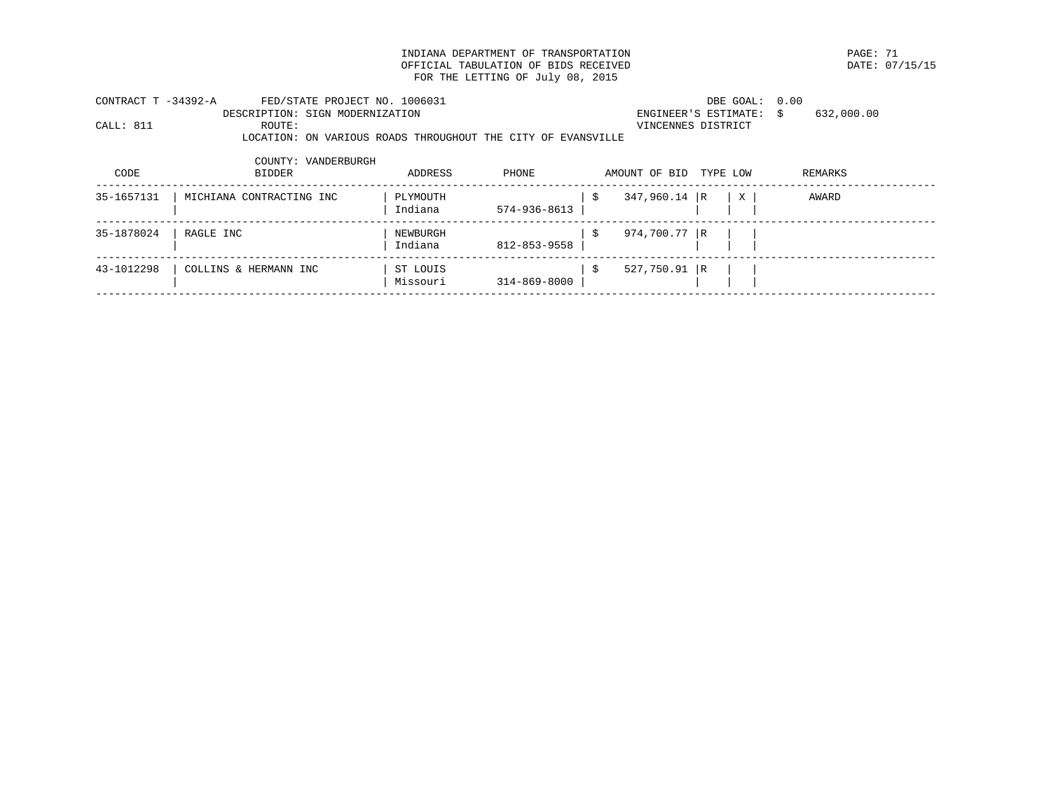INDIANA DEPARTMENT OF TRANSPORTATION PAGE: 71 OFFICIAL TABULATION OF BIDS RECEIVED FOR THE LETTING OF July 08, 2015

| CONTRACT T -34392-A<br>CALL: 811 | FED/STATE PROJECT NO. 1006031<br>DESCRIPTION: SIGN MODERNIZATION<br>ROUTE:<br>LOCATION: ON VARIOUS ROADS THROUGHOUT THE CITY OF EVANSVILLE |                      |              |     | VINCENNES DISTRICT | DBE GOAL: 0.00<br>ENGINEER'S ESTIMATE: | 632,000.00<br>S. |
|----------------------------------|--------------------------------------------------------------------------------------------------------------------------------------------|----------------------|--------------|-----|--------------------|----------------------------------------|------------------|
| CODE                             | COUNTY: VANDERBURGH<br>BIDDER                                                                                                              | ADDRESS              | PHONE        |     | AMOUNT OF BID      | TYPE LOW                               | REMARKS          |
| 35-1657131                       | MICHIANA CONTRACTING INC                                                                                                                   | PLYMOUTH<br>Indiana  | 574-936-8613 | -\$ | $347,960.14$ R     | $\mathbf{X}$                           | AWARD            |
| 35-1878024                       | RAGLE INC                                                                                                                                  | NEWBURGH<br>Indiana  | 812-853-9558 | -S  | $974,700.77$ R     |                                        |                  |
| 43-1012298                       | COLLINS & HERMANN INC                                                                                                                      | ST LOUIS<br>Missouri | 314-869-8000 | -\$ | $527,750.91$ R     |                                        |                  |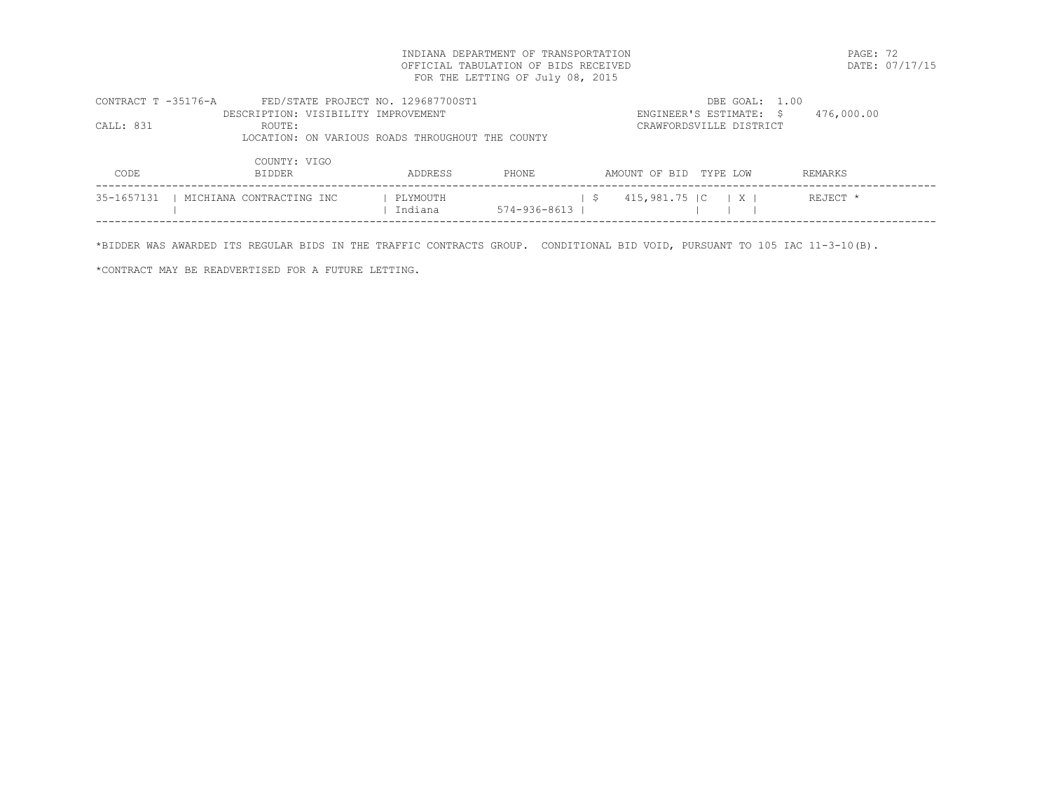INDIANA DEPARTMENT OF TRANSPORTATION PAGE: 72 OFFICIAL TABULATION OF BIDS RECEIVED FOR THE LETTING OF July 08, 2015

| CONTRACT T -35176-A | FED/STATE PROJECT NO. 129687700ST1               |          |                    | DBE GOAL: 1.00                            |            |
|---------------------|--------------------------------------------------|----------|--------------------|-------------------------------------------|------------|
|                     | DESCRIPTION: VISIBILITY IMPROVEMENT              |          |                    | ENGINEER'S ESTIMATE: \$                   | 476,000.00 |
| CALL: 831           | ROUTE:                                           |          |                    | CRAWFORDSVILLE DISTRICT                   |            |
|                     | LOCATION: ON VARIOUS ROADS THROUGHOUT THE COUNTY |          |                    |                                           |            |
|                     | COUNTY: VIGO                                     |          |                    |                                           |            |
| CODE                | <b>BIDDER</b>                                    | ADDRESS  | PHONE.             | AMOUNT OF BID TYPE LOW                    | REMARKS    |
| 35-1657131          | MICHIANA CONTRACTING INC                         | PLYMOUTH |                    | $\vert$ X $\vert$<br>415,981.75 IC<br>- S | REJECT *   |
|                     |                                                  | Indiana  | $574 - 936 - 8613$ |                                           |            |
|                     |                                                  |          |                    |                                           |            |

\*BIDDER WAS AWARDED ITS REGULAR BIDS IN THE TRAFFIC CONTRACTS GROUP. CONDITIONAL BID VOID, PURSUANT TO 105 IAC 11-3-10(B).

\*CONTRACT MAY BE READVERTISED FOR A FUTURE LETTING.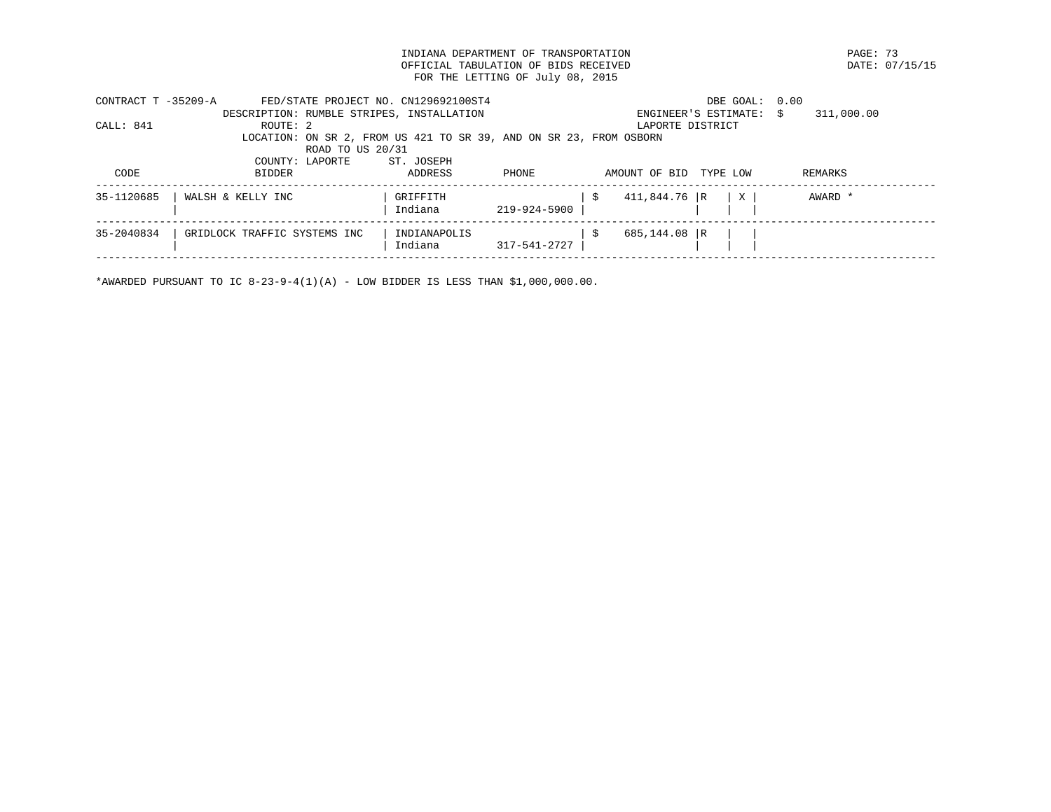INDIANA DEPARTMENT OF TRANSPORTATION PAGE: 73 OFFICIAL TABULATION OF BIDS RECEIVED FOR THE LETTING OF July 08, 2015

| CONTRACT T -35209-A | FED/STATE PROJECT NO. CN129692100ST4                               |              |              | DBE GOAL: 0.00            |   |                  |
|---------------------|--------------------------------------------------------------------|--------------|--------------|---------------------------|---|------------------|
|                     | DESCRIPTION: RUMBLE STRIPES, INSTALLATION                          |              |              | ENGINEER'S ESTIMATE:      |   | 311,000.00<br>S. |
| CALL: 841           | ROUTE: 2                                                           |              |              | LAPORTE DISTRICT          |   |                  |
|                     | LOCATION: ON SR 2, FROM US 421 TO SR 39, AND ON SR 23, FROM OSBORN |              |              |                           |   |                  |
|                     | ROAD TO US 20/31                                                   |              |              |                           |   |                  |
|                     | COUNTY: LAPORTE                                                    | ST. JOSEPH   |              |                           |   |                  |
| CODE                | <b>BIDDER</b>                                                      | ADDRESS      | PHONE        | AMOUNT OF BID<br>TYPE LOW |   | REMARKS          |
|                     |                                                                    |              |              |                           |   |                  |
| 35-1120685          | WALSH & KELLY INC                                                  | GRIFFITH     |              | $411,844.76$ R<br>S       | X | AWARD *          |
|                     |                                                                    | Indiana      | 219-924-5900 |                           |   |                  |
|                     |                                                                    |              |              |                           |   |                  |
| 35-2040834          | GRIDLOCK TRAFFIC SYSTEMS INC                                       | INDIANAPOLIS |              | 685,144.08 R              |   |                  |
|                     |                                                                    | Indiana      | 317-541-2727 |                           |   |                  |
|                     |                                                                    |              |              |                           |   |                  |

\*AWARDED PURSUANT TO IC  $8-23-9-4(1)(A)$  - LOW BIDDER IS LESS THAN \$1,000,000.00.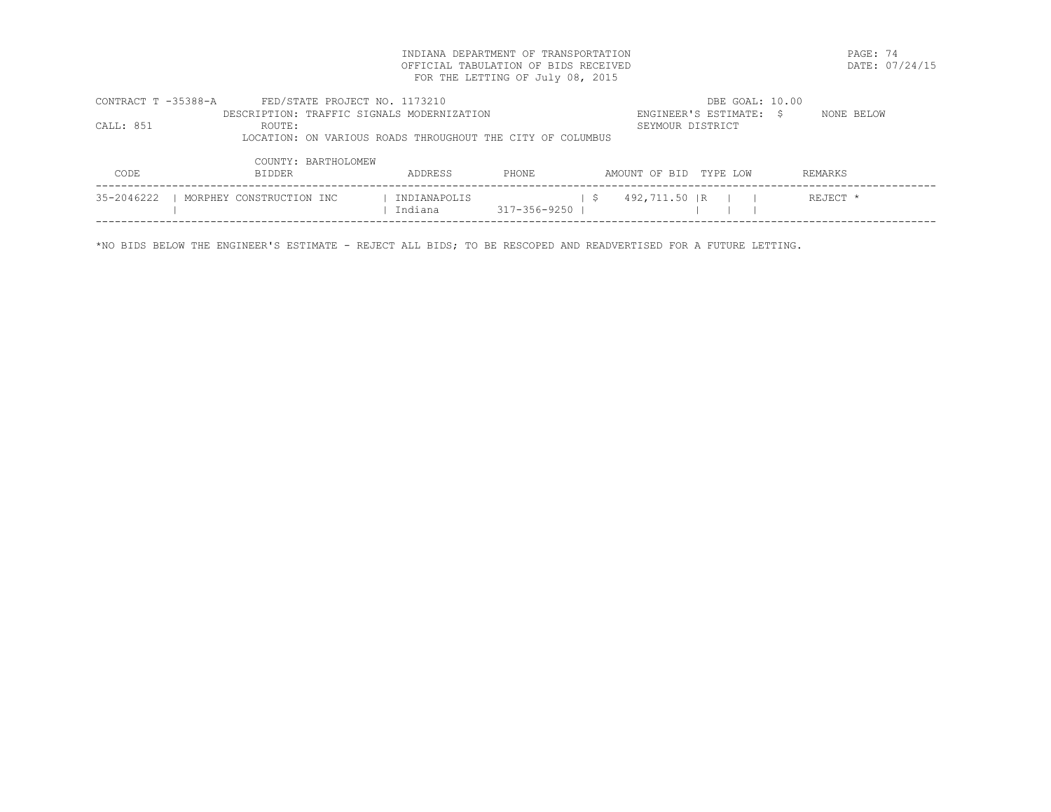INDIANA DEPARTMENT OF TRANSPORTATION PAGE: 74 OFFICIAL TABULATION OF BIDS RECEIVED FOR THE LETTING OF July 08, 2015

| CONTRACT T -35388-A | FED/STATE PROJECT NO. 1173210              |                                                            |              |     |                        | DBE GOAL: 10.00         |          |            |
|---------------------|--------------------------------------------|------------------------------------------------------------|--------------|-----|------------------------|-------------------------|----------|------------|
|                     | DESCRIPTION: TRAFFIC SIGNALS MODERNIZATION |                                                            |              |     |                        | ENGINEER'S ESTIMATE: \$ |          | NONE BELOW |
| CALL: 851           | ROUTE:                                     |                                                            |              |     | SEYMOUR DISTRICT       |                         |          |            |
|                     |                                            | LOCATION: ON VARIOUS ROADS THROUGHOUT THE CITY OF COLUMBUS |              |     |                        |                         |          |            |
|                     |                                            |                                                            |              |     |                        |                         |          |            |
|                     | COUNTY: BARTHOLOMEW                        |                                                            |              |     |                        |                         |          |            |
| <b>CODE</b>         | <b>BIDDER</b>                              | ADDRESS                                                    | PHONE.       |     | AMOUNT OF BID TYPE LOW |                         | REMARKS  |            |
|                     |                                            |                                                            |              |     |                        |                         |          |            |
| 35-2046222          | MORPHEY CONSTRUCTION INC                   | INDIANAPOLIS                                               |              | - S | 492,711.50 IR          |                         | REJECT * |            |
|                     |                                            | Indiana                                                    | 317-356-9250 |     |                        |                         |          |            |
|                     |                                            |                                                            |              |     |                        |                         |          |            |

\*NO BIDS BELOW THE ENGINEER'S ESTIMATE - REJECT ALL BIDS; TO BE RESCOPED AND READVERTISED FOR A FUTURE LETTING.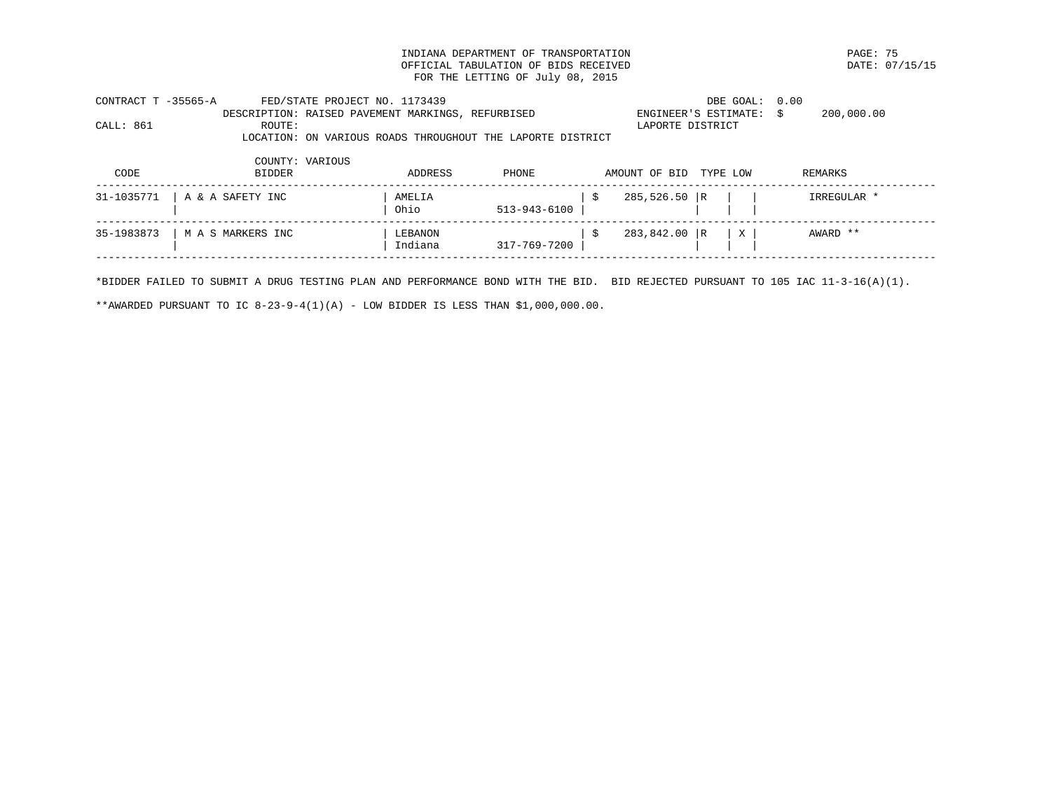INDIANA DEPARTMENT OF TRANSPORTATION PAGE: 75 OFFICIAL TABULATION OF BIDS RECEIVED FOR THE LETTING OF July 08, 2015

| CONTRACT T -35565-A | FED/STATE PROJECT NO. 1173439                              |         |              |                      | DBE GOAL:               | 0.00        |
|---------------------|------------------------------------------------------------|---------|--------------|----------------------|-------------------------|-------------|
|                     | DESCRIPTION: RAISED PAVEMENT MARKINGS, REFURBISED          |         |              |                      | ENGINEER'S ESTIMATE: \$ | 200,000.00  |
| CALL: 861           | ROUTE:                                                     |         |              |                      | LAPORTE DISTRICT        |             |
|                     | LOCATION: ON VARIOUS ROADS THROUGHOUT THE LAPORTE DISTRICT |         |              |                      |                         |             |
|                     | COUNTY: VARIOUS                                            |         |              |                      |                         |             |
| CODE                | <b>BIDDER</b>                                              | ADDRESS | PHONE        | AMOUNT OF BID        | TYPE LOW                | REMARKS     |
| 31-1035771          | A & A SAFETY INC                                           | AMELIA  |              | $285,526.50$ R<br>-S |                         | IRREGULAR * |
|                     |                                                            | Ohio    | 513-943-6100 |                      |                         |             |
| 35-1983873          | M A S MARKERS INC                                          | LEBANON |              | 283,842.00 R<br>\$   | X                       | AWARD **    |
|                     |                                                            | Indiana | 317-769-7200 |                      |                         |             |
|                     |                                                            |         |              |                      |                         |             |

\*BIDDER FAILED TO SUBMIT A DRUG TESTING PLAN AND PERFORMANCE BOND WITH THE BID. BID REJECTED PURSUANT TO 105 IAC 11-3-16(A)(1).

\*\*AWARDED PURSUANT TO IC  $8-23-9-4(1)(A)$  - LOW BIDDER IS LESS THAN \$1,000,000.00.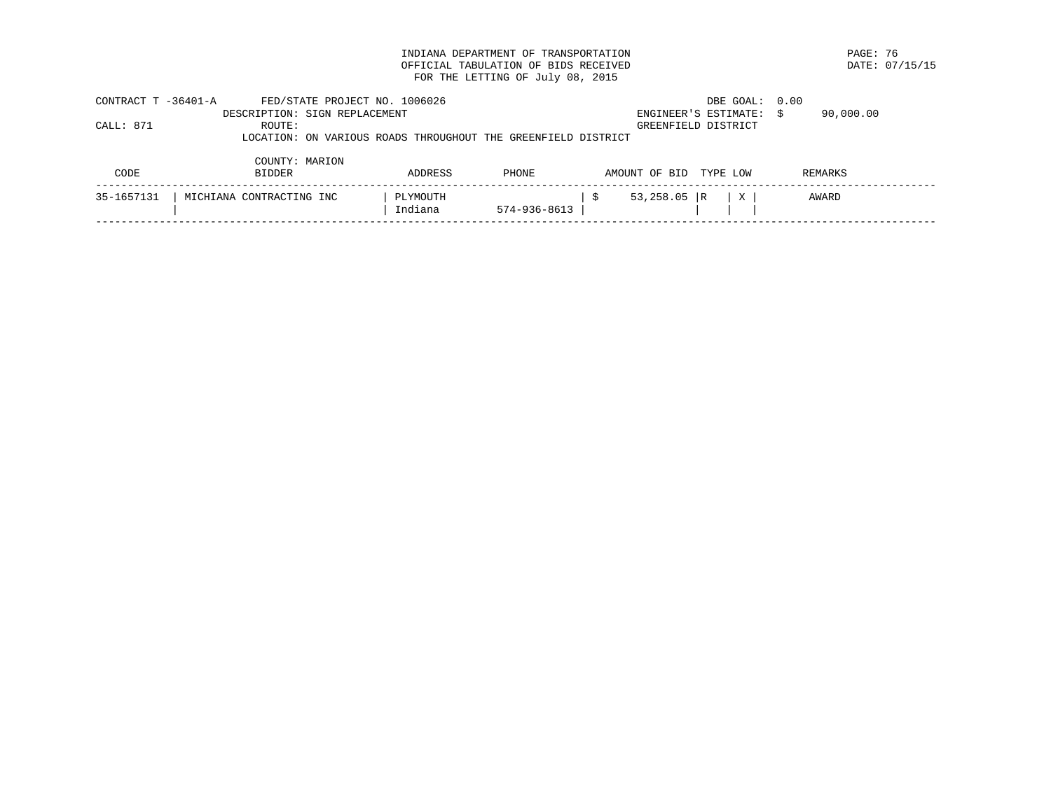INDIANA DEPARTMENT OF TRANSPORTATION **EXAMPLE 1999** PAGE: 76 PAGE: 76 PAGE: 76 PAGE: 07/15/15 OFFICIAL TABULATION OF BIDS RECEIVED FOR THE LETTING OF July 08, 2015

| CONTRACT T -36401-A | FED/STATE PROJECT NO. 1006026                                 |          |              |               | DBE GOAL: 0.00       |                 |  |
|---------------------|---------------------------------------------------------------|----------|--------------|---------------|----------------------|-----------------|--|
|                     | DESCRIPTION: SIGN REPLACEMENT                                 |          |              |               | ENGINEER'S ESTIMATE: | 90,000.00<br>-S |  |
| CALL: 871           | ROUTE:                                                        |          |              |               | GREENFIELD DISTRICT  |                 |  |
|                     | LOCATION: ON VARIOUS ROADS THROUGHOUT THE GREENFIELD DISTRICT |          |              |               |                      |                 |  |
|                     |                                                               |          |              |               |                      |                 |  |
|                     | COUNTY: MARION                                                |          |              |               |                      |                 |  |
| CODE                | <b>BIDDER</b>                                                 | ADDRESS  | PHONE        | AMOUNT OF BID | TYPE LOW             | REMARKS         |  |
|                     |                                                               |          |              |               |                      |                 |  |
| 35-1657131          | MICHIANA CONTRACTING INC                                      | PLYMOUTH |              | 53,258.05 R   | X                    | AWARD           |  |
|                     |                                                               | Indiana  | 574-936-8613 |               |                      |                 |  |
|                     |                                                               |          |              |               |                      |                 |  |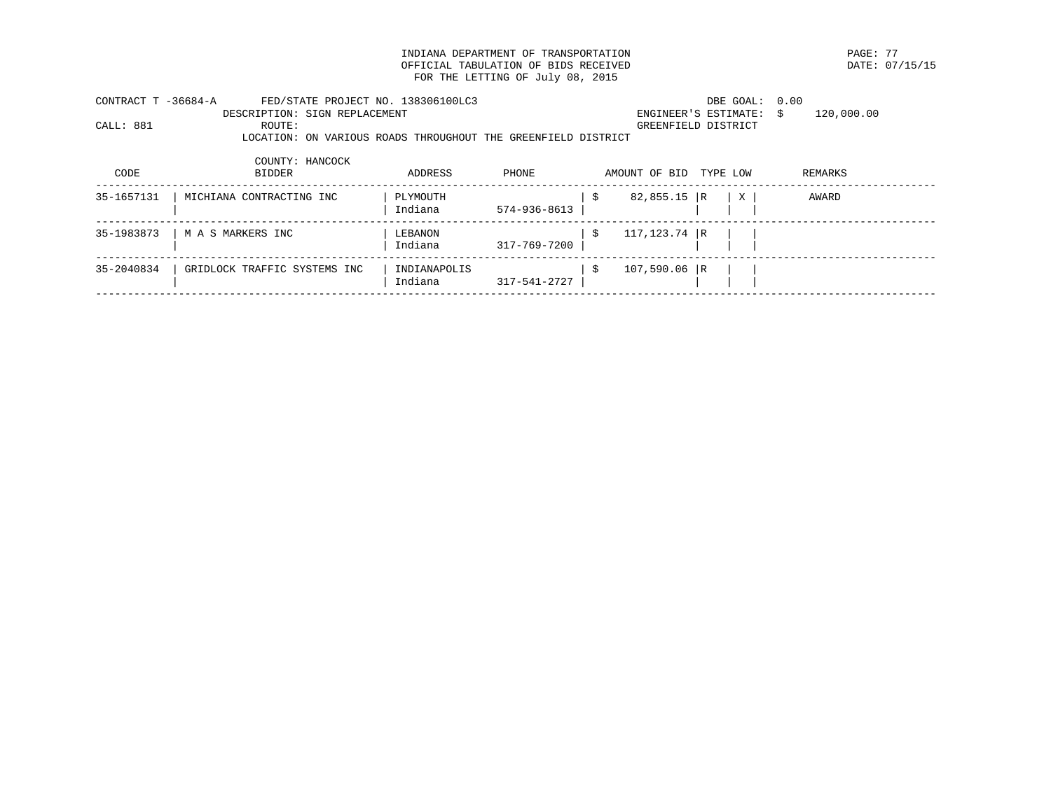INDIANA DEPARTMENT OF TRANSPORTATION **EXAMPLE 1999** PAGE: 77<br>
OFFICIAL TABULATION OF BIDS RECEIVED **PAGES** OFFICIAL TABULATION OF BIDS RECEIVED FOR THE LETTING OF July 08, 2015

| CONTRACT T -36684-A | FED/STATE PROJECT NO. 138306100LC3                            |              |              |      |                 | DBE GOAL: 0.00          |            |
|---------------------|---------------------------------------------------------------|--------------|--------------|------|-----------------|-------------------------|------------|
|                     | DESCRIPTION: SIGN REPLACEMENT                                 |              |              |      |                 | ENGINEER'S ESTIMATE: \$ | 120,000.00 |
| CALL: 881           | ROUTE:                                                        |              |              |      |                 | GREENFIELD DISTRICT     |            |
|                     | LOCATION: ON VARIOUS ROADS THROUGHOUT THE GREENFIELD DISTRICT |              |              |      |                 |                         |            |
|                     | COUNTY: HANCOCK                                               |              |              |      |                 |                         |            |
| CODE                | <b>BIDDER</b>                                                 | ADDRESS      | PHONE        |      | AMOUNT OF BID   | TYPE LOW                | REMARKS    |
| 35-1657131          | MICHIANA CONTRACTING INC                                      | PLYMOUTH     |              | - \$ | $82,855.15$ R   | X                       | AWARD      |
|                     |                                                               | Indiana      | 574-936-8613 |      |                 |                         |            |
| 35-1983873          | M A S MARKERS INC                                             | LEBANON      |              | -S   | $117, 123.74$ R |                         |            |
|                     |                                                               | Indiana      | 317-769-7200 |      |                 |                         |            |
| 35-2040834          | GRIDLOCK TRAFFIC SYSTEMS INC                                  | INDIANAPOLIS |              | - \$ | $107,590.06$ R  |                         |            |
|                     |                                                               | Indiana      | 317-541-2727 |      |                 |                         |            |
|                     |                                                               |              |              |      |                 |                         |            |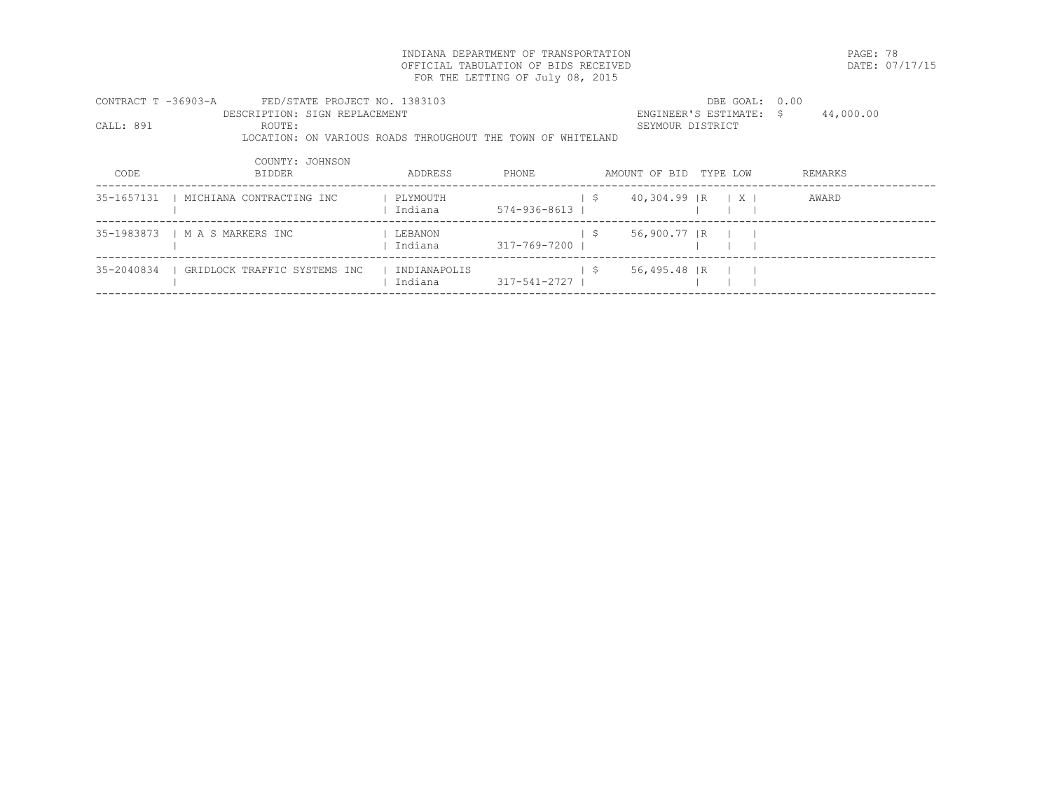INDIANA DEPARTMENT OF TRANSPORTATION PAGE: 78 OFFICIAL TABULATION OF BIDS RECEIVED FOR THE LETTING OF July 08, 2015

| CONTRACT T -36903-A | FED/STATE PROJECT NO. 1383103                               |              |              |     |                                        | DBE GOAL: 0.00              |           |
|---------------------|-------------------------------------------------------------|--------------|--------------|-----|----------------------------------------|-----------------------------|-----------|
|                     | DESCRIPTION: SIGN REPLACEMENT                               |              |              |     |                                        | ENGINEER'S ESTIMATE: \$     | 44,000.00 |
| CALL: 891           | ROUTE:                                                      |              |              |     | SEYMOUR DISTRICT                       |                             |           |
|                     | LOCATION: ON VARIOUS ROADS THROUGHOUT THE TOWN OF WHITELAND |              |              |     |                                        |                             |           |
|                     | COUNTY: JOHNSON                                             |              |              |     |                                        |                             |           |
| CODE                | <b>BIDDER</b>                                               | ADDRESS      | PHONE        |     | AMOUNT OF BID                          | TYPE LOW                    | REMARKS   |
| 35-1657131          | MICHIANA CONTRACTING INC                                    | PLYMOUTH     |              | - S | 40,304.99 IR                           | $\mid$ $\mid$ $\mid$ $\mid$ | AWARD     |
|                     |                                                             | Indiana      | 574-936-8613 |     |                                        |                             |           |
| 35-1983873          | M A S MARKERS INC                                           | LEBANON      |              | S.  | 56,900.77 R                            |                             |           |
|                     |                                                             | Indiana      | 317-769-7200 |     |                                        |                             |           |
| 35-2040834          | GRIDLOCK TRAFFIC SYSTEMS INC                                | INDIANAPOLIS |              | S.  | $56,495.48$ $\overline{\phantom{0}}$ R |                             |           |
|                     |                                                             | Indiana      | 317-541-2727 |     |                                        |                             |           |
|                     |                                                             |              |              |     |                                        |                             |           |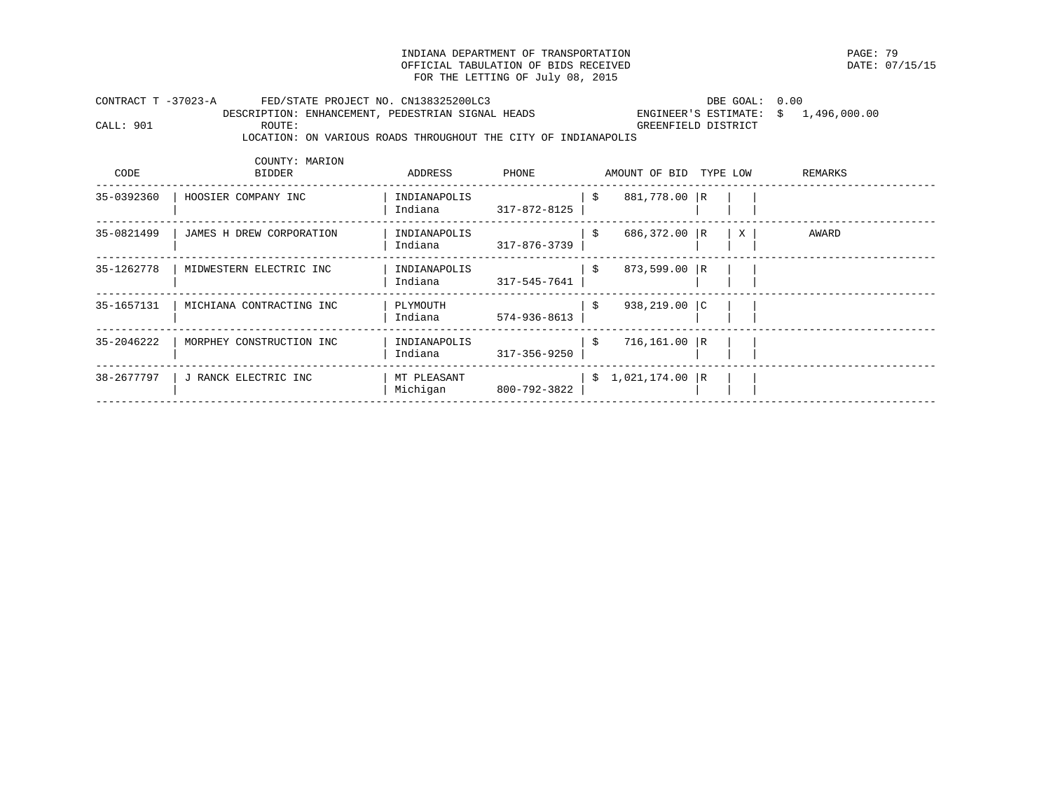INDIANA DEPARTMENT OF TRANSPORTATION PAGE: 79 OFFICIAL TABULATION OF BIDS RECEIVED FOR THE LETTING OF July 08, 2015

| CONTRACT T -37023-A |        | FED/STATE PROJECT NO. CN138325200LC3                           | DBE GOAL: 0.00                       |  |
|---------------------|--------|----------------------------------------------------------------|--------------------------------------|--|
|                     |        | DESCRIPTION: ENHANCEMENT, PEDESTRIAN SIGNAL HEADS              | ENGINEER'S ESTIMATE: \$ 1,496,000.00 |  |
| CALL: 901           | ROUTE: |                                                                | GREENFIELD DISTRICT                  |  |
|                     |        | LOCATION: ON VARIOUS ROADS THROUGHOUT THE CITY OF INDIANAPOLIS |                                      |  |

| CODE       | COUNTY: MARION<br><b>BIDDER</b> | ADDRESS                 | PHONE        |      | AMOUNT OF BID     | TYPE LOW |   | REMARKS |
|------------|---------------------------------|-------------------------|--------------|------|-------------------|----------|---|---------|
| 35-0392360 | HOOSIER COMPANY INC             | INDIANAPOLIS<br>Indiana | 317-872-8125 | - \$ | 881,778.00 R      |          |   |         |
| 35-0821499 | JAMES H DREW CORPORATION        | INDIANAPOLIS<br>Indiana | 317-876-3739 | -\$  | $686,372.00$ R    |          | X | AWARD   |
| 35-1262778 | MIDWESTERN ELECTRIC INC         | INDIANAPOLIS<br>Indiana | 317-545-7641 | - \$ | 873,599.00 R      |          |   |         |
| 35-1657131 | MICHIANA CONTRACTING INC        | PLYMOUTH<br>Indiana     | 574-936-8613 | \$   | $938, 219.00$  C  |          |   |         |
| 35-2046222 | MORPHEY CONSTRUCTION INC        | INDIANAPOLIS<br>Indiana | 317-356-9250 | \$   | $716, 161.00$ R   |          |   |         |
| 38-2677797 | J RANCK ELECTRIC INC            | MT PLEASANT<br>Michigan | 800-792-3822 |      | $$1,021,174.00$ R |          |   |         |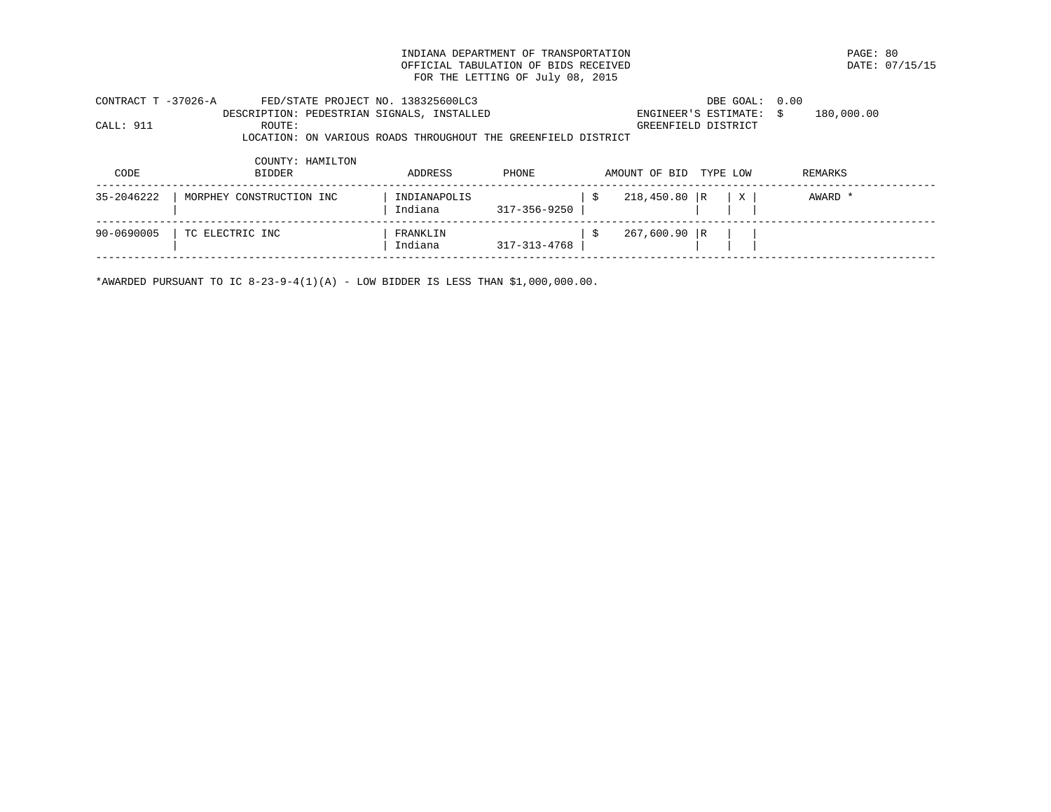INDIANA DEPARTMENT OF TRANSPORTATION PAGE: 80 OFFICIAL TABULATION OF BIDS RECEIVED FOR THE LETTING OF July 08, 2015

| CONTRACT T -37026-A | FED/STATE PROJECT NO. 138325600LC3                            |              |                    |    |                           | DBE GOAL: 0.00 |                  |  |
|---------------------|---------------------------------------------------------------|--------------|--------------------|----|---------------------------|----------------|------------------|--|
|                     | DESCRIPTION: PEDESTRIAN SIGNALS, INSTALLED                    |              |                    |    | ENGINEER'S ESTIMATE:      |                | 180,000.00<br>-S |  |
| CALL: 911           | ROUTE:                                                        |              |                    |    | GREENFIELD DISTRICT       |                |                  |  |
|                     | LOCATION: ON VARIOUS ROADS THROUGHOUT THE GREENFIELD DISTRICT |              |                    |    |                           |                |                  |  |
|                     | COUNTY: HAMILTON                                              |              |                    |    |                           |                |                  |  |
| CODE                | <b>BIDDER</b>                                                 | ADDRESS      | <b>PHONE</b>       |    | AMOUNT OF BID<br>TYPE LOW |                | REMARKS          |  |
| 35-2046222          | MORPHEY CONSTRUCTION INC                                      | INDIANAPOLIS |                    | S  | $218,450.80$ R            | $\mathbf{X}$   | AWARD *          |  |
|                     |                                                               | Indiana      | 317-356-9250       |    |                           |                |                  |  |
| 90-0690005          | TC ELECTRIC INC                                               | FRANKLIN     |                    | -Ŝ | $267,600.90$ R            |                |                  |  |
|                     |                                                               | Indiana      | $317 - 313 - 4768$ |    |                           |                |                  |  |
|                     |                                                               |              |                    |    |                           |                |                  |  |

\*AWARDED PURSUANT TO IC  $8-23-9-4(1)(A)$  - LOW BIDDER IS LESS THAN \$1,000,000.00.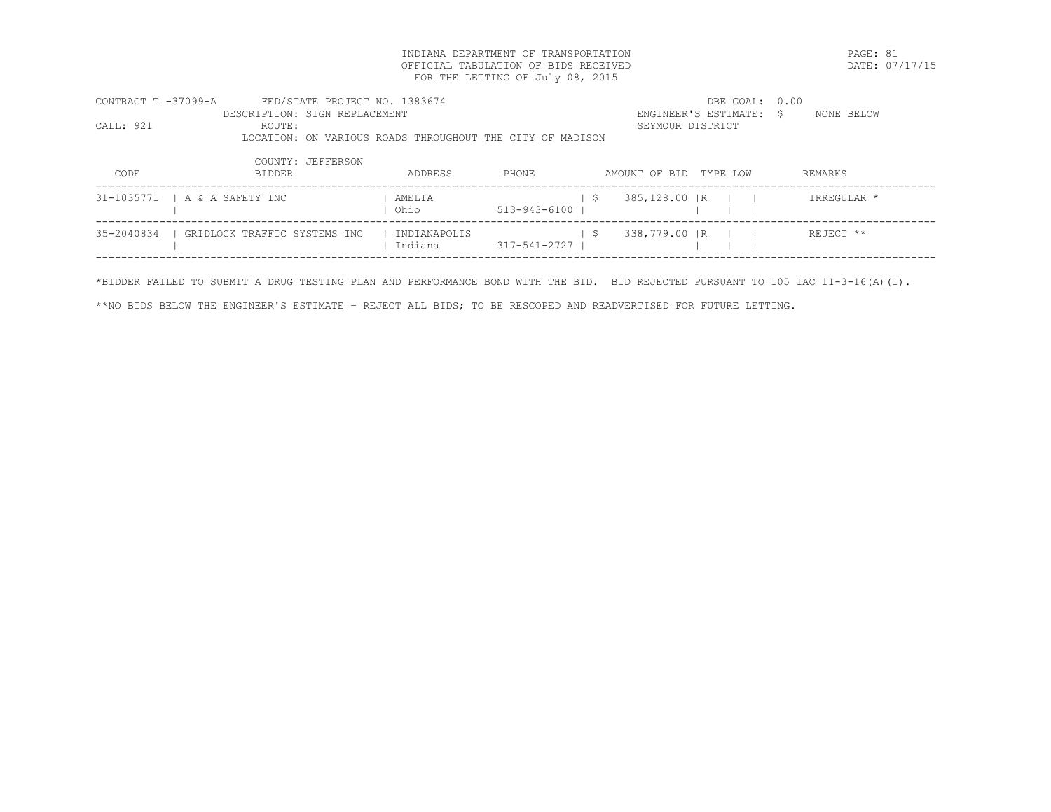INDIANA DEPARTMENT OF TRANSPORTATION PAGE: 81 OFFICIAL TABULATION OF BIDS RECEIVED FOR THE LETTING OF July 08, 2015

| CONTRACT T -37099-A | FED/STATE PROJECT NO. 1383674                             |              |              |                        | DBE GOAL: 0.00          |             |
|---------------------|-----------------------------------------------------------|--------------|--------------|------------------------|-------------------------|-------------|
|                     | DESCRIPTION: SIGN REPLACEMENT                             |              |              |                        | ENGINEER'S ESTIMATE: \$ | NONE BELOW  |
| CALL: 921           | ROUTE:                                                    |              |              | SEYMOUR DISTRICT       |                         |             |
|                     | LOCATION: ON VARIOUS ROADS THROUGHOUT THE CITY OF MADISON |              |              |                        |                         |             |
|                     | COUNTY: JEFFERSON                                         |              |              |                        |                         |             |
| CODE                | <b>BIDDER</b>                                             | ADDRESS      | PHONE.       | AMOUNT OF BID TYPE LOW |                         | REMARKS     |
|                     | 31-1035771   A & A SAFETY INC                             | AMELIA       |              | 385,128.00   R<br>- S  |                         | IRREGULAR * |
|                     |                                                           | Ohio         | 513-943-6100 |                        |                         |             |
| 35-2040834          | GRIDLOCK TRAFFIC SYSTEMS INC                              | INDIANAPOLIS |              | 338,779.00 IR<br>- S   |                         | REJECT **   |
|                     |                                                           | Indiana      | 317-541-2727 |                        |                         |             |
|                     |                                                           |              |              |                        |                         |             |

\*BIDDER FAILED TO SUBMIT A DRUG TESTING PLAN AND PERFORMANCE BOND WITH THE BID. BID REJECTED PURSUANT TO 105 IAC 11-3-16(A)(1).

\*\*NO BIDS BELOW THE ENGINEER'S ESTIMATE – REJECT ALL BIDS; TO BE RESCOPED AND READVERTISED FOR FUTURE LETTING.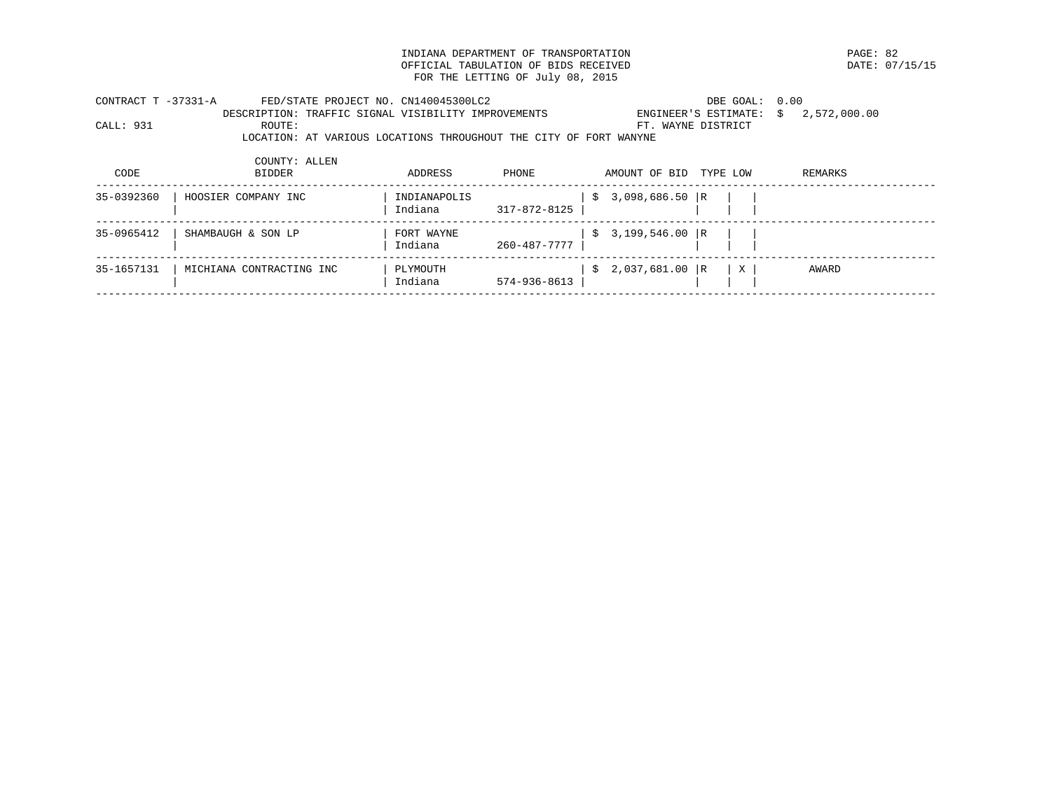INDIANA DEPARTMENT OF TRANSPORTATION PAGE: 82 OFFICIAL TABULATION OF BIDS RECEIVED FOR THE LETTING OF July 08, 2015

| CONTRACT T -37331-A |               | FED/STATE PROJECT NO. CN140045300LC2                |         |                                                                   |                        | DBE GOAL: 0.00 |                                          |
|---------------------|---------------|-----------------------------------------------------|---------|-------------------------------------------------------------------|------------------------|----------------|------------------------------------------|
|                     |               | DESCRIPTION: TRAFFIC SIGNAL VISIBILITY IMPROVEMENTS |         |                                                                   |                        |                | ENGINEER'S ESTIMATE: $\sin 2,572,000.00$ |
| CALL: 931           | ROUTE:        |                                                     |         |                                                                   | FT. WAYNE DISTRICT     |                |                                          |
|                     |               |                                                     |         | LOCATION: AT VARIOUS LOCATIONS THROUGHOUT THE CITY OF FORT WANYNE |                        |                |                                          |
|                     |               |                                                     |         |                                                                   |                        |                |                                          |
|                     | COUNTY: ALLEN |                                                     |         |                                                                   |                        |                |                                          |
| CODE                | BIDDER        |                                                     | ADDRESS | PHONE                                                             | AMOUNT OF BID TYPE LOW |                | REMARKS                                  |
|                     |               |                                                     |         |                                                                   |                        |                |                                          |

| $$3,199,546.00$ R<br>35-0965412<br>SHAMBAUGH & SON LP<br>FORT WAYNE<br>260-487-7777<br>Indiana                   |  |
|------------------------------------------------------------------------------------------------------------------|--|
|                                                                                                                  |  |
| $$2,037,681.00$ R<br>35-1657131<br>MICHIANA CONTRACTING INC<br>PLYMOUTH<br>X<br>AWARD<br>574-936-8613<br>Indiana |  |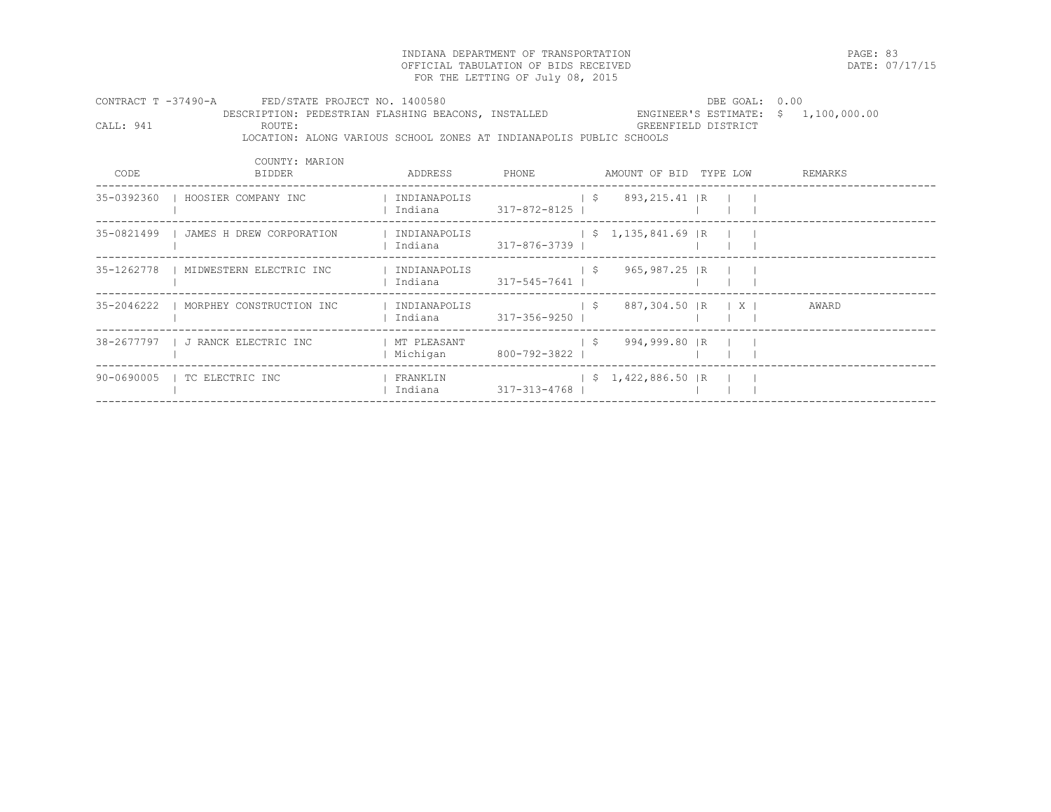INDIANA DEPARTMENT OF TRANSPORTATION PAGE: 83 OFFICIAL TABULATION OF BIDS RECEIVED FOR THE LETTING OF July 08, 2015

|           | CONTRACT T -37490-A FED/STATE PROJECT NO. 1400580<br>DESCRIPTION: PEDESTRIAN FLASHING BEACONS, INSTALLED |                                                                                               |  |                               |  | DBE GOAL: 0.00<br>ENGINEER'S ESTIMATE: $$ 1,100,000.00$ |
|-----------|----------------------------------------------------------------------------------------------------------|-----------------------------------------------------------------------------------------------|--|-------------------------------|--|---------------------------------------------------------|
| CALL: 941 | ROUTE:<br>LOCATION: ALONG VARIOUS SCHOOL ZONES AT INDIANAPOLIS PUBLIC SCHOOLS                            |                                                                                               |  | GREENFIELD DISTRICT           |  |                                                         |
|           | COUNTY: MARION                                                                                           |                                                                                               |  |                               |  |                                                         |
| CODE      | BIDDER                                                                                                   | ADDRESS PHONE AMOUNT OF BID TYPE LOW REMARKS                                                  |  |                               |  |                                                         |
|           | 35-0392360   HOOSIER COMPANY INC                                                                         | INDIANAPOLIS                                                                                  |  | $\frac{1}{5}$ 893, 215.41 R   |  |                                                         |
|           | 35-0821499   JAMES H DREW CORPORATION                                                                    | INDIANAPOLIS   \$1,135,841.69  R  <br>Indiana 317-876-3739                                    |  |                               |  |                                                         |
|           | 35-1262778   MIDWESTERN ELECTRIC INC                                                                     | Indiana 317-545-7641                                                                          |  |                               |  |                                                         |
|           | 35-2046222   MORPHEY CONSTRUCTION INC   INDIANAPOLIS                                                     |                                                                                               |  | \$ 887,304.50   R   X   AWARD |  |                                                         |
|           | 38-2677797   J RANCK ELECTRIC INC                                                                        | I MT PLEASANT<br>Michigan 800-792-3822                                                        |  | $\frac{1}{5}$ 994,999.80 R I  |  |                                                         |
|           | 90-0690005   TC ELECTRIC INC                                                                             | FRANKLIN                                 \$ 1,422,886.50  R          <br>Indiana 317-313-4768 |  |                               |  |                                                         |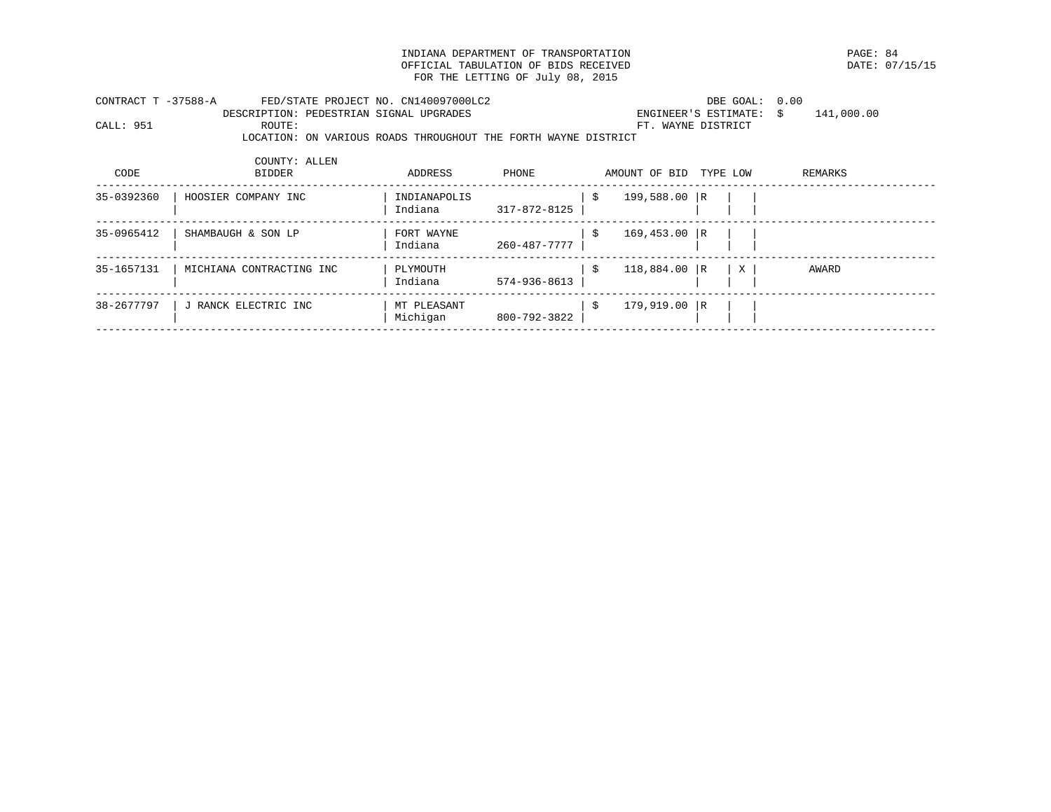INDIANA DEPARTMENT OF TRANSPORTATION **EXAMPLE ASSESSED ASSESSED ASSESSED ASSESSED** DATE: 07/15/15 OFFICIAL TABULATION OF BIDS RECEIVED FOR THE LETTING OF July 08, 2015

| CONTRACT T -37588-A | FED/STATE PROJECT NO. CN140097000LC2                           |              |              |               | DBE GOAL: 0.00          |            |
|---------------------|----------------------------------------------------------------|--------------|--------------|---------------|-------------------------|------------|
|                     | DESCRIPTION: PEDESTRIAN SIGNAL UPGRADES                        |              |              |               | ENGINEER'S ESTIMATE: \$ | 141,000.00 |
| CALL: 951           | ROUTE:                                                         |              |              |               | FT. WAYNE DISTRICT      |            |
|                     | LOCATION: ON VARIOUS ROADS THROUGHOUT THE FORTH WAYNE DISTRICT |              |              |               |                         |            |
|                     | COUNTY: ALLEN                                                  |              |              |               |                         |            |
| CODE                | <b>BIDDER</b>                                                  | ADDRESS      | PHONE        | AMOUNT OF BID | TYPE LOW                | REMARKS    |
| 35-0392360          | HOOSIER COMPANY INC                                            | INDIANAPOLIS |              | - \$          | 199,588.00 R            |            |
|                     |                                                                | Indiana      | 317-872-8125 |               |                         |            |
| 35-0965412          | SHAMBAUGH & SON LP                                             | FORT WAYNE   |              | -Ŝ            | $169, 453.00$ R         |            |
|                     |                                                                | Indiana      | 260-487-7777 |               |                         |            |
| 35-1657131          | MICHIANA CONTRACTING INC                                       | PLYMOUTH     |              | - \$          | 118,884.00 R<br>X       | AWARD      |
|                     |                                                                | Indiana      | 574-936-8613 |               |                         |            |
| 38-2677797          | J RANCK ELECTRIC INC                                           | MT PLEASANT  |              | - \$          | 179,919.00 R            |            |
|                     |                                                                | Michigan     | 800-792-3822 |               |                         |            |
|                     |                                                                |              |              |               |                         |            |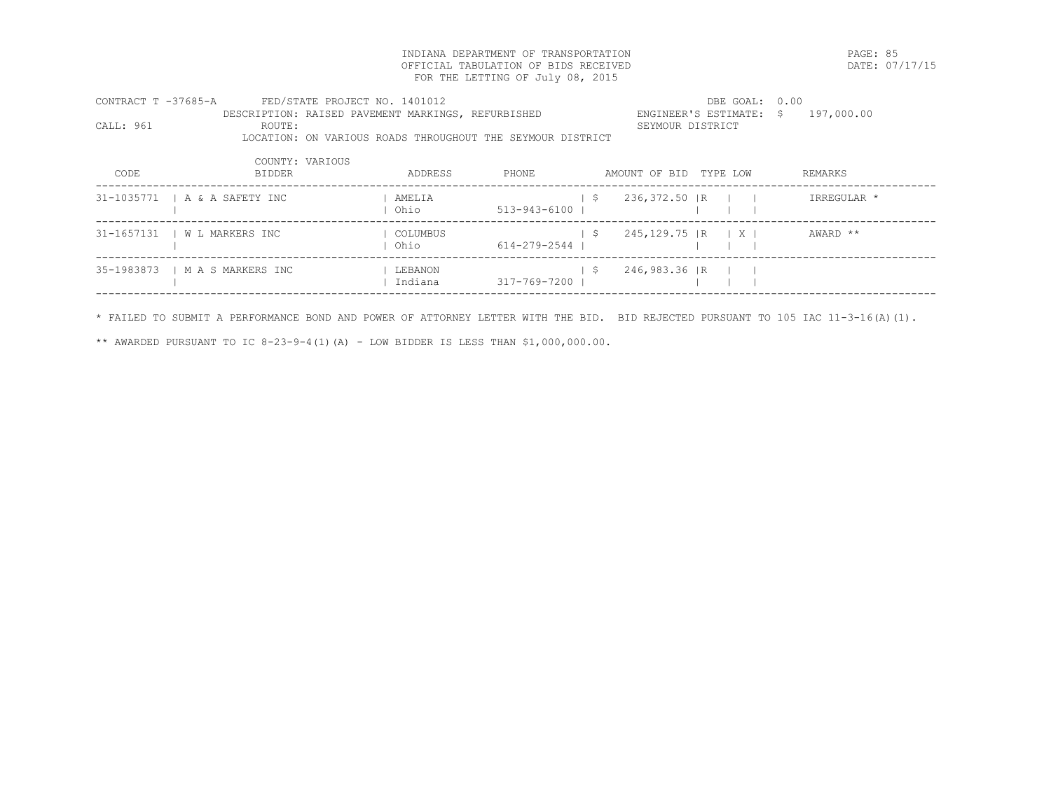INDIANA DEPARTMENT OF TRANSPORTATION PAGE: 85 OFFICIAL TABULATION OF BIDS RECEIVED FOR THE LETTING OF July 08, 2015

| CONTRACT T -37685-A |                                | FED/STATE PROJECT NO. 1401012                              |              |                        | DBE GOAL: 0.00                          |             |
|---------------------|--------------------------------|------------------------------------------------------------|--------------|------------------------|-----------------------------------------|-------------|
|                     |                                | DESCRIPTION: RAISED PAVEMENT MARKINGS, REFURBISHED         |              |                        | ENGINEER'S ESTIMATE: \$                 | 197,000.00  |
| CALL: 961           | ROUTE:                         |                                                            |              |                        | SEYMOUR DISTRICT                        |             |
|                     |                                | LOCATION: ON VARIOUS ROADS THROUGHOUT THE SEYMOUR DISTRICT |              |                        |                                         |             |
|                     | COUNTY: VARIOUS                |                                                            |              |                        |                                         |             |
| CODE                | <b>BIDDER</b>                  | ADDRESS                                                    | PHONE        |                        | AMOUNT OF BID TYPE LOW                  | REMARKS     |
|                     | 31-1035771   A & A SAFETY INC  | AMELIA                                                     |              | 236,372.50 IR<br>- S   |                                         | IRREGULAR * |
|                     |                                | Ohio                                                       | 513-943-6100 |                        |                                         |             |
| 31-1657131          | W L MARKERS INC                | COLUMBUS                                                   |              | 245,129.75  R<br>S.    | $\vert$ $\vert$ $\vert$ $\vert$ $\vert$ | AWARD **    |
|                     |                                | l Ohio                                                     | 614-279-2544 |                        |                                         |             |
|                     | 35-1983873   M A S MARKERS INC | LEBANON                                                    |              | 246,983.36   R<br>- \$ |                                         |             |
|                     |                                | Indiana                                                    | 317-769-7200 |                        |                                         |             |
|                     |                                |                                                            |              |                        |                                         |             |

\* FAILED TO SUBMIT A PERFORMANCE BOND AND POWER OF ATTORNEY LETTER WITH THE BID. BID REJECTED PURSUANT TO 105 IAC 11-3-16(A)(1).

\*\* AWARDED PURSUANT TO IC 8-23-9-4(1)(A) - LOW BIDDER IS LESS THAN \$1,000,000.00.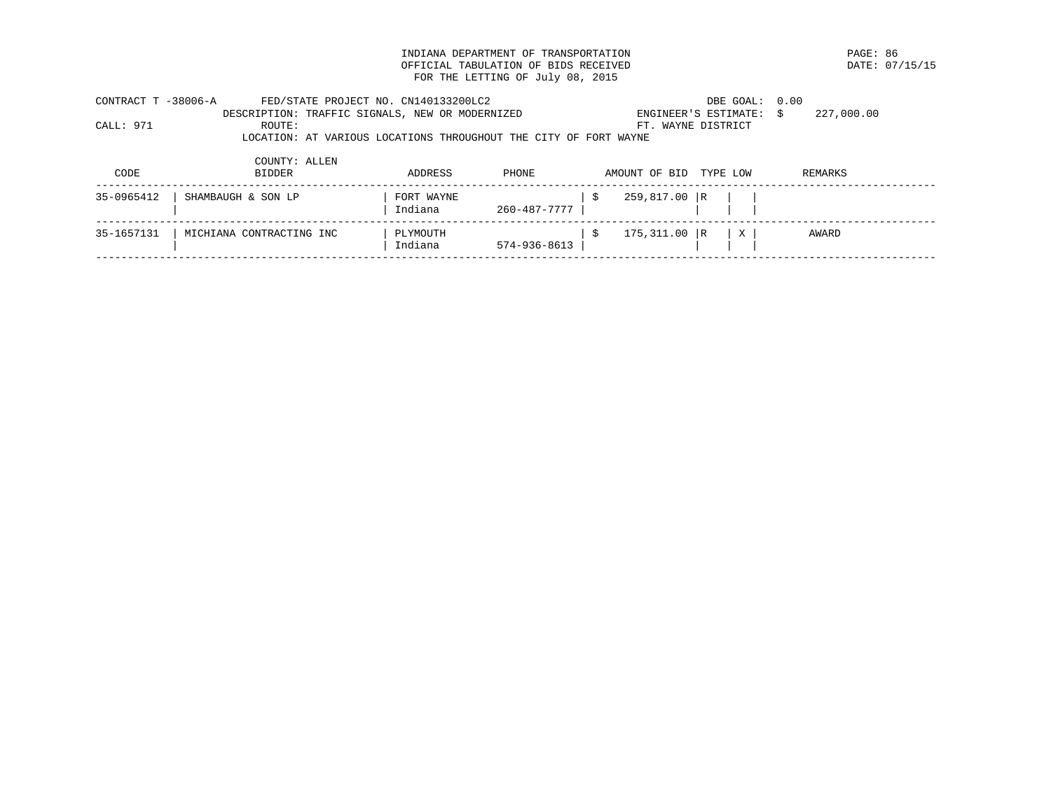INDIANA DEPARTMENT OF TRANSPORTATION **EXAMPLE ASSESSED ASSESSED ASSESSED ASSESSED AT A PAGE: 86** OF FICIAL TABULATION OF BIDS RECEIVED OFFICIAL TABULATION OF BIDS RECEIVED FOR THE LETTING OF July 08, 2015

| CONTRACT T -38006-A |               | FED/STATE PROJECT NO. CN140133200LC2            |         |                                                                  |                        | DBE GOAL: 0.00          |            |
|---------------------|---------------|-------------------------------------------------|---------|------------------------------------------------------------------|------------------------|-------------------------|------------|
|                     |               | DESCRIPTION: TRAFFIC SIGNALS, NEW OR MODERNIZED |         |                                                                  |                        | ENGINEER'S ESTIMATE: \$ | 227,000.00 |
| CALL: 971           | ROUTE:        |                                                 |         |                                                                  | FT. WAYNE DISTRICT     |                         |            |
|                     |               |                                                 |         | LOCATION: AT VARIOUS LOCATIONS THROUGHOUT THE CITY OF FORT WAYNE |                        |                         |            |
|                     | COUNTY: ALLEN |                                                 |         |                                                                  |                        |                         |            |
| CODE                | BIDDER        |                                                 | ADDRESS | PHONE                                                            | AMOUNT OF BID TYPE LOW |                         | REMARKS    |
|                     |               |                                                 |         |                                                                  |                        |                         |            |

| 35-0965412 | ' SHAMBAUGH & SON LP     | FORT WAYNE<br>Indiana | 260-487-7777       | 259,817.00 R   |       |  |
|------------|--------------------------|-----------------------|--------------------|----------------|-------|--|
| 35-1657131 | MICHIANA CONTRACTING INC | PLYMOUTH<br>Indiana   | $574 - 936 - 8613$ | $175,311.00$ R | AWARD |  |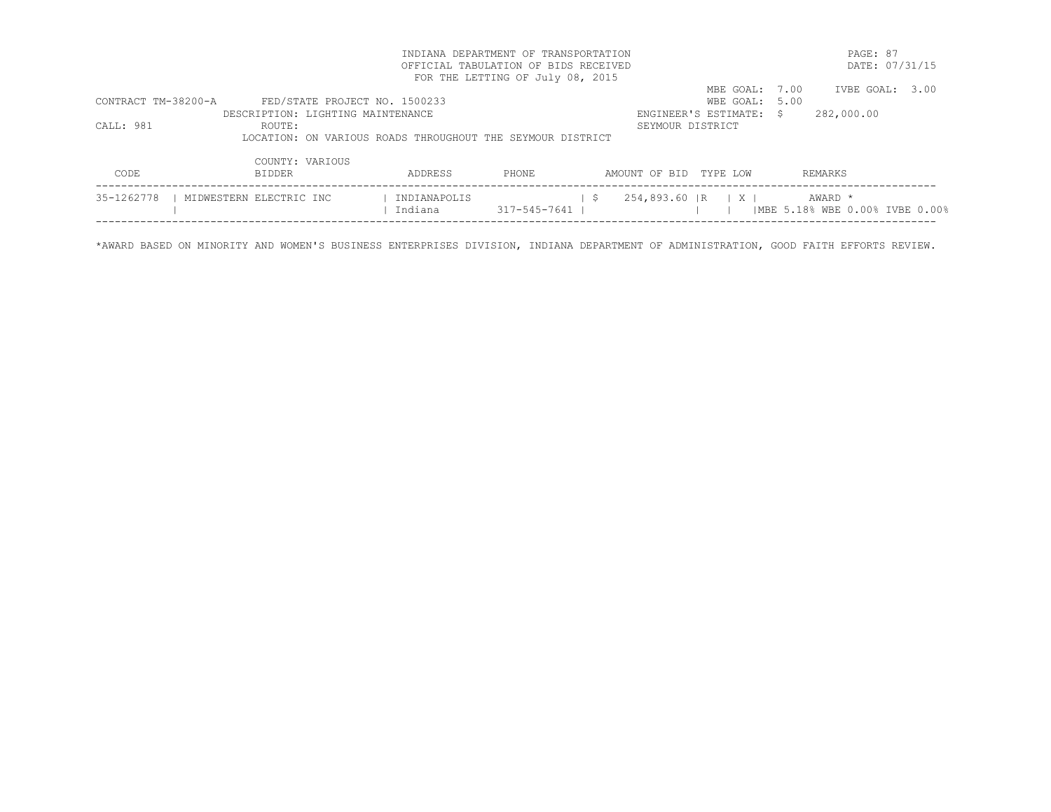| INDIANA DEPARTMENT OF TRANSPORTATION |                                                            |                                      |                                  |              |                        |                                              |         | PAGE: 87                                    |  |  |
|--------------------------------------|------------------------------------------------------------|--------------------------------------|----------------------------------|--------------|------------------------|----------------------------------------------|---------|---------------------------------------------|--|--|
|                                      |                                                            | OFFICIAL TABULATION OF BIDS RECEIVED |                                  |              |                        |                                              |         | DATE: 07/31/15                              |  |  |
|                                      |                                                            |                                      | FOR THE LETTING OF July 08, 2015 |              |                        |                                              |         |                                             |  |  |
|                                      |                                                            |                                      |                                  |              |                        | MBE GOAL:                                    | 7.00    | IVBE GOAL: 3.00                             |  |  |
| CONTRACT TM-38200-A                  | FED/STATE PROJECT NO. 1500233                              |                                      |                                  |              |                        | WBE GOAL: 5.00                               |         |                                             |  |  |
|                                      | DESCRIPTION: LIGHTING MAINTENANCE                          |                                      |                                  |              |                        | ENGINEER'S ESTIMATE: \$                      |         | 282,000.00                                  |  |  |
| CALL: 981                            | ROUTE:                                                     |                                      |                                  |              | SEYMOUR DISTRICT       |                                              |         |                                             |  |  |
|                                      | LOCATION: ON VARIOUS ROADS THROUGHOUT THE SEYMOUR DISTRICT |                                      |                                  |              |                        |                                              |         |                                             |  |  |
|                                      | COUNTY: VARIOUS                                            |                                      |                                  |              |                        |                                              |         |                                             |  |  |
| CODE                                 | BIDDER                                                     | ADDRESS                              | PHONE                            |              | AMOUNT OF BID TYPE LOW |                                              | REMARKS |                                             |  |  |
| 35-1262778                           | MIDWESTERN ELECTRIC INC                                    | INDIANAPOLIS<br>Indiana              | 317-545-7641                     | $\mathsf{S}$ |                        | $254,893.60$ $\vert R \vert$ $\vert X \vert$ |         | AWARD *<br>  MBE 5.18% WBE 0.00% IVBE 0.00% |  |  |
|                                      |                                                            |                                      |                                  |              |                        |                                              |         |                                             |  |  |

\*AWARD BASED ON MINORITY AND WOMEN'S BUSINESS ENTERPRISES DIVISION, INDIANA DEPARTMENT OF ADMINISTRATION, GOOD FAITH EFFORTS REVIEW.